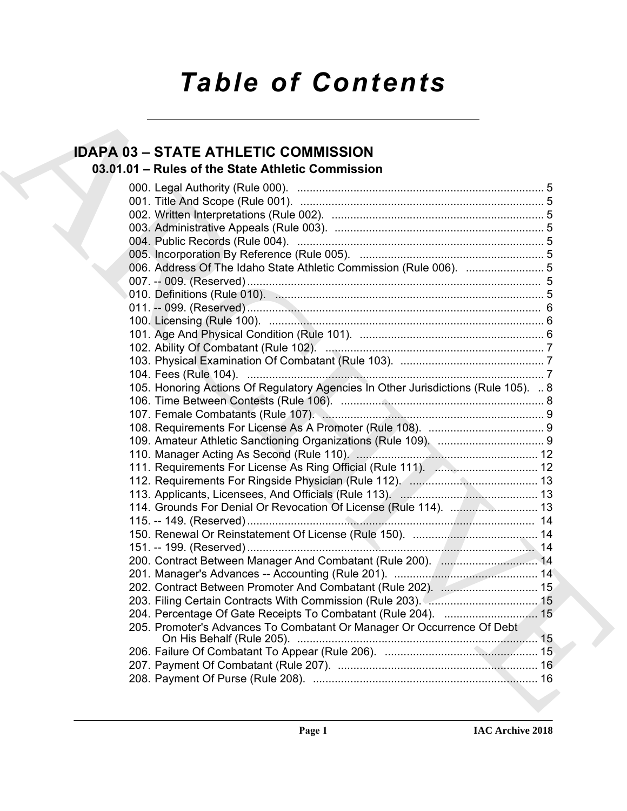# *Table of Contents*

# **IDAPA 03 – STATE ATHLETIC COMMISSION**

## **03.01.01 – Rules of the State Athletic Commission**

| <b>IDAPA 03 - STATE ATHLETIC COMMISSION</b>                                        |  |
|------------------------------------------------------------------------------------|--|
| 03.01.01 - Rules of the State Athletic Commission                                  |  |
|                                                                                    |  |
|                                                                                    |  |
|                                                                                    |  |
|                                                                                    |  |
|                                                                                    |  |
|                                                                                    |  |
|                                                                                    |  |
| 006. Address Of The Idaho State Athletic Commission (Rule 006).  5                 |  |
|                                                                                    |  |
|                                                                                    |  |
|                                                                                    |  |
|                                                                                    |  |
|                                                                                    |  |
|                                                                                    |  |
|                                                                                    |  |
|                                                                                    |  |
| 105. Honoring Actions Of Regulatory Agencies In Other Jurisdictions (Rule 105).  8 |  |
|                                                                                    |  |
|                                                                                    |  |
|                                                                                    |  |
|                                                                                    |  |
|                                                                                    |  |
|                                                                                    |  |
|                                                                                    |  |
|                                                                                    |  |
| 114. Grounds For Denial Or Revocation Of License (Rule 114).  13                   |  |
|                                                                                    |  |
|                                                                                    |  |
|                                                                                    |  |
| 200. Contract Between Manager And Combatant (Rule 200). [ 14                       |  |
|                                                                                    |  |
| 202. Contract Between Promoter And Combatant (Rule 202).  15                       |  |
|                                                                                    |  |
|                                                                                    |  |
| 204. Percentage Of Gate Receipts To Combatant (Rule 204).  15                      |  |
| 205. Promoter's Advances To Combatant Or Manager Or Occurrence Of Debt             |  |
|                                                                                    |  |
|                                                                                    |  |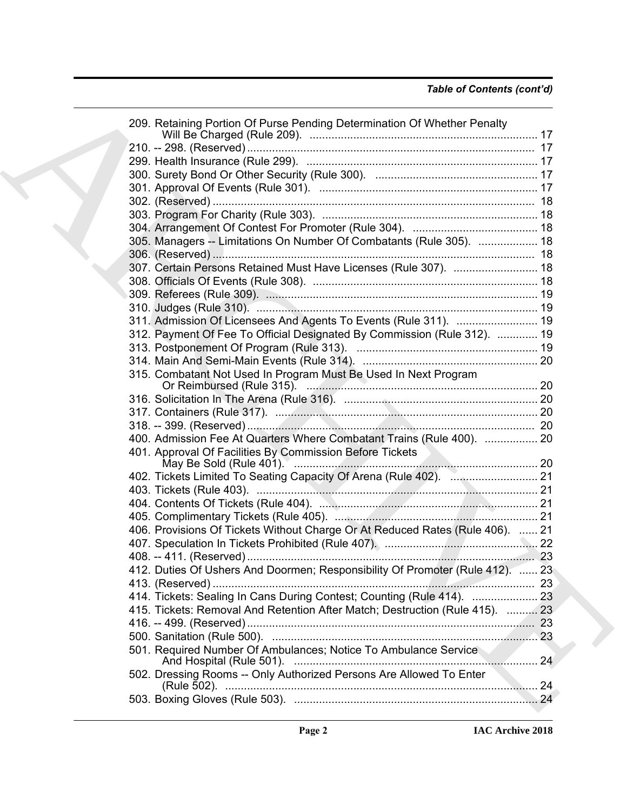| 209. Retaining Portion Of Purse Pending Determination Of Whether Penalty      |     |
|-------------------------------------------------------------------------------|-----|
|                                                                               |     |
|                                                                               |     |
|                                                                               |     |
|                                                                               |     |
|                                                                               |     |
|                                                                               |     |
|                                                                               |     |
| 305. Managers -- Limitations On Number Of Combatants (Rule 305).  18          |     |
|                                                                               |     |
| 307. Certain Persons Retained Must Have Licenses (Rule 307).  18              |     |
|                                                                               |     |
|                                                                               |     |
|                                                                               |     |
| 311. Admission Of Licensees And Agents To Events (Rule 311).  19              |     |
| 312. Payment Of Fee To Official Designated By Commission (Rule 312).  19      |     |
|                                                                               |     |
|                                                                               |     |
| 315. Combatant Not Used In Program Must Be Used In Next Program               |     |
|                                                                               |     |
|                                                                               |     |
|                                                                               |     |
|                                                                               |     |
| 400. Admission Fee At Quarters Where Combatant Trains (Rule 400).  20         |     |
| 401. Approval Of Facilities By Commission Before Tickets                      |     |
|                                                                               |     |
|                                                                               |     |
|                                                                               |     |
|                                                                               |     |
|                                                                               |     |
| 406. Provisions Of Tickets Without Charge Or At Reduced Rates (Rule 406).  21 |     |
|                                                                               |     |
|                                                                               | -23 |
| 412. Duties Of Ushers And Doormen; Responsibility Of Promoter (Rule 412).  23 |     |
|                                                                               |     |
| 414. Tickets: Sealing In Cans During Contest; Counting (Rule 414).  23        |     |
| 415. Tickets: Removal And Retention After Match; Destruction (Rule 415).  23  |     |
|                                                                               |     |
|                                                                               |     |
| 501. Required Number Of Ambulances; Notice To Ambulance Service               |     |
| 502. Dressing Rooms -- Only Authorized Persons Are Allowed To Enter           |     |
|                                                                               |     |
|                                                                               |     |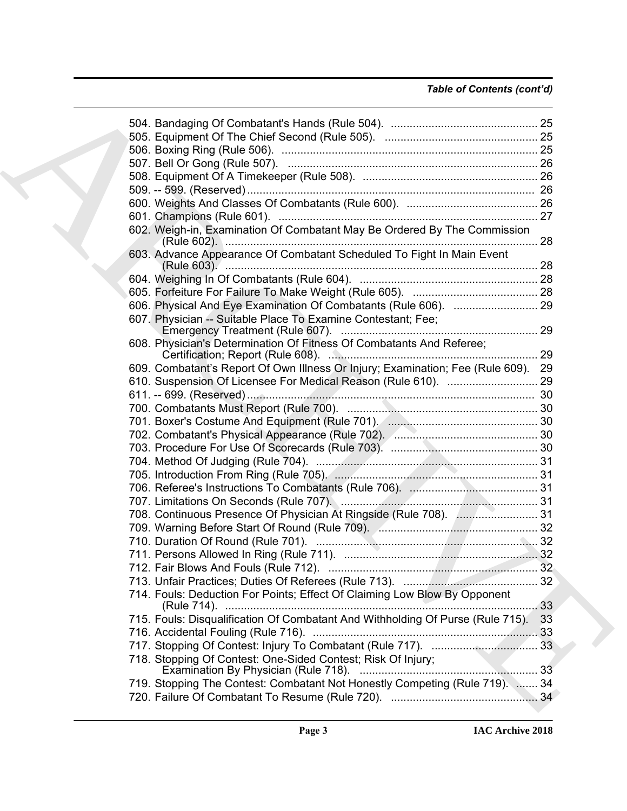| 602. Weigh-in, Examination Of Combatant May Be Ordered By The Commission<br>(Rule 602). 28 |    |
|--------------------------------------------------------------------------------------------|----|
| 603. Advance Appearance Of Combatant Scheduled To Fight In Main Event                      |    |
|                                                                                            |    |
|                                                                                            |    |
|                                                                                            |    |
| 607. Physician -- Suitable Place To Examine Contestant; Fee;                               |    |
| 608. Physician's Determination Of Fitness Of Combatants And Referee;                       |    |
| 609. Combatant's Report Of Own Illness Or Injury; Examination; Fee (Rule 609). 29          |    |
|                                                                                            |    |
|                                                                                            |    |
|                                                                                            |    |
|                                                                                            |    |
|                                                                                            |    |
|                                                                                            |    |
|                                                                                            |    |
|                                                                                            |    |
|                                                                                            |    |
|                                                                                            |    |
| 708. Continuous Presence Of Physician At Ringside (Rule 708).  31                          |    |
|                                                                                            |    |
|                                                                                            |    |
|                                                                                            |    |
|                                                                                            |    |
|                                                                                            |    |
| 714. Fouls: Deduction For Points; Effect Of Claiming Low Blow By Opponent                  | 33 |
| 715. Fouls: Disqualification Of Combatant And Withholding Of Purse (Rule 715).             | 33 |
|                                                                                            |    |
|                                                                                            |    |
| 718. Stopping Of Contest: One-Sided Contest; Risk Of Injury;                               | 33 |
| 719. Stopping The Contest: Combatant Not Honestly Competing (Rule 719).  34                |    |
|                                                                                            |    |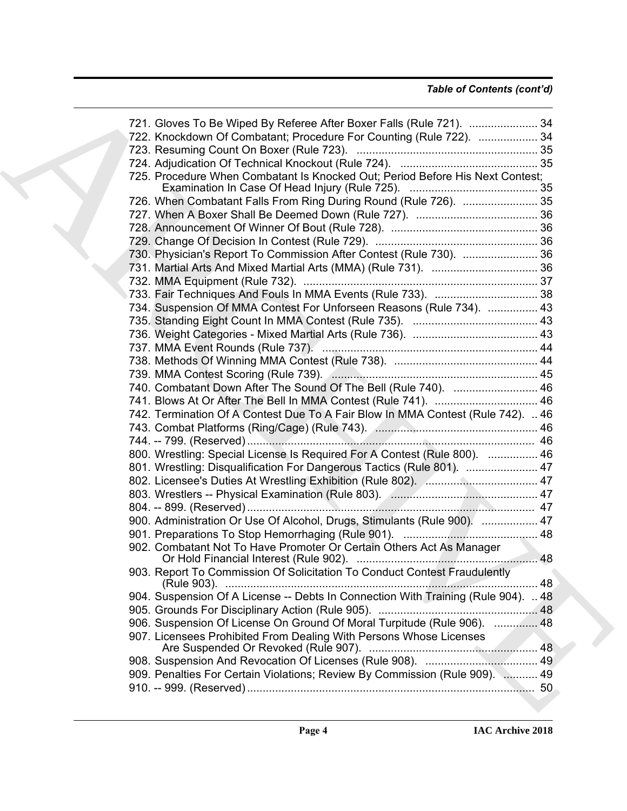### *Table of Contents (cont'd)*

| 721. Gloves To Be Wiped By Referee After Boxer Falls (Rule 721).  34              |  |
|-----------------------------------------------------------------------------------|--|
| 722. Knockdown Of Combatant; Procedure For Counting (Rule 722).  34               |  |
|                                                                                   |  |
|                                                                                   |  |
| 725. Procedure When Combatant Is Knocked Out; Period Before His Next Contest;     |  |
|                                                                                   |  |
| 726. When Combatant Falls From Ring During Round (Rule 726).  35                  |  |
|                                                                                   |  |
|                                                                                   |  |
|                                                                                   |  |
| 730. Physician's Report To Commission After Contest (Rule 730).  36               |  |
|                                                                                   |  |
|                                                                                   |  |
|                                                                                   |  |
| 734. Suspension Of MMA Contest For Unforseen Reasons (Rule 734).  43              |  |
|                                                                                   |  |
|                                                                                   |  |
|                                                                                   |  |
|                                                                                   |  |
|                                                                                   |  |
| 740. Combatant Down After The Sound Of The Bell (Rule 740).  46                   |  |
| 741. Blows At Or After The Bell In MMA Contest (Rule 741).  46                    |  |
| 742. Termination Of A Contest Due To A Fair Blow In MMA Contest (Rule 742).  46   |  |
|                                                                                   |  |
|                                                                                   |  |
| 800. Wrestling: Special License Is Required For A Contest (Rule 800).  46         |  |
| 801. Wrestling: Disqualification For Dangerous Tactics (Rule 801).  47            |  |
|                                                                                   |  |
|                                                                                   |  |
|                                                                                   |  |
| 900. Administration Or Use Of Alcohol, Drugs, Stimulants (Rule 900).  47          |  |
|                                                                                   |  |
| 902. Combatant Not To Have Promoter Or Certain Others Act As Manager              |  |
|                                                                                   |  |
| 903. Report To Commission Of Solicitation To Conduct Contest Fraudulently         |  |
| 904. Suspension Of A License -- Debts In Connection With Training (Rule 904).  48 |  |
|                                                                                   |  |
| 906. Suspension Of License On Ground Of Moral Turpitude (Rule 906).  48           |  |
| 907. Licensees Prohibited From Dealing With Persons Whose Licenses                |  |
|                                                                                   |  |
| 909. Penalties For Certain Violations; Review By Commission (Rule 909).  49       |  |
|                                                                                   |  |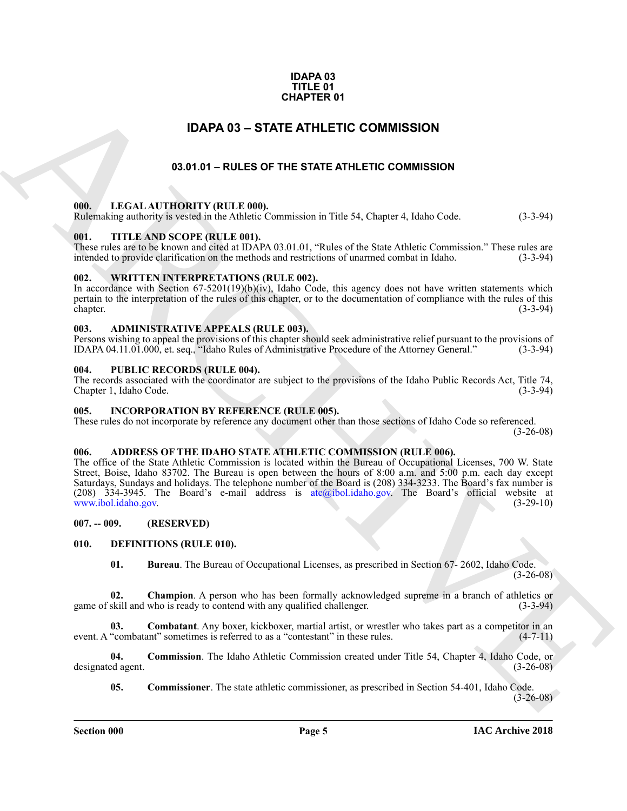#### **IDAPA 03 TITLE 01 CHAPTER 01**

### **IDAPA 03 – STATE ATHLETIC COMMISSION**

### **03.01.01 – RULES OF THE STATE ATHLETIC COMMISSION**

#### <span id="page-4-2"></span><span id="page-4-1"></span>**000. LEGAL AUTHORITY (RULE 000).**

Rulemaking authority is vested in the Athletic Commission in Title 54, Chapter 4, Idaho Code. (3-3-94)

#### <span id="page-4-3"></span>**001. TITLE AND SCOPE (RULE 001).**

These rules are to be known and cited at IDAPA 03.01.01, "Rules of the State Athletic Commission." These rules are intended to provide clarification on the methods and restrictions of unarmed combat in Idaho. (3-3-94)

#### <span id="page-4-4"></span>**002. WRITTEN INTERPRETATIONS (RULE 002).**

In accordance with Section  $67-5201(19)(b)(iv)$ , Idaho Code, this agency does not have written statements which pertain to the interpretation of the rules of this chapter, or to the documentation of compliance with the rules of this chapter. (3-3-94)

#### <span id="page-4-5"></span>**003. ADMINISTRATIVE APPEALS (RULE 003).**

Persons wishing to appeal the provisions of this chapter should seek administrative relief pursuant to the provisions of IDAPA 04.11.01.000, et. seq., "Idaho Rules of Administrative Procedure of the Attorney General." (3-3 IDAPA 04.11.01.000, et. seq., "Idaho Rules of Administrative Procedure of the Attorney General."

#### <span id="page-4-6"></span>**004. PUBLIC RECORDS (RULE 004).**

The records associated with the coordinator are subject to the provisions of the Idaho Public Records Act, Title 74, Chapter 1, Idaho Code.

#### <span id="page-4-18"></span><span id="page-4-7"></span>**005. INCORPORATION BY REFERENCE (RULE 005).**

These rules do not incorporate by reference any document other than those sections of Idaho Code so referenced. (3-26-08)

#### <span id="page-4-11"></span><span id="page-4-8"></span>**006. ADDRESS OF THE IDAHO STATE ATHLETIC COMMISSION (RULE 006).**

<span id="page-4-0"></span>**C[H](mailto:atc@ibol.idaho.gov)APTER 01**<br> **CHAPTER OF THE STATE ATHLETIC COMMISSION**<br> **COLUMN 12001 CHAPTER OF COMMISSION**<br> **COLUMN 12001 CHAPTER ATHLETIC COMMISSION**<br> **COLUMN 12001 ACT[IV](www.ibol.idaho.gov)ENTS INTERFERENCE COMMISSION**<br> **COLUMN 2001 CONTINUATION** The office of the State Athletic Commission is located within the Bureau of Occupational Licenses, 700 W. State Street, Boise, Idaho 83702. The Bureau is open between the hours of 8:00 a.m. and 5:00 p.m. each day except Saturdays, Sundays and holidays. The telephone number of the Board is (208) 334-3233. The Board's fax number is (208) 334-3945. The Board's e-mail address is atc@ibol.idaho.gov. The Board's official website at www.ibol.idaho.gov. (3-29-10)

<span id="page-4-9"></span>**007. -- 009. (RESERVED)**

#### <span id="page-4-10"></span>**010. DEFINITIONS (RULE 010).**

<span id="page-4-15"></span><span id="page-4-14"></span><span id="page-4-13"></span><span id="page-4-12"></span>**01. Bureau**. The Bureau of Occupational Licenses, as prescribed in Section 67- 2602, Idaho Code. (3-26-08)

**02.** Champion. A person who has been formally acknowledged supreme in a branch of athletics or skill and who is ready to contend with any qualified challenger. (3-3-94) game of skill and who is ready to contend with any qualified challenger.

**Combatant**. Any boxer, kickboxer, martial artist, or wrestler who takes part as a competitor in an ant" sometimes is referred to as a "contestant" in these rules. (4-7-11) event. A "combatant" sometimes is referred to as a "contestant" in these rules.

**04. Commission**. The Idaho Athletic Commission created under Title 54, Chapter 4, Idaho Code, or designated agent. (3-26-08)

<span id="page-4-17"></span><span id="page-4-16"></span>**05. Commissioner**. The state athletic commissioner, as prescribed in Section 54-401, Idaho Code.

 $(3-26-08)$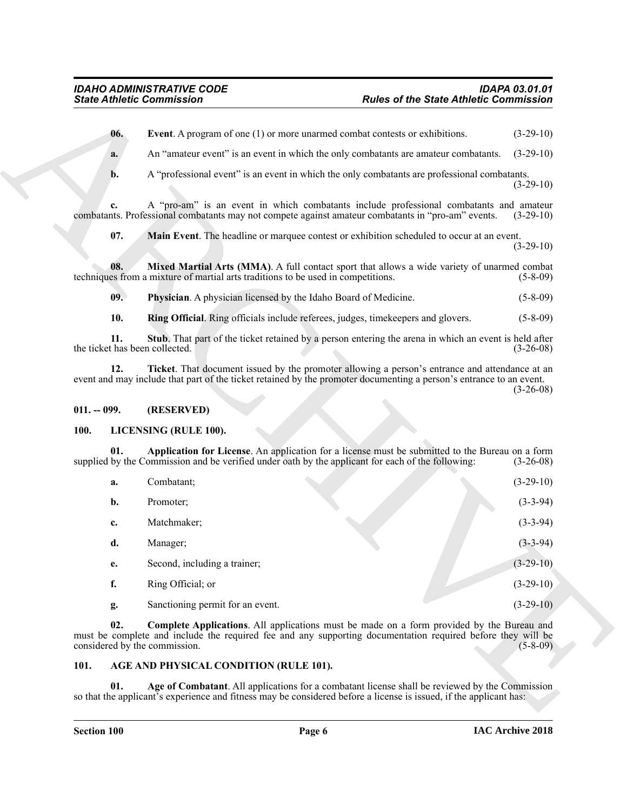#### <span id="page-5-11"></span><span id="page-5-10"></span><span id="page-5-9"></span><span id="page-5-8"></span><span id="page-5-7"></span><span id="page-5-0"></span>**011. -- 099. (RESERVED)**

#### <span id="page-5-13"></span><span id="page-5-12"></span><span id="page-5-1"></span>**100. LICENSING (RULE 100).**

<span id="page-5-6"></span><span id="page-5-5"></span>

|                                       | <b>State Athletic Commission</b>                                                                                                                                                                                                                 | <b>Rules of the State Athletic Commission</b> |             |
|---------------------------------------|--------------------------------------------------------------------------------------------------------------------------------------------------------------------------------------------------------------------------------------------------|-----------------------------------------------|-------------|
| 06.                                   | Event. A program of one (1) or more unarmed combat contests or exhibitions.                                                                                                                                                                      |                                               | $(3-29-10)$ |
| a.                                    | An "amateur event" is an event in which the only combatants are amateur combatants.                                                                                                                                                              |                                               | $(3-29-10)$ |
| b.                                    | A "professional event" is an event in which the only combatants are professional combatants.                                                                                                                                                     |                                               | $(3-29-10)$ |
| c.                                    | A "pro-am" is an event in which combatants include professional combatants and amateur<br>combatants. Professional combatants may not compete against amateur combatants in "pro-am" events.                                                     |                                               | $(3-29-10)$ |
| 07.                                   | Main Event. The headline or marquee contest or exhibition scheduled to occur at an event.                                                                                                                                                        |                                               | $(3-29-10)$ |
| 08.                                   | Mixed Martial Arts (MMA). A full contact sport that allows a wide variety of unarmed combat<br>techniques from a mixture of martial arts traditions to be used in competitions.                                                                  |                                               | $(5-8-09)$  |
| 09.                                   | Physician. A physician licensed by the Idaho Board of Medicine.                                                                                                                                                                                  |                                               | $(5-8-09)$  |
| 10.                                   | Ring Official. Ring officials include referees, judges, timekeepers and glovers.                                                                                                                                                                 |                                               | $(5-8-09)$  |
| 11.<br>the ticket has been collected. | Stub. That part of the ticket retained by a person entering the arena in which an event is held after                                                                                                                                            |                                               | $(3-26-08)$ |
| 12.                                   | Ticket. That document issued by the promoter allowing a person's entrance and attendance at an<br>event and may include that part of the ticket retained by the promoter documenting a person's entrance to an event.                            |                                               | $(3-26-08)$ |
| $011. - 099.$                         | (RESERVED)                                                                                                                                                                                                                                       |                                               |             |
| 100.                                  | LICENSING (RULE 100).                                                                                                                                                                                                                            |                                               |             |
| 01.                                   | Application for License. An application for a license must be submitted to the Bureau on a form<br>supplied by the Commission and be verified under oath by the applicant for each of the following:                                             |                                               | $(3-26-08)$ |
| a.                                    | Combatant;                                                                                                                                                                                                                                       |                                               | $(3-29-10)$ |
| b.                                    | Promoter;                                                                                                                                                                                                                                        |                                               | $(3-3-94)$  |
| c.                                    | Matchmaker;                                                                                                                                                                                                                                      |                                               | $(3-3-94)$  |
| d.                                    | Manager;                                                                                                                                                                                                                                         |                                               | $(3-3-94)$  |
| e.                                    | Second, including a trainer;                                                                                                                                                                                                                     |                                               | $(3-29-10)$ |
| f.                                    | Ring Official; or                                                                                                                                                                                                                                |                                               | $(3-29-10)$ |
| g.                                    | Sanctioning permit for an event.                                                                                                                                                                                                                 |                                               | $(3-29-10)$ |
| 02.                                   | <b>Complete Applications.</b> All applications must be made on a form provided by the Bureau and<br>must be complete and include the required fee and any supporting documentation required before they will be<br>considered by the commission. |                                               | $(5-8-09)$  |
| 101.                                  | AGE AND PHYSICAL CONDITION (RULE 101).                                                                                                                                                                                                           |                                               |             |
|                                       | Age of Combatant. All applications for a combatant license shall be reviewed by the Commission                                                                                                                                                   |                                               |             |

#### <span id="page-5-14"></span><span id="page-5-4"></span><span id="page-5-3"></span><span id="page-5-2"></span>**101. AGE AND PHYSICAL CONDITION (RULE 101).**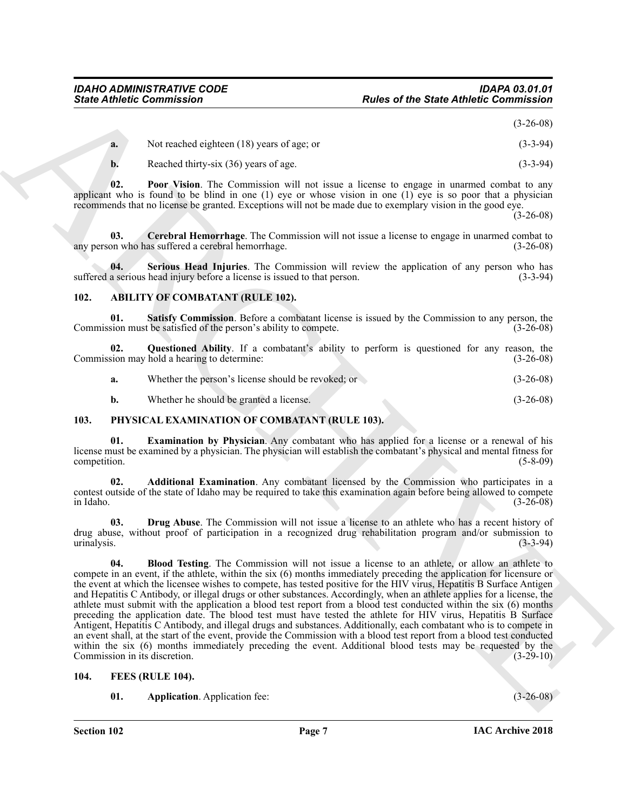(3-26-08)

<span id="page-6-7"></span>

| a. | Not reached eighteen (18) years of age; or | $(3-3-94)$ |
|----|--------------------------------------------|------------|
|    | Reached thirty-six (36) years of age.      | $(3-3-94)$ |

**02. Poor Vision**. The Commission will not issue a license to engage in unarmed combat to any applicant who is found to be blind in one  $(1)$  eye or whose vision in one  $(1)$  eye is so poor that a physician recommends that no license be granted. Exceptions will not be made due to exemplary vision in the good eye.

(3-26-08)

<span id="page-6-6"></span>**03.** Cerebral Hemorrhage. The Commission will not issue a license to engage in unarmed combat to on who has suffered a cerebral hemorrhage. any person who has suffered a cerebral hemorrhage.

<span id="page-6-8"></span>**04.** Serious Head Injuries. The Commission will review the application of any person who has a serious head injury before a license is issued to that person. (3-3-94) suffered a serious head injury before a license is issued to that person.

#### <span id="page-6-5"></span><span id="page-6-3"></span><span id="page-6-0"></span>**102. ABILITY OF COMBATANT (RULE 102).**

**01. Satisfy Commission**. Before a combatant license is issued by the Commission to any person, the Commission must be satisfied of the person's ability to compete. (3-26-08)

**02. Questioned Ability**. If a combatant's ability to perform is questioned for any reason, the Commission may hold a hearing to determine: (3-26-08)

<span id="page-6-4"></span>

| a. | Whether the person's license should be revoked; or | $(3-26-08)$ |
|----|----------------------------------------------------|-------------|
|    |                                                    |             |

<span id="page-6-15"></span><span id="page-6-11"></span>**b.** Whether he should be granted a license. (3-26-08)

#### <span id="page-6-1"></span>**103. PHYSICAL EXAMINATION OF COMBATANT (RULE 103).**

**01. Examination by Physician**. Any combatant who has applied for a license or a renewal of his license must be examined by a physician. The physician will establish the combatant's physical and mental fitness for competition. (5-8-09)

<span id="page-6-12"></span>**02. Additional Examination**. Any combatant licensed by the Commission who participates in a contest outside of the state of Idaho may be required to take this examination again before being allowed to compete in Idaho. (3-26-08)

<span id="page-6-14"></span><span id="page-6-13"></span>**03. Drug Abuse**. The Commission will not issue a license to an athlete who has a recent history of drug abuse, without proof of participation in a recognized drug rehabilitation program and/or submission to urinalysis. (3-3-94)

Since Athletic Commutation<br>
Rodes of the Street Athletic Commutation (19)<br>
13. Northern University (19) peace of the Street Bernstein (20) 2014<br>
13. Northern Minister Schware (20) 2014<br>
13. The Value in the Commutation wi **04. Blood Testing**. The Commission will not issue a license to an athlete, or allow an athlete to compete in an event, if the athlete, within the six (6) months immediately preceding the application for licensure or the event at which the licensee wishes to compete, has tested positive for the HIV virus, Hepatitis B Surface Antigen and Hepatitis C Antibody, or illegal drugs or other substances. Accordingly, when an athlete applies for a license, the athlete must submit with the application a blood test report from a blood test conducted within the six (6) months preceding the application date. The blood test must have tested the athlete for HIV virus, Hepatitis B Surface Antigent, Hepatitis C Antibody, and illegal drugs and substances. Additionally, each combatant who is to compete in an event shall, at the start of the event, provide the Commission with a blood test report from a blood test conducted within the six (6) months immediately preceding the event. Additional blood tests may be requested by the Commission in its discretion. (3-29-10)

#### <span id="page-6-2"></span>**104. FEES (RULE 104).**

<span id="page-6-10"></span><span id="page-6-9"></span>**01. Application**. Application fee: (3-26-08)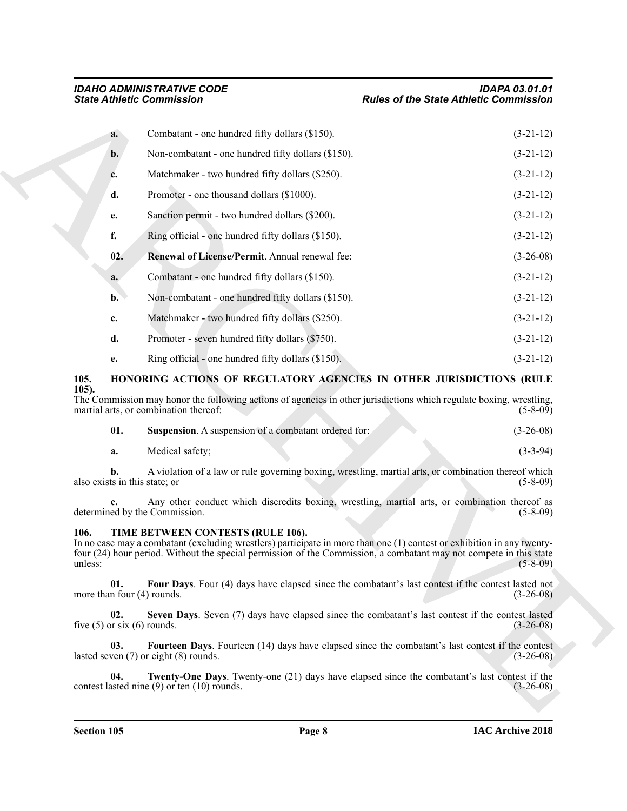| <b>State Athletic Commission</b>                                                                                                                                                                                                                                                                     | <b>Rules of the State Athletic Commission</b> |  |
|------------------------------------------------------------------------------------------------------------------------------------------------------------------------------------------------------------------------------------------------------------------------------------------------------|-----------------------------------------------|--|
| Combatant - one hundred fifty dollars (\$150).<br>a.                                                                                                                                                                                                                                                 | $(3-21-12)$                                   |  |
| Non-combatant - one hundred fifty dollars (\$150).<br>b.                                                                                                                                                                                                                                             | $(3-21-12)$                                   |  |
| Matchmaker - two hundred fifty dollars (\$250).<br>c.                                                                                                                                                                                                                                                | $(3-21-12)$                                   |  |
| Promoter - one thousand dollars (\$1000).<br>d.                                                                                                                                                                                                                                                      | $(3-21-12)$                                   |  |
| Sanction permit - two hundred dollars (\$200).<br>e.                                                                                                                                                                                                                                                 | $(3-21-12)$                                   |  |
| f.<br>Ring official - one hundred fifty dollars (\$150).                                                                                                                                                                                                                                             | $(3-21-12)$                                   |  |
| 02.<br>Renewal of License/Permit. Annual renewal fee:                                                                                                                                                                                                                                                | $(3-26-08)$                                   |  |
| Combatant - one hundred fifty dollars (\$150).<br>a.                                                                                                                                                                                                                                                 | $(3-21-12)$                                   |  |
| Non-combatant - one hundred fifty dollars (\$150).<br>$\mathbf{b}$ .                                                                                                                                                                                                                                 | $(3-21-12)$                                   |  |
| Matchmaker - two hundred fifty dollars (\$250).<br>c.                                                                                                                                                                                                                                                | $(3-21-12)$                                   |  |
| d.<br>Promoter - seven hundred fifty dollars (\$750).                                                                                                                                                                                                                                                | $(3-21-12)$                                   |  |
| Ring official - one hundred fifty dollars (\$150).<br>e.                                                                                                                                                                                                                                             | $(3-21-12)$                                   |  |
| 105.<br>HONORING ACTIONS OF REGULATORY AGENCIES IN OTHER JURISDICTIONS (RULE                                                                                                                                                                                                                         |                                               |  |
| $105$ ).<br>The Commission may honor the following actions of agencies in other jurisdictions which regulate boxing, wrestling,<br>martial arts, or combination thereof:                                                                                                                             | $(5-8-09)$                                    |  |
| 01.<br>Suspension. A suspension of a combatant ordered for:                                                                                                                                                                                                                                          | $(3-26-08)$                                   |  |
| Medical safety;<br>a.                                                                                                                                                                                                                                                                                | $(3-3-94)$                                    |  |
| A violation of a law or rule governing boxing, wrestling, martial arts, or combination thereof which<br>h.<br>also exists in this state; or                                                                                                                                                          | $(5-8-09)$                                    |  |
| Any other conduct which discredits boxing, wrestling, martial arts, or combination thereof as<br>determined by the Commission.                                                                                                                                                                       | $(5-8-09)$                                    |  |
| TIME BETWEEN CONTESTS (RULE 106).<br>106.<br>In no case may a combatant (excluding wrestlers) participate in more than one (1) contest or exhibition in any twenty-<br>four (24) hour period. Without the special permission of the Commission, a combatant may not compete in this state<br>unless: | $(5-8-09)$                                    |  |
| 01.<br>Four Days. Four (4) days have elapsed since the combatant's last contest if the contest lasted not<br>more than four $(4)$ rounds.                                                                                                                                                            | $(3-26-08)$                                   |  |
| 02.<br>Seven Days. Seven (7) days have elapsed since the combatant's last contest if the contest lasted<br>five $(5)$ or six $(6)$ rounds.                                                                                                                                                           | $(3-26-08)$                                   |  |
| Fourteen Days. Fourteen (14) days have elapsed since the combatant's last contest if the contest<br>03.<br>lasted seven $(7)$ or eight $(8)$ rounds.                                                                                                                                                 | $(3-26-08)$                                   |  |
| 04.<br><b>Twenty-One Days.</b> Twenty-one (21) days have elapsed since the combatant's last contest if the<br>contest lasted nine $(9)$ or ten $(10)$ rounds.                                                                                                                                        | $(3-26-08)$                                   |  |
|                                                                                                                                                                                                                                                                                                      |                                               |  |

#### <span id="page-7-3"></span><span id="page-7-2"></span><span id="page-7-0"></span>**105. HONORING ACTIONS OF REGULATORY AGENCIES IN OTHER JURISDICTIONS (RULE 105).**

<span id="page-7-4"></span>

|  | <b>Suspension.</b> A suspension of a combatant ordered for: | $(3-26-08)$ |
|--|-------------------------------------------------------------|-------------|
|--|-------------------------------------------------------------|-------------|

#### <span id="page-7-9"></span><span id="page-7-8"></span><span id="page-7-7"></span><span id="page-7-6"></span><span id="page-7-5"></span><span id="page-7-1"></span>**106. TIME BETWEEN CONTESTS (RULE 106).**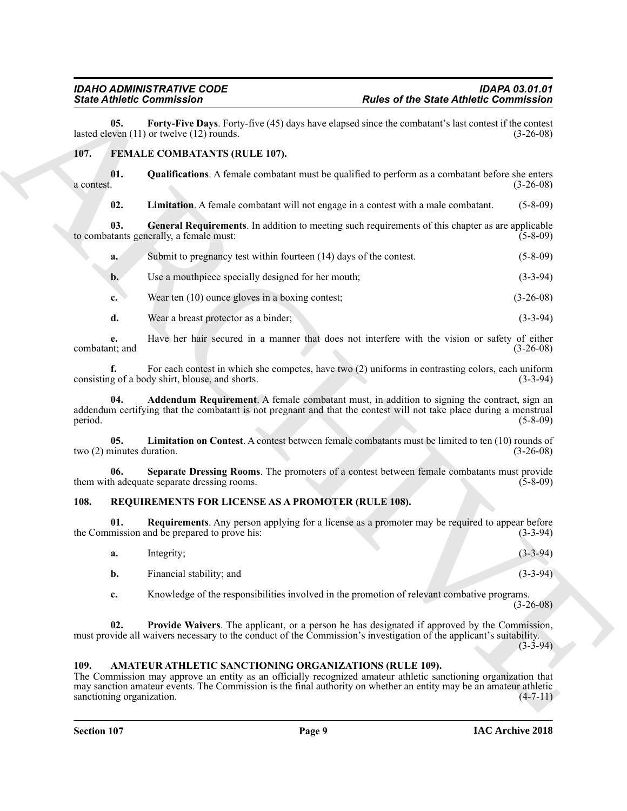<span id="page-8-14"></span>**05.** Forty-Five Days. Forty-five (45) days have elapsed since the combatant's last contest if the contest even (11) or twelve (12) rounds. lasted eleven  $(11)$  or twelve  $(12)$  rounds.

#### <span id="page-8-4"></span><span id="page-8-0"></span>**107. FEMALE COMBATANTS (RULE 107).**

**01.** Qualifications. A female combatant must be qualified to perform as a combatant before she enters a contest.  $(3-26-08)$  $a$  contest.  $(3-26-08)$ 

<span id="page-8-9"></span><span id="page-8-7"></span><span id="page-8-6"></span>**02. Limitation**. A female combatant will not engage in a contest with a male combatant. (5-8-09)

**03. General Requirements**. In addition to meeting such requirements of this chapter as are applicable to combatants generally, a female must: (5-8-09)

- **a.** Submit to pregnancy test within fourteen (14) days of the contest. (5-8-09)
- **b.** Use a mouthpiece specially designed for her mouth; (3-3-94)
- **c.** Wear ten (10) ounce gloves in a boxing contest; (3-26-08)
- **d.** Wear a breast protector as a binder; (3-3-94)

**e.** Have her hair secured in a manner that does not interfere with the vision or safety of either tit, and (3-26-08) combatant; and

<span id="page-8-5"></span>**f.** For each contest in which she competes, have two (2) uniforms in contrasting colors, each uniform g of a body shirt, blouse, and shorts. (3-3-94) consisting of a body shirt, blouse, and shorts.

**Since Zimites Commission** Plate and the State Anthelic Commission<br>
Let  $B$  the state Anti-Bios Plate Commission and the state of the State Commission and the Commission<br>
1971. **EXALLE CONBATANTS (RULE 107).**<br>
1973. **Cons Addendum Requirement**. A female combatant must, in addition to signing the contract, sign an addendum certifying that the combatant is not pregnant and that the contest will not take place during a menstrual period. (5-8-09)

<span id="page-8-8"></span>**05. Limitation on Contest**. A contest between female combatants must be limited to ten (10) rounds of two (2) minutes duration. (3-26-08)

<span id="page-8-10"></span>**06. Separate Dressing Rooms**. The promoters of a contest between female combatants must provide them with adequate separate dressing rooms. (5-8-09)

#### <span id="page-8-11"></span><span id="page-8-1"></span>**108. REQUIREMENTS FOR LICENSE AS A PROMOTER (RULE 108).**

**01. Requirements**. Any person applying for a license as a promoter may be required to appear before the Commission and be prepared to prove his: (3-3-94)

- <span id="page-8-13"></span>**a.** Integrity; (3-3-94)
	- **b.** Financial stability; and (3-3-94)

<span id="page-8-12"></span>**c.** Knowledge of the responsibilities involved in the promotion of relevant combative programs.  $(3-26-08)$ 

**02. Provide Waivers**. The applicant, or a person he has designated if approved by the Commission, must provide all waivers necessary to the conduct of the Commission's investigation of the applicant's suitability.

(3-3-94)

#### <span id="page-8-3"></span><span id="page-8-2"></span>**109. AMATEUR ATHLETIC SANCTIONING ORGANIZATIONS (RULE 109).**

The Commission may approve an entity as an officially recognized amateur athletic sanctioning organization that may sanction amateur events. The Commission is the final authority on whether an entity may be an amateur athletic  $s$ sanctioning organization.  $(4-7-11)$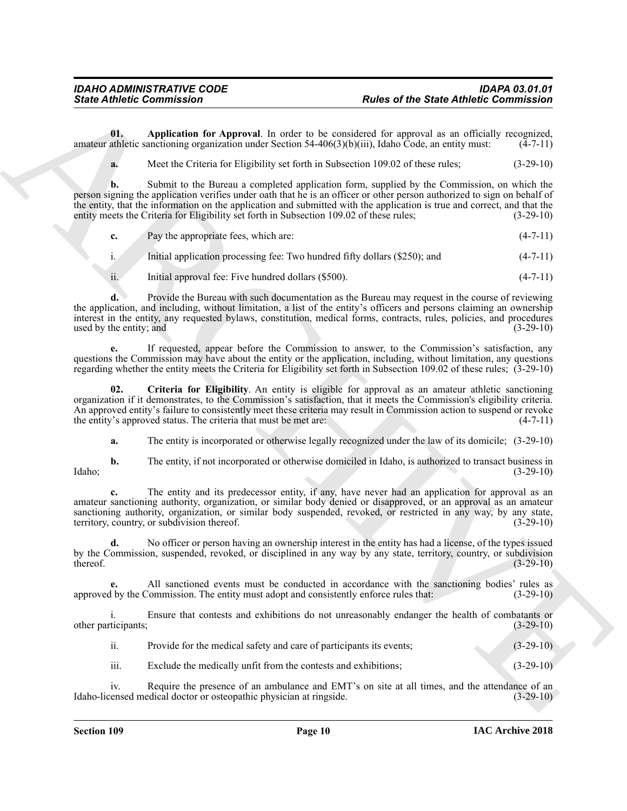**01. Application for Approval**. In order to be considered for approval as an officially recognized, amateur athletic sanctioning organization under Section 54-406(3)(b)(iii), Idaho Code, an entity must:  $(4-7-11)$ 

<span id="page-9-0"></span>**a.** Meet the Criteria for Eligibility set forth in Subsection 109.02 of these rules; (3-29-10)

Since Athletic Commutation<br>
Units of the State of State Athletic Commutation<br>
Units of the Characteristics of the Characteristics of the Characteristics of the Characteristics of the Characteristics of the Characteristics **b.** Submit to the Bureau a completed application form, supplied by the Commission, on which the person signing the application verifies under oath that he is an officer or other person authorized to sign on behalf of the entity, that the information on the application and submitted with the application is true and correct, and that the entity meets the Criteria for Eligibility set forth in Subsection 109.02 of these rules; (3-29-10)

|  | Pay the appropriate fees, which are: |  |
|--|--------------------------------------|--|
|--|--------------------------------------|--|

i. Initial application processing fee: Two hundred fifty dollars (\$250); and (4-7-11)

ii. Initial approval fee: Five hundred dollars (\$500). (4-7-11)

**d.** Provide the Bureau with such documentation as the Bureau may request in the course of reviewing the application, and including, without limitation, a list of the entity's officers and persons claiming an ownership interest in the entity, any requested bylaws, constitution, medical forms, contracts, rules, policies, and procedures used by the entity; and  $(3-29-10)$ 

**e.** If requested, appear before the Commission to answer, to the Commission's satisfaction, any questions the Commission may have about the entity or the application, including, without limitation, any questions regarding whether the entity meets the Criteria for Eligibility set forth in Subsection 109.02 of these rules; (3-29-10)

**02. Criteria for Eligibility**. An entity is eligible for approval as an amateur athletic sanctioning organization if it demonstrates, to the Commission's satisfaction, that it meets the Commission's eligibility criteria. An approved entity's failure to consistently meet these criteria may result in Commission action to suspend or revoke the entity's approved status. The criteria that must be met are: (4-7-11)

<span id="page-9-1"></span>**a.** The entity is incorporated or otherwise legally recognized under the law of its domicile; (3-29-10)

**b.** The entity, if not incorporated or otherwise domiciled in Idaho, is authorized to transact business in (3-29-10) Idaho; (3-29-10)

**c.** The entity and its predecessor entity, if any, have never had an application for approval as an amateur sanctioning authority, organization, or similar body denied or disapproved, or an approval as an amateur sanctioning authority, organization, or similar body suspended, revoked, or restricted in any way, by any state, territory, country, or subdivision thereof. (3-29-10) territory, country, or subdivision thereof.

**d.** No officer or person having an ownership interest in the entity has had a license, of the types issued by the Commission, suspended, revoked, or disciplined in any way by any state, territory, country, or subdivision thereof. (3-29-10)  $t$  thereof.  $(3-29-10)$ 

**e.** All sanctioned events must be conducted in accordance with the sanctioning bodies' rules as approved by the Commission. The entity must adopt and consistently enforce rules that: (3-29-10)

i. Ensure that contests and exhibitions do not unreasonably endanger the health of combatants or ticipants; (3-29-10) other participants;

ii. Provide for the medical safety and care of participants its events; (3-29-10)

iii. Exclude the medically unfit from the contests and exhibitions; (3-29-10)

iv. Require the presence of an ambulance and EMT's on site at all times, and the attendance of an Idaho-licensed medical doctor or osteopathic physician at ringside. (3-29-10)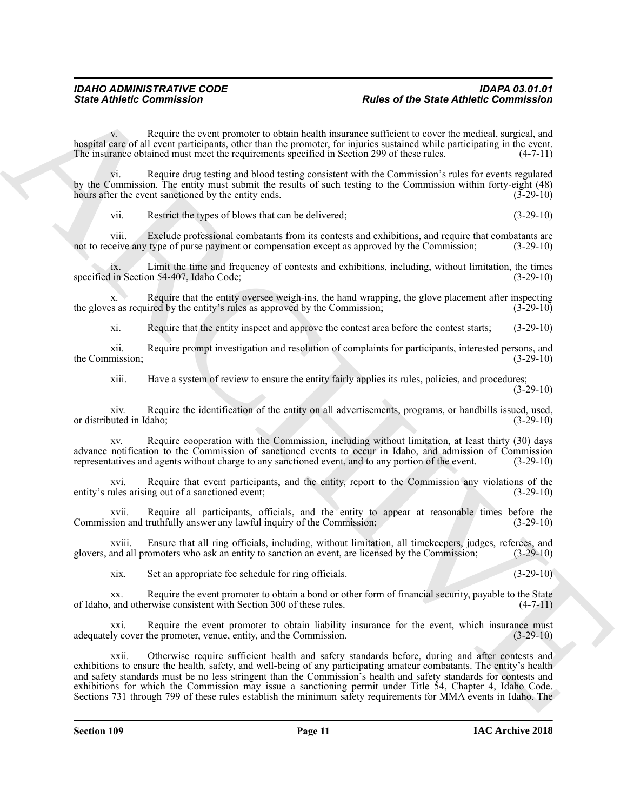Require the event promoter to obtain health insurance sufficient to cover the medical, surgical, and hospital care of all event participants, other than the promoter, for injuries sustained while participating in the event.<br>The insurance obtained must meet the requirements specified in Section 299 of these rules. (4-7-11) The insurance obtained must meet the requirements specified in Section 299 of these rules.

vi. Require drug testing and blood testing consistent with the Commission's rules for events regulated by the Commission. The entity must submit the results of such testing to the Commission within forty-eight (48) hours after the event sanctioned by the entity ends. (3-29-10)

vii. Restrict the types of blows that can be delivered; (3-29-10)

viii. Exclude professional combatants from its contests and exhibitions, and require that combatants are reive any type of purse payment or compensation except as approved by the Commission; (3-29-10) not to receive any type of purse payment or compensation except as approved by the Commission;

ix. Limit the time and frequency of contests and exhibitions, including, without limitation, the times specified in Section 54-407, Idaho Code;

x. Require that the entity oversee weigh-ins, the hand wrapping, the glove placement after inspecting the gloves as required by the entity's rules as approved by the Commission; (3-29-10)

xi. Require that the entity inspect and approve the contest area before the contest starts; (3-29-10)

xii. Require prompt investigation and resolution of complaints for participants, interested persons, and the Commission; (3-29-10)

xiii. Have a system of review to ensure the entity fairly applies its rules, policies, and procedures;

(3-29-10)

xiv. Require the identification of the entity on all advertisements, programs, or handbills issued, used, or distributed in Idaho; (3-29-10)

xv. Require cooperation with the Commission, including without limitation, at least thirty (30) days advance notification to the Commission of sanctioned events to occur in Idaho, and admission of Commission representatives and agents without charge to any sanctioned event, and to any portion of the event. (3-29-10)

xvi. Require that event participants, and the entity, report to the Commission any violations of the ules arising out of a sanctioned event;<br>(3-29-10) entity's rules arising out of a sanctioned event;

xvii. Require all participants, officials, and the entity to appear at reasonable times before the sion and truthfully answer any lawful inquiry of the Commission; (3-29-10) Commission and truthfully answer any lawful inquiry of the Commission;

xviii. Ensure that all ring officials, including, without limitation, all timekeepers, judges, referees, and glovers, and all promoters who ask an entity to sanction an event, are licensed by the Commission; (3-29-10)

xix. Set an appropriate fee schedule for ring officials. (3-29-10)

xx. Require the event promoter to obtain a bond or other form of financial security, payable to the State of Idaho, and otherwise consistent with Section 300 of these rules. (4-7-11)

xxi. Require the event promoter to obtain liability insurance for the event, which insurance must adequately cover the promoter, venue, entity, and the Commission. (3-29-10)

Since Athletic Commutation<br>
Variance of the Street Anthelic Commutation<br>
Variance of the Street Anthelic Commutation<br>
Variance of the Street Anthelic Commutation<br>
Variance of the Commutation Commutation (Commutation Commu xxii. Otherwise require sufficient health and safety standards before, during and after contests and exhibitions to ensure the health, safety, and well-being of any participating amateur combatants. The entity's health and safety standards must be no less stringent than the Commission's health and safety standards for contests and exhibitions for which the Commission may issue a sanctioning permit under Title 54, Chapter 4, Idaho Code. Sections 731 through 799 of these rules establish the minimum safety requirements for MMA events in Idaho. The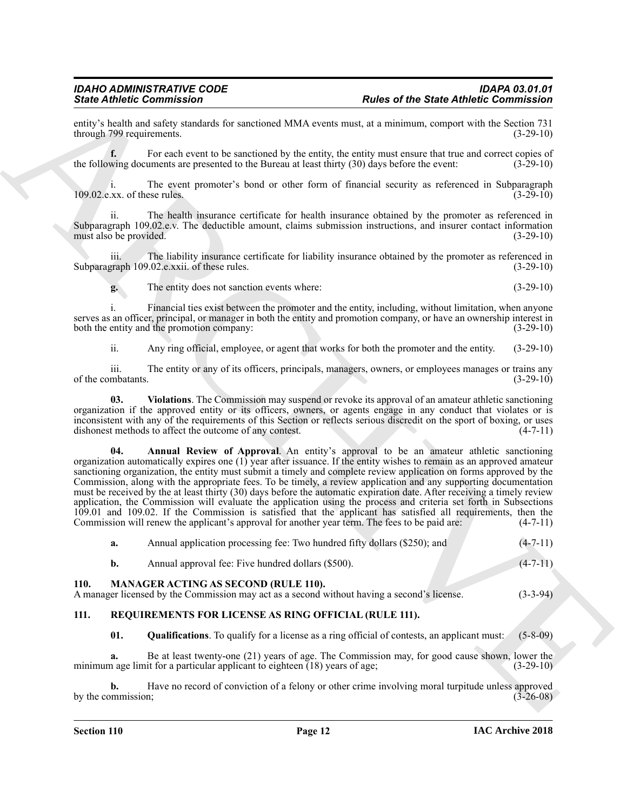entity's health and safety standards for sanctioned MMA events must, at a minimum, comport with the Section 731 through 799 requirements.

For each event to be sanctioned by the entity, the entity must ensure that true and correct copies of the following documents are presented to the Bureau at least thirty (30) days before the event: (3-29-10)

i. The event promoter's bond or other form of financial security as referenced in Subparagraph (3-29-10)<br>(3-29-10)  $109.02$ .e.xx. of these rules.

ii. The health insurance certificate for health insurance obtained by the promoter as referenced in Subparagraph 109.02.e.v. The deductible amount, claims submission instructions, and insurer contact information must also be provided. (3-29-10) must also be provided.

iii. The liability insurance certificate for liability insurance obtained by the promoter as referenced in Subparagraph 109.02.e.xxii. of these rules. (3-29-10)

**g.** The entity does not sanction events where: (3-29-10)

i. Financial ties exist between the promoter and the entity, including, without limitation, when anyone serves as an officer, principal, or manager in both the entity and promotion company, or have an ownership interest in both the entity and the promotion company: (3-29-10) (3-29-10)

<span id="page-11-3"></span>ii. Any ring official, employee, or agent that works for both the promoter and the entity. (3-29-10)

iii. The entity or any of its officers, principals, managers, owners, or employees manages or trains any mbatants. (3-29-10) of the combatants.

<span id="page-11-2"></span>**03. Violations**. The Commission may suspend or revoke its approval of an amateur athletic sanctioning organization if the approved entity or its officers, owners, or agents engage in any conduct that violates or is inconsistent with any of the requirements of this Section or reflects serious discredit on the sport of boxing, or uses dishonest methods to affect the outcome of any contest. (4-7-11) dishonest methods to affect the outcome of any contest.

Since  $\vec{B}$  the matter contribution of the same state of the State Antheir Commission of the State Antheir Commission of the State Antheir Commission of the State Antheir Commission of the State Antheir Commission of th **04. Annual Review of Approval**. An entity's approval to be an amateur athletic sanctioning organization automatically expires one (1) year after issuance. If the entity wishes to remain as an approved amateur sanctioning organization, the entity must submit a timely and complete review application on forms approved by the Commission, along with the appropriate fees. To be timely, a review application and any supporting documentation must be received by the at least thirty (30) days before the automatic expiration date. After receiving a timely review application, the Commission will evaluate the application using the process and criteria set forth in Subsections 109.01 and 109.02. If the Commission is satisfied that the applicant has satisfied all requirements, then the Commission will renew the applicant's approval for another year term. The fees to be paid are:  $(4-7-11)$ Commission will renew the applicant's approval for another year term. The fees to be paid are:

<span id="page-11-4"></span>

|      | а. | Annual application processing fee: Two hundred fifty dollars (\$250); and                                                                  | $(4 - 7 - 11)$ |
|------|----|--------------------------------------------------------------------------------------------------------------------------------------------|----------------|
|      | b. | Annual approval fee: Five hundred dollars (\$500).                                                                                         | $(4-7-11)$     |
| 110. |    | <b>MANAGER ACTING AS SECOND (RULE 110).</b><br>A manager licensed by the Commission may act as a second without having a second's license. | $(3-3-94)$     |

### <span id="page-11-1"></span><span id="page-11-0"></span>**111. REQUIREMENTS FOR LICENSE AS RING OFFICIAL (RULE 111).**

<span id="page-11-6"></span><span id="page-11-5"></span>**01. Qualifications**. To qualify for a license as a ring official of contests, an applicant must: (5-8-09)

**a.** Be at least twenty-one (21) years of age. The Commission may, for good cause shown, lower the minimum age limit for a particular applicant to eighteen (18) years of age; (3-29-10)

**b.** Have no record of conviction of a felony or other crime involving moral turpitude unless approved by the commission; (3-26-08)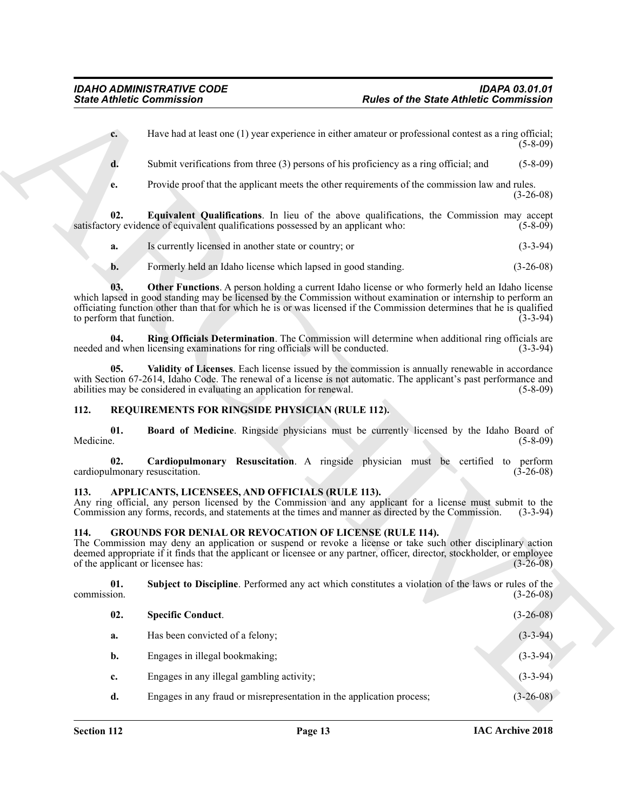- <span id="page-12-7"></span>**a.** Is currently licensed in another state or country; or (3-3-94)
- <span id="page-12-9"></span><span id="page-12-8"></span>**b.** Formerly held an Idaho license which lapsed in good standing. (3-26-08)

#### <span id="page-12-12"></span><span id="page-12-11"></span><span id="page-12-10"></span><span id="page-12-0"></span>**112. REQUIREMENTS FOR RINGSIDE PHYSICIAN (RULE 112).**

#### <span id="page-12-13"></span><span id="page-12-3"></span><span id="page-12-1"></span>**113. APPLICANTS, LICENSEES, AND OFFICIALS (RULE 113).**

#### <span id="page-12-6"></span><span id="page-12-5"></span><span id="page-12-4"></span><span id="page-12-2"></span>**114. GROUNDS FOR DENIAL OR REVOCATION OF LICENSE (RULE 114).**

|                    | <b>State Athletic Commission</b>                                                                                                                                                                                                                                                                                                                 | <b>Rules of the State Athletic Commission</b>                                                           |                 |  |
|--------------------|--------------------------------------------------------------------------------------------------------------------------------------------------------------------------------------------------------------------------------------------------------------------------------------------------------------------------------------------------|---------------------------------------------------------------------------------------------------------|-----------------|--|
|                    | $c_{\cdot}$                                                                                                                                                                                                                                                                                                                                      | Have had at least one (1) year experience in either amateur or professional contest as a ring official; | $(5-8-09)$      |  |
| d.                 |                                                                                                                                                                                                                                                                                                                                                  | Submit verifications from three (3) persons of his proficiency as a ring official; and                  | $(5 - 8 - 09)$  |  |
| e.                 |                                                                                                                                                                                                                                                                                                                                                  | Provide proof that the applicant meets the other requirements of the commission law and rules.          | $(3-26-08)$     |  |
| 02.                | satisfactory evidence of equivalent qualifications possessed by an applicant who:                                                                                                                                                                                                                                                                | Equivalent Qualifications. In lieu of the above qualifications, the Commission may accept               | $(5-8-09)$      |  |
| a.                 | Is currently licensed in another state or country; or                                                                                                                                                                                                                                                                                            |                                                                                                         | $(3-3-94)$      |  |
| b.                 | Formerly held an Idaho license which lapsed in good standing.                                                                                                                                                                                                                                                                                    |                                                                                                         | $(3-26-08)$     |  |
| 03.                | which lapsed in good standing may be licensed by the Commission without examination or internship to perform an<br>officiating function other than that for which he is or was licensed if the Commission determines that he is qualified<br>to perform that function.                                                                           | <b>Other Functions.</b> A person holding a current Idaho license or who formerly held an Idaho license  | $(3-3-94)$      |  |
| 04.                | needed and when licensing examinations for ring officials will be conducted.                                                                                                                                                                                                                                                                     | Ring Officials Determination. The Commission will determine when additional ring officials are          | $(3-3-94)$      |  |
|                    | 05.<br>with Section 67-2614, Idaho Code. The renewal of a license is not automatic. The applicant's past performance and<br>abilities may be considered in evaluating an application for renewal.                                                                                                                                                | Validity of Licenses. Each license issued by the commission is annually renewable in accordance         | $(5-8-09)$      |  |
| 112.               | REQUIREMENTS FOR RINGSIDE PHYSICIAN (RULE 112).                                                                                                                                                                                                                                                                                                  |                                                                                                         |                 |  |
| 01.<br>Medicine.   |                                                                                                                                                                                                                                                                                                                                                  | Board of Medicine. Ringside physicians must be currently licensed by the Idaho Board of                 | $(5-8-09)$      |  |
| 02.                | cardiopulmonary resuscitation.                                                                                                                                                                                                                                                                                                                   | Cardiopulmonary Resuscitation. A ringside physician must be certified to perform                        | $(3-26-08)$     |  |
| 113.               | APPLICANTS, LICENSEES, AND OFFICIALS (RULE 113).<br>Any ring official, any person licensed by the Commission and any applicant for a license must submit to the<br>Commission any forms, records, and statements at the times and manner as directed by the Commission.                                                                          |                                                                                                         | $(3-3-94)$      |  |
| 114.               | <b>GROUNDS FOR DENIAL OR REVOCATION OF LICENSE (RULE 114).</b><br>The Commission may deny an application or suspend or revoke a license or take such other disciplinary action<br>deemed appropriate if it finds that the applicant or licensee or any partner, officer, director, stockholder, or employee<br>of the applicant or licensee has: |                                                                                                         | $(3 - 26 - 08)$ |  |
| 01.<br>commission. |                                                                                                                                                                                                                                                                                                                                                  | Subject to Discipline. Performed any act which constitutes a violation of the laws or rules of the      | $(3-26-08)$     |  |
| 02.                | <b>Specific Conduct.</b>                                                                                                                                                                                                                                                                                                                         |                                                                                                         | $(3-26-08)$     |  |
| a.                 | Has been convicted of a felony;                                                                                                                                                                                                                                                                                                                  |                                                                                                         | $(3-3-94)$      |  |
| b.                 | Engages in illegal bookmaking;                                                                                                                                                                                                                                                                                                                   |                                                                                                         | $(3-3-94)$      |  |
|                    |                                                                                                                                                                                                                                                                                                                                                  |                                                                                                         | $(3-3-94)$      |  |
| c.                 | Engages in any illegal gambling activity;                                                                                                                                                                                                                                                                                                        |                                                                                                         |                 |  |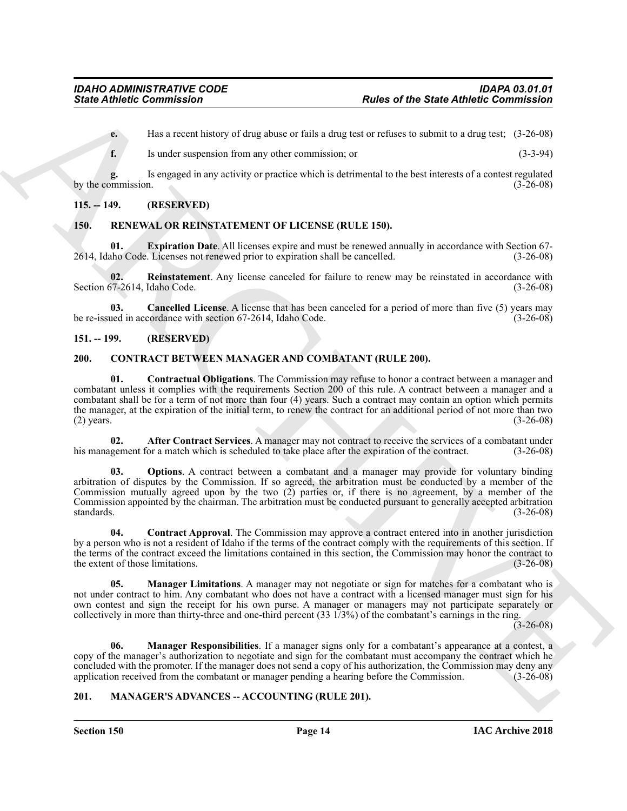**e.** Has a recent history of drug abuse or fails a drug test or refuses to submit to a drug test; (3-26-08)

**f.** Is under suspension from any other commission; or (3-3-94)

**g.** Is engaged in any activity or practice which is detrimental to the best interests of a contest regulated by the commission.

#### <span id="page-13-0"></span>**115. -- 149. (RESERVED)**

#### <span id="page-13-15"></span><span id="page-13-13"></span><span id="page-13-1"></span>**150. RENEWAL OR REINSTATEMENT OF LICENSE (RULE 150).**

**01. Expiration Date**. All licenses expire and must be renewed annually in accordance with Section 67- 2614, Idaho Code. Licenses not renewed prior to expiration shall be cancelled. (3-26-08)

<span id="page-13-16"></span>**02.** Reinstatement. Any license canceled for failure to renew may be reinstated in accordance with  $57-2614$ , Idaho Code. (3-26-08) Section 67-2614, Idaho Code.

<span id="page-13-14"></span>**03. Cancelled License**. A license that has been canceled for a period of more than five (5) years may be re-issued in accordance with section 67-2614, Idaho Code. (3-26-08)

#### <span id="page-13-2"></span>**151. -- 199. (RESERVED)**

#### <span id="page-13-8"></span><span id="page-13-5"></span><span id="page-13-3"></span>**200. CONTRACT BETWEEN MANAGER AND COMBATANT (RULE 200).**

**Since Athletic Commission**<br>
Later of the State Athletic Commission<br>
Later active of the state active of the state of a considered with the state of the state of the state of the state of the state of the state of the sta **01. Contractual Obligations**. The Commission may refuse to honor a contract between a manager and combatant unless it complies with the requirements Section 200 of this rule. A contract between a manager and a combatant shall be for a term of not more than four (4) years. Such a contract may contain an option which permits the manager, at the expiration of the initial term, to renew the contract for an additional period of not more than two (2) years.  $(3-26-08)$ 

<span id="page-13-6"></span>**02. After Contract Services**. A manager may not contract to receive the services of a combatant under his management for a match which is scheduled to take place after the expiration of the contract. (3-26-08)

<span id="page-13-11"></span>**03.** Options. A contract between a combatant and a manager may provide for voluntary binding arbitration of disputes by the Commission. If so agreed, the arbitration must be conducted by a member of the Commission mutually agreed upon by the two (2) parties or, if there is no agreement, by a member of the Commission appointed by the chairman. The arbitration must be conducted pursuant to generally accepted arbitration standards. (3-26-08)

<span id="page-13-7"></span>**04. Contract Approval**. The Commission may approve a contract entered into in another jurisdiction by a person who is not a resident of Idaho if the terms of the contract comply with the requirements of this section. If the terms of the contract exceed the limitations contained in this section, the Commission may honor the contract to the extent of those limitations. (3-26-08)

<span id="page-13-9"></span>**05. Manager Limitations**. A manager may not negotiate or sign for matches for a combatant who is not under contract to him. Any combatant who does not have a contract with a licensed manager must sign for his own contest and sign the receipt for his own purse. A manager or managers may not participate separately or collectively in more than thirty-three and one-third percent (33 1/3%) of the combatant's earnings in the ring.

 $(3-26-08)$ 

<span id="page-13-10"></span>**06. Manager Responsibilities**. If a manager signs only for a combatant's appearance at a contest, a copy of the manager's authorization to negotiate and sign for the combatant must accompany the contract which he concluded with the promoter. If the manager does not send a copy of his authorization, the Commission may deny any application received from the combatant or manager pending a hearing before the Commission. (3-26-08) application received from the combatant or manager pending a hearing before the Commission.

#### <span id="page-13-12"></span><span id="page-13-4"></span>**201. MANAGER'S ADVANCES -- ACCOUNTING (RULE 201).**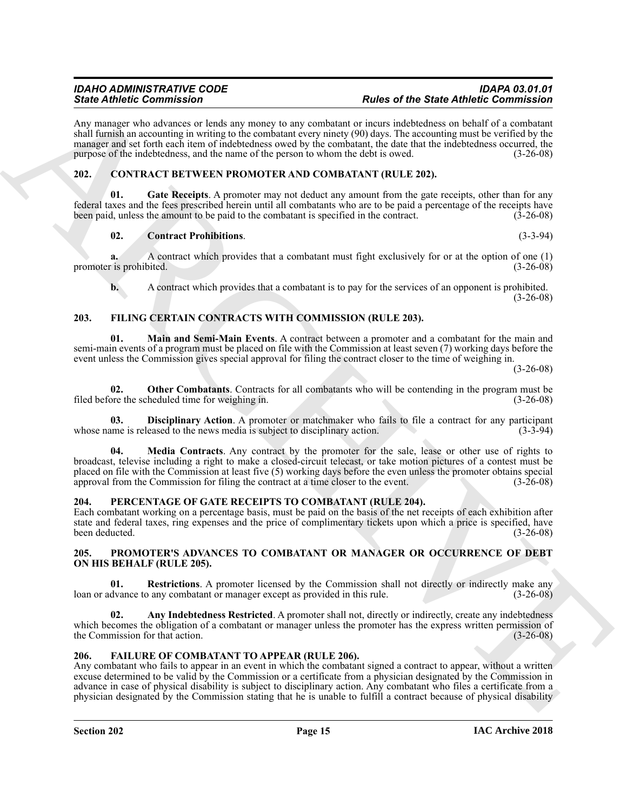Any manager who advances or lends any money to any combatant or incurs indebtedness on behalf of a combatant shall furnish an accounting in writing to the combatant every ninety (90) days. The accounting must be verified by the manager and set forth each item of indebtedness owed by the combatant, the date that the indebtedness occurred, the purpose of the indebtedness, and the name of the person to whom the debt is owed. (3-26-08)

#### <span id="page-14-5"></span><span id="page-14-0"></span>**202. CONTRACT BETWEEN PROMOTER AND COMBATANT (RULE 202).**

Gate Receipts. A promoter may not deduct any amount from the gate receipts, other than for any federal taxes and the fees prescribed herein until all combatants who are to be paid a percentage of the receipts have been paid, unless the amount to be paid to the combatant is specified in the contract. (3-26-08)

#### <span id="page-14-7"></span><span id="page-14-6"></span>**02. Contract Prohibitions**. (3-3-94)

**a.** A contract which provides that a combatant must fight exclusively for or at the option of one (1) promoter is prohibited. (3-26-08)

<span id="page-14-11"></span><span id="page-14-9"></span>**b.** A contract which provides that a combatant is to pay for the services of an opponent is prohibited.  $(3-26-08)$ 

### <span id="page-14-1"></span>**203. FILING CERTAIN CONTRACTS WITH COMMISSION (RULE 203).**

**01. Main and Semi-Main Events**. A contract between a promoter and a combatant for the main and semi-main events of a program must be placed on file with the Commission at least seven (7) working days before the event unless the Commission gives special approval for filing the contract closer to the time of weighing in.

(3-26-08)

<span id="page-14-13"></span>**02. Other Combatants**. Contracts for all combatants who will be contending in the program must be ore the scheduled time for weighing in. (3-26-08) filed before the scheduled time for weighing in.

<span id="page-14-12"></span><span id="page-14-10"></span>**03. Disciplinary Action**. A promoter or matchmaker who fails to file a contract for any participant ame is released to the news media is subject to disciplinary action. (3-3-94) whose name is released to the news media is subject to disciplinary action.

Since  $R$  and the contribution of the since the since of the Since Anti-Bin and the since the since the since the since of the since of the since of the since of the since of the since of the since of the since of the sin **04. Media Contracts**. Any contract by the promoter for the sale, lease or other use of rights to broadcast, televise including a right to make a closed-circuit telecast, or take motion pictures of a contest must be placed on file with the Commission at least five (5) working days before the even unless the promoter obtains special approval from the Commission for filing the contract at a time closer to the event. (3-26-08)

#### <span id="page-14-14"></span><span id="page-14-2"></span>**204. PERCENTAGE OF GATE RECEIPTS TO COMBATANT (RULE 204).**

Each combatant working on a percentage basis, must be paid on the basis of the net receipts of each exhibition after state and federal taxes, ring expenses and the price of complimentary tickets upon which a price is specified, have been deducted. (3-26-08)

#### <span id="page-14-15"></span><span id="page-14-3"></span>**205. PROMOTER'S ADVANCES TO COMBATANT OR MANAGER OR OCCURRENCE OF DEBT ON HIS BEHALF (RULE 205).**

<span id="page-14-17"></span>**01. Restrictions**. A promoter licensed by the Commission shall not directly or indirectly make any loan or advance to any combatant or manager except as provided in this rule. (3-26-08)

<span id="page-14-16"></span>**02.** Any Indebtedness Restricted. A promoter shall not, directly or indirectly, create any indebtedness which becomes the obligation of a combatant or manager unless the promoter has the express written permission of the Commission for that action. (3-26-08)

### <span id="page-14-8"></span><span id="page-14-4"></span>**206. FAILURE OF COMBATANT TO APPEAR (RULE 206).**

Any combatant who fails to appear in an event in which the combatant signed a contract to appear, without a written excuse determined to be valid by the Commission or a certificate from a physician designated by the Commission in advance in case of physical disability is subject to disciplinary action. Any combatant who files a certificate from a physician designated by the Commission stating that he is unable to fulfill a contract because of physical disability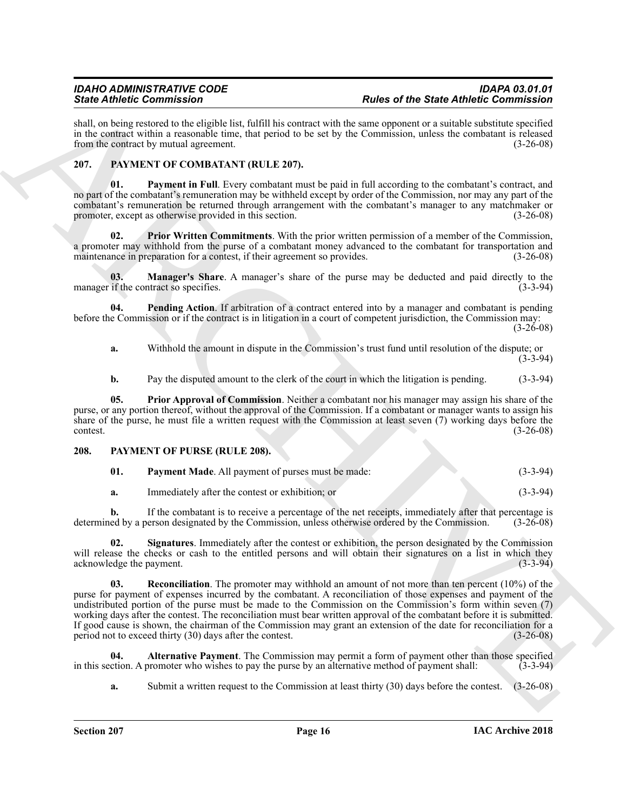shall, on being restored to the eligible list, fulfill his contract with the same opponent or a suitable substitute specified in the contract within a reasonable time, that period to be set by the Commission, unless the combatant is released from the contract by mutual agreement. (3-26-08)

#### <span id="page-15-2"></span><span id="page-15-0"></span>**207. PAYMENT OF COMBATANT (RULE 207).**

<span id="page-15-4"></span>**01. Payment in Full**. Every combatant must be paid in full according to the combatant's contract, and no part of the combatant's remuneration may be withheld except by order of the Commission, nor may any part of the combatant's remuneration be returned through arrangement with the combatant's manager to any matchmaker or promoter, except as otherwise provided in this section. (3-26-08)

<span id="page-15-7"></span>**02. Prior Written Commitments**. With the prior written permission of a member of the Commission, a promoter may withhold from the purse of a combatant money advanced to the combatant for transportation and maintenance in preparation for a contest, if their agreement so provides. (3-26-08)

<span id="page-15-3"></span>**03. Manager's Share**. A manager's share of the purse may be deducted and paid directly to the if the contract so specifies. (3-3-94) manager if the contract so specifies.

**04. Pending Action**. If arbitration of a contract entered into by a manager and combatant is pending before the Commission or if the contract is in litigation in a court of competent jurisdiction, the Commission may:

(3-26-08)

<span id="page-15-5"></span>**a.** Withhold the amount in dispute in the Commission's trust fund until resolution of the dispute; or (3-3-94)

<span id="page-15-6"></span>**b.** Pay the disputed amount to the clerk of the court in which the litigation is pending. (3-3-94)

**05. Prior Approval of Commission**. Neither a combatant nor his manager may assign his share of the purse, or any portion thereof, without the approval of the Commission. If a combatant or manager wants to assign his share of the purse, he must file a written request with the Commission at least seven (7) working days before the contest. (3-26-08)

#### <span id="page-15-1"></span>**208. PAYMENT OF PURSE (RULE 208).**

<span id="page-15-10"></span><span id="page-15-8"></span>

| Payment Made. All payment of purses must be made: | $(3-3-94)$ |
|---------------------------------------------------|------------|
|                                                   |            |

<span id="page-15-12"></span>**a.** Immediately after the contest or exhibition; or (3-3-94)

**b.** If the combatant is to receive a percentage of the net receipts, immediately after that percentage is ed by a person designated by the Commission, unless otherwise ordered by the Commission. (3-26-08) determined by a person designated by the Commission, unless otherwise ordered by the Commission.

<span id="page-15-11"></span>**02. Signatures**. Immediately after the contest or exhibition, the person designated by the Commission will release the checks or cash to the entitled persons and will obtain their signatures on a list in which they acknowledge the payment. (3-3-94) acknowledge the payment.

Since Contents and the specific term is the specific term of the specific distribution of the Since Contents and the specific term is the specific of the specific term is the specific of the specific term is a specific te **03. Reconciliation**. The promoter may withhold an amount of not more than ten percent (10%) of the purse for payment of expenses incurred by the combatant. A reconciliation of those expenses and payment of the undistributed portion of the purse must be made to the Commission on the Commission's form within seven (7) working days after the contest. The reconciliation must bear written approval of the combatant before it is submitted. If good cause is shown, the chairman of the Commission may grant an extension of the date for reconciliation for a period not to exceed thirty  $(30)$  days after the contest.  $(3-26-08)$ period not to exceed thirty  $(30)$  days after the contest.

**04. Alternative Payment**. The Commission may permit a form of payment other than those specified in this section. A promoter who wishes to pay the purse by an alternative method of payment shall: (3-3-94)

<span id="page-15-9"></span>**a.** Submit a written request to the Commission at least thirty (30) days before the contest. (3-26-08)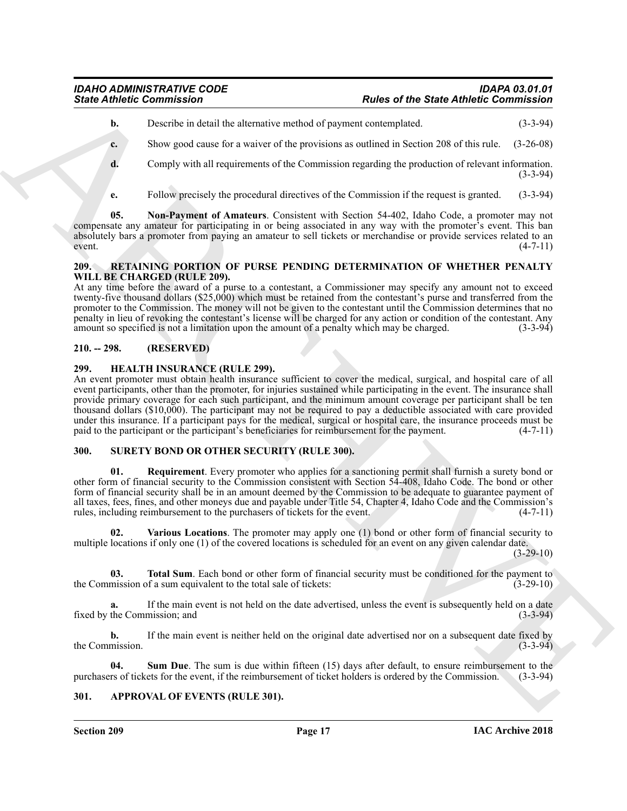**b.** Describe in detail the alternative method of payment contemplated. (3-3-94)

**c.** Show good cause for a waiver of the provisions as outlined in Section 208 of this rule. (3-26-08)

**d.** Comply with all requirements of the Commission regarding the production of relevant information. (3-3-94)

<span id="page-16-7"></span>**e.** Follow precisely the procedural directives of the Commission if the request is granted. (3-3-94)

**05. Non-Payment of Amateurs**. Consistent with Section 54-402, Idaho Code, a promoter may not compensate any amateur for participating in or being associated in any way with the promoter's event. This ban absolutely bars a promoter from paying an amateur to sell tickets or merchandise or provide services related to an event. (4-7-11)  $(4-7-11)$ 

#### <span id="page-16-8"></span><span id="page-16-0"></span>**209. RETAINING PORTION OF PURSE PENDING DETERMINATION OF WHETHER PENALTY WILL BE CHARGED (RULE 209).**

At any time before the award of a purse to a contestant, a Commissioner may specify any amount not to exceed twenty-five thousand dollars (\$25,000) which must be retained from the contestant's purse and transferred from the promoter to the Commission. The money will not be given to the contestant until the Commission determines that no penalty in lieu of revoking the contestant's license will be charged for any action or condition of the contestant. Any amount so specified is not a limitation upon the amount of a penalty which may be charged. (3-3-94)

### <span id="page-16-1"></span>**210. -- 298. (RESERVED)**

#### <span id="page-16-6"></span><span id="page-16-2"></span>**299. HEALTH INSURANCE (RULE 299).**

Since Athletic Commission<br>
Under or the State Athletic Commission<br>
Under or the State Athletic Commission<br>
Under or the state of the State Athletic Commission<br>
Complex with all requirements of the Commission regarding the An event promoter must obtain health insurance sufficient to cover the medical, surgical, and hospital care of all event participants, other than the promoter, for injuries sustained while participating in the event. The insurance shall provide primary coverage for each such participant, and the minimum amount coverage per participant shall be ten thousand dollars (\$10,000). The participant may not be required to pay a deductible associated with care provided under this insurance. If a participant pays for the medical, surgical or hospital care, the insurance proceeds must be paid to the participant or the participant's beneficiaries for reimbursement for the payment. (4-7-11) paid to the participant or the participant's beneficiaries for reimbursement for the payment.

#### <span id="page-16-9"></span><span id="page-16-3"></span>**300. SURETY BOND OR OTHER SECURITY (RULE 300).**

<span id="page-16-10"></span>**01. Requirement**. Every promoter who applies for a sanctioning permit shall furnish a surety bond or other form of financial security to the Commission consistent with Section 54-408, Idaho Code. The bond or other form of financial security shall be in an amount deemed by the Commission to be adequate to guarantee payment of all taxes, fees, fines, and other moneys due and payable under Title 54, Chapter 4, Idaho Code and the Commission's rules, including reimbursement to the purchasers of tickets for the event. (4-7-11)

<span id="page-16-13"></span>**02. Various Locations**. The promoter may apply one (1) bond or other form of financial security to multiple locations if only one (1) of the covered locations is scheduled for an event on any given calendar date.

 $(3-29-10)$ 

<span id="page-16-12"></span>**03. Total Sum**. Each bond or other form of financial security must be conditioned for the payment to mission of a sum equivalent to the total sale of tickets: (3-29-10) the Commission of a sum equivalent to the total sale of tickets:

**a.** If the main event is not held on the date advertised, unless the event is subsequently held on a date fixed by the Commission; and (3-3-94) (3-3-94)

**b.** If the main event is neither held on the original date advertised nor on a subsequent date fixed by the Commission. (3-3-94)

<span id="page-16-11"></span>**04.** Sum Due. The sum is due within fifteen (15) days after default, to ensure reimbursement to the rs of tickets for the event, if the reimbursement of ticket holders is ordered by the Commission. (3-3-94) purchasers of tickets for the event, if the reimbursement of ticket holders is ordered by the Commission.

#### <span id="page-16-5"></span><span id="page-16-4"></span>**301. APPROVAL OF EVENTS (RULE 301).**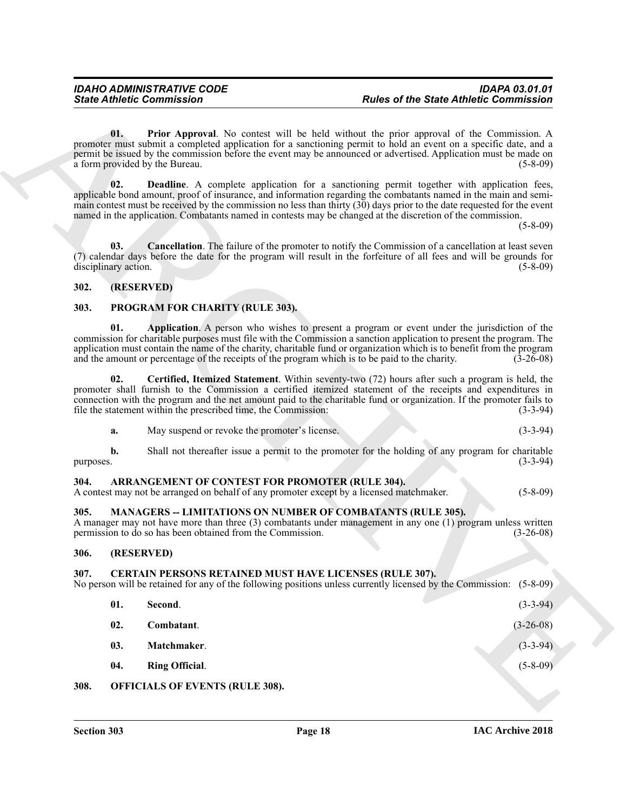#### <span id="page-17-8"></span><span id="page-17-7"></span><span id="page-17-0"></span>**302. (RESERVED)**

#### <span id="page-17-19"></span><span id="page-17-18"></span><span id="page-17-1"></span>**303. PROGRAM FOR CHARITY (RULE 303).**

<span id="page-17-20"></span>

| a. | May suspend or revoke the promoter's license. |  |  |  |
|----|-----------------------------------------------|--|--|--|
|----|-----------------------------------------------|--|--|--|

#### <span id="page-17-10"></span><span id="page-17-2"></span>**304. ARRANGEMENT OF CONTEST FOR PROMOTER (RULE 304).**

#### <span id="page-17-16"></span><span id="page-17-3"></span>**305. MANAGERS -- LIMITATIONS ON NUMBER OF COMBATANTS (RULE 305).**

#### <span id="page-17-4"></span>**306. (RESERVED)**

#### <span id="page-17-17"></span><span id="page-17-15"></span><span id="page-17-14"></span><span id="page-17-13"></span><span id="page-17-12"></span><span id="page-17-11"></span><span id="page-17-6"></span><span id="page-17-5"></span>**307. CERTAIN PERSONS RETAINED MUST HAVE LICENSES (RULE 307).**

<span id="page-17-9"></span>

|           | <b>State Athletic Commission</b>                                                                                                            | <b>Rules of the State Athletic Commission</b>                                                                                                                                                                                                                                                                                                                                                                                                                               |
|-----------|---------------------------------------------------------------------------------------------------------------------------------------------|-----------------------------------------------------------------------------------------------------------------------------------------------------------------------------------------------------------------------------------------------------------------------------------------------------------------------------------------------------------------------------------------------------------------------------------------------------------------------------|
|           | 01.<br>a form provided by the Bureau.                                                                                                       | <b>Prior Approval.</b> No contest will be held without the prior approval of the Commission. A<br>promoter must submit a completed application for a sanctioning permit to hold an event on a specific date, and a<br>permit be issued by the commission before the event may be announced or advertised. Application must be made on<br>$(5-8-09)$                                                                                                                         |
|           | 02.                                                                                                                                         | <b>Deadline.</b> A complete application for a sanctioning permit together with application fees,<br>applicable bond amount, proof of insurance, and information regarding the combatants named in the main and semi-<br>main contest must be received by the commission no less than thirty (30) days prior to the date requested for the event<br>named in the application. Combatants named in contests may be changed at the discretion of the commission.<br>$(5-8-09)$ |
|           | 03.<br>disciplinary action.                                                                                                                 | <b>Cancellation.</b> The failure of the promoter to notify the Commission of a cancellation at least seven<br>(7) calendar days before the date for the program will result in the forfeiture of all fees and will be grounds for<br>$(5-8-09)$                                                                                                                                                                                                                             |
| 302.      | (RESERVED)                                                                                                                                  |                                                                                                                                                                                                                                                                                                                                                                                                                                                                             |
| 303.      | PROGRAM FOR CHARITY (RULE 303).                                                                                                             |                                                                                                                                                                                                                                                                                                                                                                                                                                                                             |
|           | 01.<br>and the amount or percentage of the receipts of the program which is to be paid to the charity.                                      | Application. A person who wishes to present a program or event under the jurisdiction of the<br>commission for charitable purposes must file with the Commission a sanction application to present the program. The<br>application must contain the name of the charity, charitable fund or organization which is to benefit from the program<br>$(3-26-08)$                                                                                                                |
|           | 02.<br>file the statement within the prescribed time, the Commission:                                                                       | Certified, Itemized Statement. Within seventy-two (72) hours after such a program is held, the<br>promoter shall furnish to the Commission a certified itemized statement of the receipts and expenditures in<br>connection with the program and the net amount paid to the charitable fund or organization. If the promoter fails to<br>$(3-3-94)$                                                                                                                         |
|           | May suspend or revoke the promoter's license.<br>a.                                                                                         | $(3-3-94)$                                                                                                                                                                                                                                                                                                                                                                                                                                                                  |
| purposes. | b.                                                                                                                                          | Shall not thereafter issue a permit to the promoter for the holding of any program for charitable<br>$(3-3-94)$                                                                                                                                                                                                                                                                                                                                                             |
| 304.      | ARRANGEMENT OF CONTEST FOR PROMOTER (RULE 304).<br>A contest may not be arranged on behalf of any promoter except by a licensed matchmaker. | $(5-8-09)$                                                                                                                                                                                                                                                                                                                                                                                                                                                                  |
| 305.      | <b>MANAGERS -- LIMITATIONS ON NUMBER OF COMBATANTS (RULE 305).</b><br>permission to do so has been obtained from the Commission.            | A manager may not have more than three $(3)$ combatants under management in any one $(1)$ program unless written<br>$(3-26-08)$                                                                                                                                                                                                                                                                                                                                             |
| 306.      | (RESERVED)                                                                                                                                  |                                                                                                                                                                                                                                                                                                                                                                                                                                                                             |
| 307.      | <b>CERTAIN PERSONS RETAINED MUST HAVE LICENSES (RULE 307).</b>                                                                              | No person will be retained for any of the following positions unless currently licensed by the Commission:<br>$(5 - 8 - 09)$                                                                                                                                                                                                                                                                                                                                                |
|           | 01.<br>Second.                                                                                                                              | $(3-3-94)$                                                                                                                                                                                                                                                                                                                                                                                                                                                                  |
|           | 02.<br>Combatant.                                                                                                                           | $(3-26-08)$                                                                                                                                                                                                                                                                                                                                                                                                                                                                 |
|           | Matchmaker.<br>03.                                                                                                                          | $(3-3-94)$                                                                                                                                                                                                                                                                                                                                                                                                                                                                  |
|           | 04.<br><b>Ring Official.</b>                                                                                                                | $(5 - 8 - 09)$                                                                                                                                                                                                                                                                                                                                                                                                                                                              |
|           |                                                                                                                                             |                                                                                                                                                                                                                                                                                                                                                                                                                                                                             |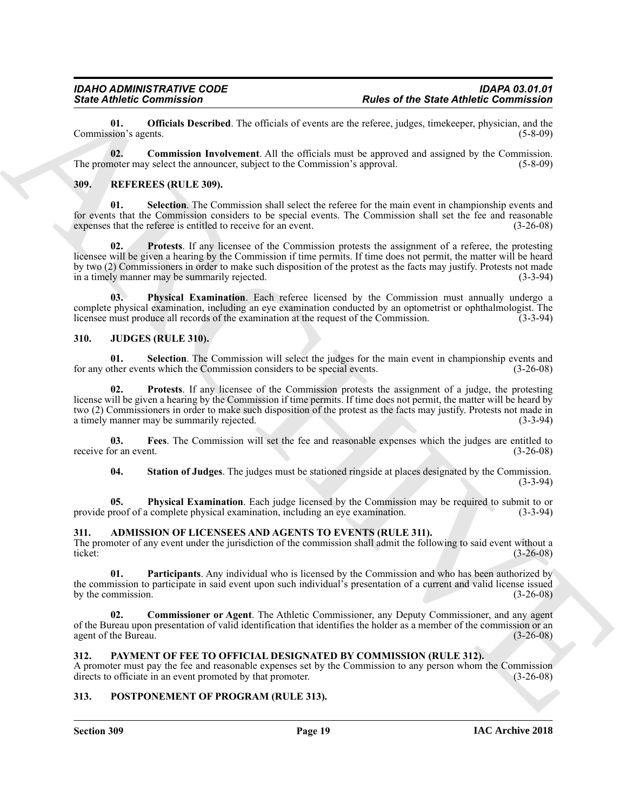<span id="page-18-15"></span>**01. Officials Described**. The officials of events are the referee, judges, timekeeper, physician, and the sion's agents. (5-8-09) Commission's agents.

<span id="page-18-14"></span>**02. Commission Involvement**. All the officials must be approved and assigned by the Commission. The promoter may select the announcer, subject to the Commission's approval. (5-8-09) (5-8-09)

#### <span id="page-18-18"></span><span id="page-18-0"></span>**309. REFEREES (RULE 309).**

<span id="page-18-21"></span><span id="page-18-20"></span>**01. Selection**. The Commission shall select the referee for the main event in championship events and for events that the Commission considers to be special events. The Commission shall set the fee and reasonable expenses that the referee is entitled to receive for an event. (3-26-08) expenses that the referee is entitled to receive for an event.

Since Zahme, Commission<br>
Commission Carrier (Exception To-values) of overtrained the Same Antheir Columnistics of the Same Antheir Commission<br>
The gradient space of the Same Antheir Commission of the second commission of **02. Protests**. If any licensee of the Commission protests the assignment of a referee, the protesting licensee will be given a hearing by the Commission if time permits. If time does not permit, the matter will be heard by two (2) Commissioners in order to make such disposition of the protest as the facts may justify. Protests not made<br>in a timely manner may be summarily rejected. in a timely manner may be summarily rejected.

<span id="page-18-19"></span>**Physical Examination**. Each referee licensed by the Commission must annually undergo a complete physical examination, including an eye examination conducted by an optometrist or ophthalmologist. The licensee must produce all records of the examination at the request of the Commission. (3-3-94) licensee must produce all records of the examination at the request of the Commission.

#### <span id="page-18-8"></span><span id="page-18-1"></span>**310. JUDGES (RULE 310).**

<span id="page-18-12"></span>**01.** Selection. The Commission will select the judges for the main event in championship events and ther events which the Commission considers to be special events. (3-26-08) for any other events which the Commission considers to be special events.

<span id="page-18-11"></span>**02. Protests**. If any licensee of the Commission protests the assignment of a judge, the protesting license will be given a hearing by the Commission if time permits. If time does not permit, the matter will be heard by two (2) Commissioners in order to make such disposition of the protest as the facts may justify. Protests not made in a timely manner may be summarily rejected. (3-3-94)

**03. Fees**. The Commission will set the fee and reasonable expenses which the judges are entitled to receive for an event. (3-26-08)

<span id="page-18-13"></span><span id="page-18-10"></span><span id="page-18-9"></span>**04. Station of Judges**. The judges must be stationed ringside at places designated by the Commission. (3-3-94)

**05. Physical Examination**. Each judge licensed by the Commission may be required to submit to or provide proof of a complete physical examination, including an eye examination. (3-3-94)

#### <span id="page-18-5"></span><span id="page-18-2"></span>**311. ADMISSION OF LICENSEES AND AGENTS TO EVENTS (RULE 311).**

The promoter of any event under the jurisdiction of the commission shall admit the following to said event without a ticket:<br>(3-26-08) ticket: (3-26-08)

<span id="page-18-7"></span>**01. Participants**. Any individual who is licensed by the Commission and who has been authorized by the commission to participate in said event upon such individual's presentation of a current and valid license issued by the commission.  $(3-26-08)$ 

<span id="page-18-6"></span>**02. Commissioner or Agent**. The Athletic Commissioner, any Deputy Commissioner, and any agent of the Bureau upon presentation of valid identification that identifies the holder as a member of the commission or an agent of the Bureau. (3-26-08)

#### <span id="page-18-16"></span><span id="page-18-3"></span>**312. PAYMENT OF FEE TO OFFICIAL DESIGNATED BY COMMISSION (RULE 312).**

A promoter must pay the fee and reasonable expenses set by the Commission to any person whom the Commission directs to officiate in an event promoted by that promoter. (3-26-08) directs to officiate in an event promoted by that promoter.

#### <span id="page-18-17"></span><span id="page-18-4"></span>**313. POSTPONEMENT OF PROGRAM (RULE 313).**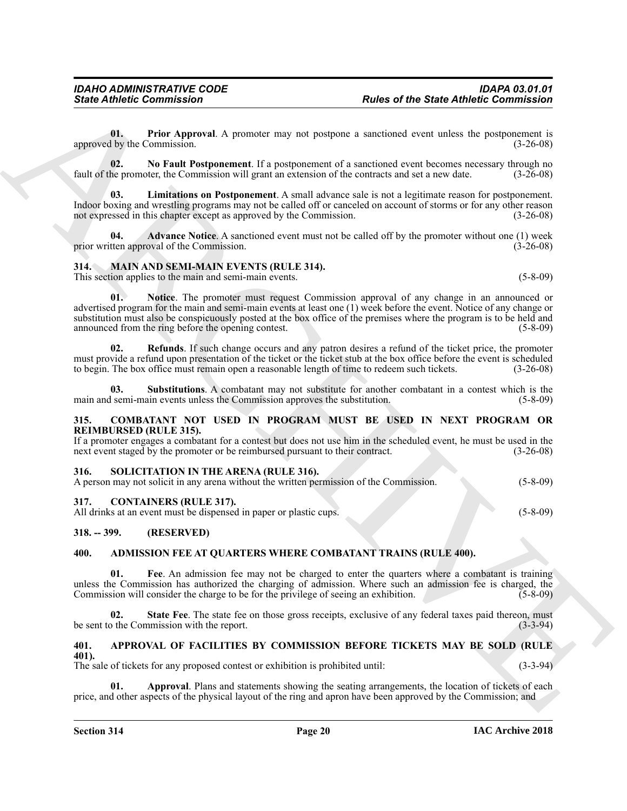<span id="page-19-21"></span>**01. Prior Approval**. A promoter may not postpone a sanctioned event unless the postponement is approved by the Commission. (3-26-08)

<span id="page-19-20"></span>**02. No Fault Postponement**. If a postponement of a sanctioned event becomes necessary through no fault of the promoter, the Commission will grant an extension of the contracts and set a new date. (3-26-08)

<span id="page-19-19"></span>**03. Limitations on Postponement**. A small advance sale is not a legitimate reason for postponement. Indoor boxing and wrestling programs may not be called off or canceled on account of storms or for any other reason not expressed in this chapter except as approved by the Commission. (3-26-08)

**04. Advance Notice**. A sanctioned event must not be called off by the promoter without one (1) week tten approval of the Commission. (3-26-08) prior written approval of the Commission.

#### <span id="page-19-0"></span>**314. MAIN AND SEMI-MAIN EVENTS (RULE 314).** This section applies to the main and semi-main events. (5-8-09)

<span id="page-19-18"></span><span id="page-19-16"></span><span id="page-19-15"></span><span id="page-19-14"></span>

**Since Athletic Commutation**<br>
U. The Approval. A presenter taxy not postpay a statistical contract the first and the postpay and the statistical contract of the Approximation of the Approximation of the Approximation of t **01. Notice**. The promoter must request Commission approval of any change in an announced or advertised program for the main and semi-main events at least one (1) week before the event. Notice of any change or substitution must also be conspicuously posted at the box office of the premises where the program is to be held and announced from the ring before the opening contest. (5-8-09)

**02. Refunds**. If such change occurs and any patron desires a refund of the ticket price, the promoter must provide a refund upon presentation of the ticket or the ticket stub at the box office before the event is scheduled to begin. The box office must remain open a reasonable length of time to redeem such tickets. (3-26-08)

<span id="page-19-17"></span>**03. Substitutions**. A combatant may not substitute for another combatant in a contest which is the main and semi-main events unless the Commission approves the substitution. (5-8-09)

#### <span id="page-19-12"></span><span id="page-19-1"></span>**315. COMBATANT NOT USED IN PROGRAM MUST BE USED IN NEXT PROGRAM OR REIMBURSED (RULE 315).**

If a promoter engages a combatant for a contest but does not use him in the scheduled event, he must be used in the next event staged by the promoter or be reimbursed pursuant to their contract.  $(3-26-08)$ 

#### <span id="page-19-22"></span><span id="page-19-2"></span>**316. SOLICITATION IN THE ARENA (RULE 316).**

A person may not solicit in any arena without the written permission of the Commission. (5-8-09)

#### <span id="page-19-13"></span><span id="page-19-3"></span>**317. CONTAINERS (RULE 317).**

All drinks at an event must be dispensed in paper or plastic cups. (5-8-09)

#### <span id="page-19-4"></span>**318. -- 399. (RESERVED)**

#### <span id="page-19-7"></span><span id="page-19-5"></span>**400. ADMISSION FEE AT QUARTERS WHERE COMBATANT TRAINS (RULE 400).**

<span id="page-19-8"></span>**01. Fee**. An admission fee may not be charged to enter the quarters where a combatant is training unless the Commission has authorized the charging of admission. Where such an admission fee is charged, the Commission will consider the charge to be for the privilege of seeing an exhibition. (5-8-09)

<span id="page-19-9"></span>**02.** State Fee. The state fee on those gross receipts, exclusive of any federal taxes paid thereon, must b the Commission with the report. be sent to the Commission with the report.

#### <span id="page-19-10"></span><span id="page-19-6"></span>**401. APPROVAL OF FACILITIES BY COMMISSION BEFORE TICKETS MAY BE SOLD (RULE 401).**

The sale of tickets for any proposed contest or exhibition is prohibited until: (3-3-94)

<span id="page-19-11"></span>Approval. Plans and statements showing the seating arrangements, the location of tickets of each price, and other aspects of the physical layout of the ring and apron have been approved by the Commission; and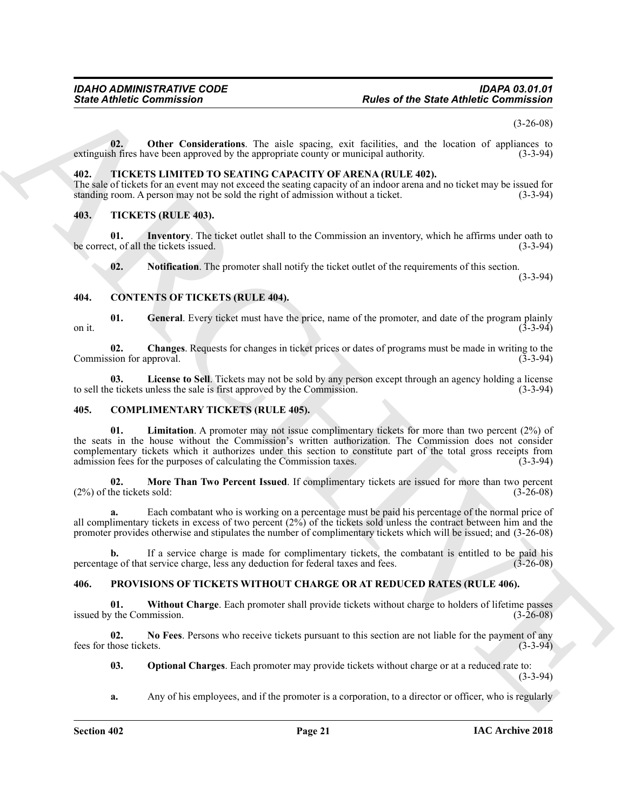(3-26-08)

<span id="page-20-5"></span>**02. Other Considerations**. The aisle spacing, exit facilities, and the location of appliances to extinguish fires have been approved by the appropriate county or municipal authority. (3-3-94)

#### <span id="page-20-19"></span><span id="page-20-0"></span>**402. TICKETS LIMITED TO SEATING CAPACITY OF ARENA (RULE 402).**

The sale of tickets for an event may not exceed the seating capacity of an indoor arena and no ticket may be issued for standing room. A person may not be sold the right of admission without a ticket. (3-3-94) standing room. A person may not be sold the right of admission without a ticket.

#### <span id="page-20-20"></span><span id="page-20-1"></span>**403. TICKETS (RULE 403).**

**01.** Inventory. The ticket outlet shall to the Commission an inventory, which he affirms under oath to the Commission and inventory, which he affirms under oath to (3-3-94) be correct, of all the tickets issued.

<span id="page-20-14"></span><span id="page-20-13"></span><span id="page-20-11"></span><span id="page-20-9"></span>**02.** Notification. The promoter shall notify the ticket outlet of the requirements of this section.

(3-3-94)

#### <span id="page-20-2"></span>**404. CONTENTS OF TICKETS (RULE 404).**

**01.** General. Every ticket must have the price, name of the promoter, and date of the program plainly (3-3-94) on it.  $(3-3-94)$ 

<span id="page-20-10"></span>**02. Changes**. Requests for changes in ticket prices or dates of programs must be made in writing to the Commission for approval. (3-3-94) (3-3-94)

<span id="page-20-12"></span>**03. License to Sell**. Tickets may not be sold by any person except through an agency holding a license to sell the tickets unless the sale is first approved by the Commission. (3-3-94)

#### <span id="page-20-7"></span><span id="page-20-6"></span><span id="page-20-3"></span>**405. COMPLIMENTARY TICKETS (RULE 405).**

Since Athletic Commutation<br>
(a) Other Carolinesium, The nice spacing, extra facilities, and the basis of spacing and<br>
solicition of the Since of Since 1988 (a) and the Since of the Since of the Since of Since of Since 198 **01. Limitation**. A promoter may not issue complimentary tickets for more than two percent (2%) of the seats in the house without the Commission's written authorization. The Commission does not consider complementary tickets which it authorizes under this section to constitute part of the total gross receipts from admission fees for the purposes of calculating the Commission taxes. (3-3-94)

<span id="page-20-8"></span>**02. More Than Two Percent Issued**. If complimentary tickets are issued for more than two percent he tickets sold: (3-26-08)  $(2%)$  of the tickets sold:

**a.** Each combatant who is working on a percentage must be paid his percentage of the normal price of all complimentary tickets in excess of two percent (2%) of the tickets sold unless the contract between him and the promoter provides otherwise and stipulates the number of complimentary tickets which will be issued; and (3-26-08)

**b.** If a service charge is made for complimentary tickets, the combatant is entitled to be paid his ge of that service charge, less any deduction for federal taxes and fees. (3-26-08) percentage of that service charge, less any deduction for federal taxes and fees.

#### <span id="page-20-15"></span><span id="page-20-4"></span>**406. PROVISIONS OF TICKETS WITHOUT CHARGE OR AT REDUCED RATES (RULE 406).**

<span id="page-20-18"></span>**01.** Without Charge. Each promoter shall provide tickets without charge to holders of lifetime passes y the Commission. (3-26-08) issued by the Commission.

**02. No Fees**. Persons who receive tickets pursuant to this section are not liable for the payment of any fees for those tickets. (3-3-94)

<span id="page-20-17"></span><span id="page-20-16"></span>**03. Optional Charges**. Each promoter may provide tickets without charge or at a reduced rate to: (3-3-94)

**a.** Any of his employees, and if the promoter is a corporation, to a director or officer, who is regularly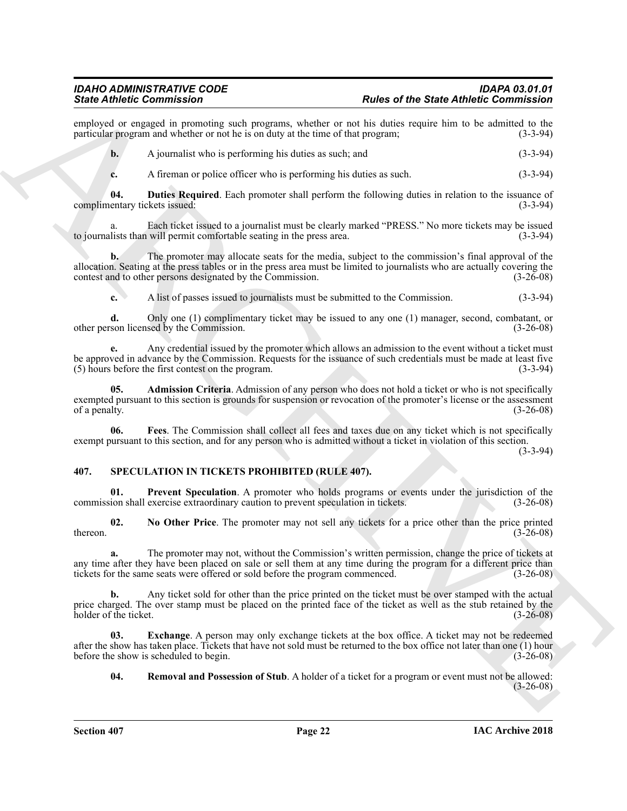employed or engaged in promoting such programs, whether or not his duties require him to be admitted to the particular program and whether or not he is on duty at the time of that program: (3-3-94) particular program and whether or not he is on duty at the time of that program;

**b.** A journalist who is performing his duties as such; and (3-3-94)

<span id="page-21-2"></span>**c.** A fireman or police officer who is performing his duties as such. (3-3-94)

**04. Duties Required**. Each promoter shall perform the following duties in relation to the issuance of complimentary tickets issued: (3-3-94)

a. Each ticket issued to a journalist must be clearly marked "PRESS." No more tickets may be issued lists than will permit comfortable seating in the press area. (3-3-94) to journalists than will permit comfortable seating in the press area.

Sink differential contents and the state of the State difference of the State direction in the state of the State direction in the state of the State distance of the State distance of the State distance of the State of th **b.** The promoter may allocate seats for the media, subject to the commission's final approval of the allocation. Seating at the press tables or in the press area must be limited to journalists who are actually covering the contest and to other persons designated by the Commission. (3-26-08)

**c.** A list of passes issued to journalists must be submitted to the Commission. (3-3-94)

**d.** Only one (1) complimentary ticket may be issued to any one (1) manager, second, combatant, or other person licensed by the Commission. (3-26-08)

**e.** Any credential issued by the promoter which allows an admission to the event without a ticket must be approved in advance by the Commission. Requests for the issuance of such credentials must be made at least five (5) hours before the first contest on the program. (3-3-94)

<span id="page-21-1"></span>**05. Admission Criteria**. Admission of any person who does not hold a ticket or who is not specifically exempted pursuant to this section is grounds for suspension or revocation of the promoter's license or the assessment of a penalty. (3-26-08) of a penalty.

<span id="page-21-3"></span>**06. Fees**. The Commission shall collect all fees and taxes due on any ticket which is not specifically exempt pursuant to this section, and for any person who is admitted without a ticket in violation of this section.

(3-3-94)

#### <span id="page-21-4"></span><span id="page-21-0"></span>**407. SPECULATION IN TICKETS PROHIBITED (RULE 407).**

<span id="page-21-7"></span>**01. Prevent Speculation**. A promoter who holds programs or events under the jurisdiction of the commission shall exercise extraordinary caution to prevent speculation in tickets. (3-26-08)

<span id="page-21-6"></span>**02. No Other Price**. The promoter may not sell any tickets for a price other than the price printed  $t = (3-26-08)$ 

**a.** The promoter may not, without the Commission's written permission, change the price of tickets at any time after they have been placed on sale or sell them at any time during the program for a different price than tickets for the same seats were offered or sold before the program commenced. (3-26-08)

**b.** Any ticket sold for other than the price printed on the ticket must be over stamped with the actual price charged. The over stamp must be placed on the printed face of the ticket as well as the stub retained by the holder of the ticket. (3-26-08) holder of the ticket.

**03.** Exchange. A person may only exchange tickets at the box office. A ticket may not be redeemed after the show has taken place. Tickets that have not sold must be returned to the box office not later than one (1) hour before the show is scheduled to begin. (3-26-08)

<span id="page-21-8"></span><span id="page-21-5"></span>**04. Removal and Possession of Stub**. A holder of a ticket for a program or event must not be allowed: (3-26-08)

**Section 407 Page 22**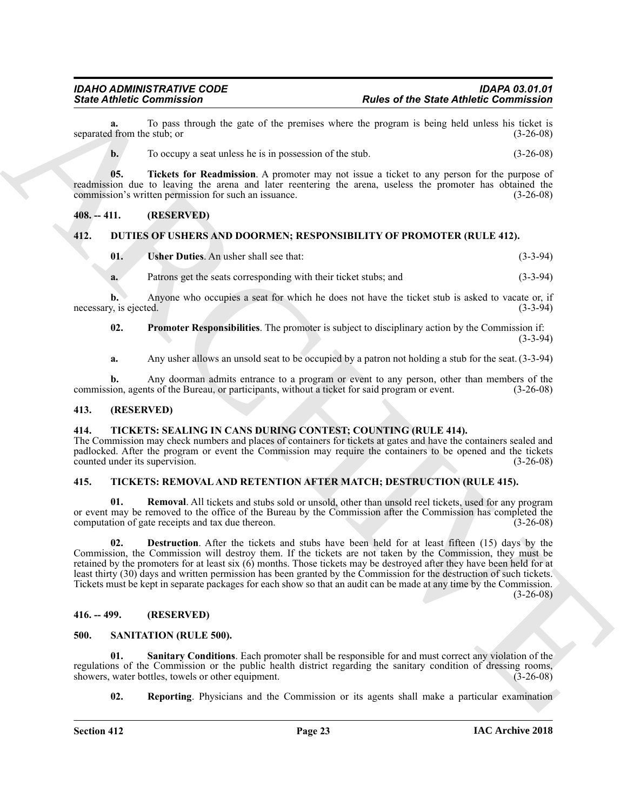To pass through the gate of the premises where the program is being held unless his ticket is estub: or (3-26-08) separated from the stub; or

<span id="page-22-14"></span>**b.** To occupy a seat unless he is in possession of the stub.  $(3-26-08)$ 

**05. Tickets for Readmission**. A promoter may not issue a ticket to any person for the purpose of readmission due to leaving the arena and later reentering the arena, useless the promoter has obtained the commission's written permission for such an issuance. (3-26-08)

#### <span id="page-22-0"></span>**408. -- 411. (RESERVED)**

#### <span id="page-22-1"></span>**412. DUTIES OF USHERS AND DOORMEN; RESPONSIBILITY OF PROMOTER (RULE 412).**

<span id="page-22-10"></span><span id="page-22-8"></span>

| Usher Duties. An usher shall see that:                           | $(3-3-94)$ |
|------------------------------------------------------------------|------------|
| Patrons get the seats corresponding with their ticket stubs; and | $(3-3-94)$ |

**b.** Anyone who occupies a seat for which he does not have the ticket stub is asked to vacate or, if necessary, is ejected. (3-3-94)

<span id="page-22-9"></span>**02. Promoter Responsibilities**. The promoter is subject to disciplinary action by the Commission if: (3-3-94)

**a.** Any usher allows an unsold seat to be occupied by a patron not holding a stub for the seat. (3-3-94)

**b.** Any doorman admits entrance to a program or event to any person, other than members of the commission, agents of the Bureau, or participants, without a ticket for said program or event. (3-26-08)

#### <span id="page-22-2"></span>**413. (RESERVED)**

#### <span id="page-22-7"></span><span id="page-22-3"></span>**414. TICKETS: SEALING IN CANS DURING CONTEST; COUNTING (RULE 414).**

The Commission may check numbers and places of containers for tickets at gates and have the containers sealed and padlocked. After the program or event the Commission may require the containers to be opened and the tickets counted under its supervision. (3-26-08)

#### <span id="page-22-4"></span>**415. TICKETS: REMOVAL AND RETENTION AFTER MATCH; DESTRUCTION (RULE 415).**

<span id="page-22-16"></span><span id="page-22-15"></span>**01. Removal**. All tickets and stubs sold or unsold, other than unsold reel tickets, used for any program or event may be removed to the office of the Bureau by the Commission after the Commission has completed the computation of gate receipts and tax due thereon. (3-26-08) computation of gate receipts and tax due thereon.

Since Athletic Commission<br>
space of the Saturday technology the space of the Saturday technology in the space of the Saturday technology is<br>
the above that the space of the Saturday technology is the space of the space of **02. Destruction**. After the tickets and stubs have been held for at least fifteen (15) days by the Commission, the Commission will destroy them. If the tickets are not taken by the Commission, they must be retained by the promoters for at least six (6) months. Those tickets may be destroyed after they have been held for at least thirty (30) days and written permission has been granted by the Commission for the destruction of such tickets. Tickets must be kept in separate packages for each show so that an audit can be made at any time by the Commission.  $(3-26-08)$ 

#### <span id="page-22-5"></span>**416. -- 499. (RESERVED)**

#### <span id="page-22-11"></span><span id="page-22-6"></span>**500. SANITATION (RULE 500).**

**01. Sanitary Conditions**. Each promoter shall be responsible for and must correct any violation of the regulations of the Commission or the public health district regarding the sanitary condition of dressing rooms, showers, water bottles, towels or other equipment. (3-26-08) showers, water bottles, towels or other equipment.

<span id="page-22-13"></span><span id="page-22-12"></span>**02.** Reporting. Physicians and the Commission or its agents shall make a particular examination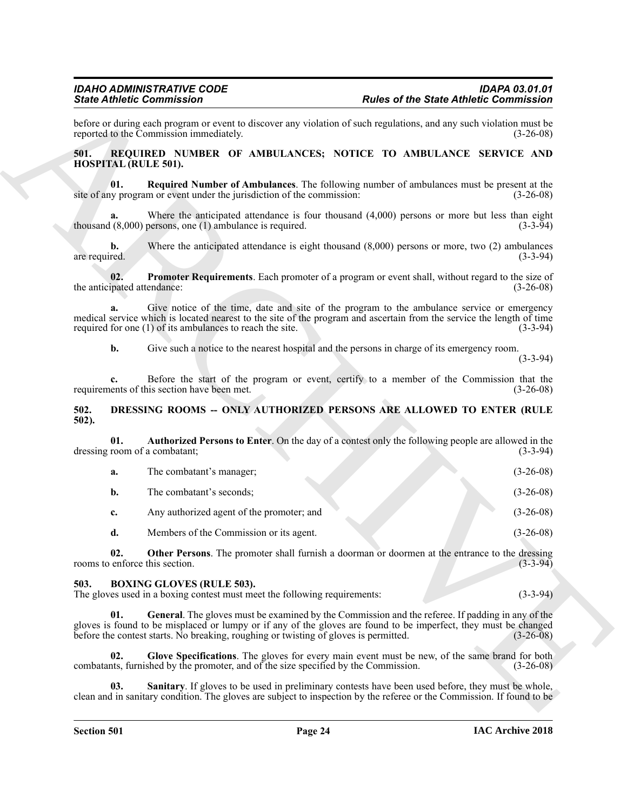#### <span id="page-23-11"></span><span id="page-23-10"></span><span id="page-23-9"></span><span id="page-23-0"></span>**501. REQUIRED NUMBER OF AMBULANCES; NOTICE TO AMBULANCE SERVICE AND HOSPITAL (RULE 501).**

#### <span id="page-23-7"></span><span id="page-23-1"></span>**502. DRESSING ROOMS -- ONLY AUTHORIZED PERSONS ARE ALLOWED TO ENTER (RULE 502).**

|                                     | <b>State Athletic Commission</b>                                                                              | <b>Rules of the State Athletic Commission</b>                                                                                                                                                                        |                                          |
|-------------------------------------|---------------------------------------------------------------------------------------------------------------|----------------------------------------------------------------------------------------------------------------------------------------------------------------------------------------------------------------------|------------------------------------------|
|                                     | reported to the Commission immediately.                                                                       | before or during each program or event to discover any violation of such regulations, and any such violation must be                                                                                                 | $(3-26-08)$                              |
| 501.<br><b>HOSPITAL (RULE 501).</b> |                                                                                                               | REQUIRED NUMBER OF AMBULANCES; NOTICE TO AMBULANCE SERVICE AND                                                                                                                                                       |                                          |
| 01.                                 | site of any program or event under the jurisdiction of the commission:                                        | Required Number of Ambulances. The following number of ambulances must be present at the                                                                                                                             | $(3-26-08)$                              |
| a.                                  | thousand $(8,000)$ persons, one $(1)$ ambulance is required.                                                  | Where the anticipated attendance is four thousand $(4,000)$ persons or more but less than eight                                                                                                                      | $(3-3-94)$                               |
| $\mathbf{b}$ .<br>are required.     |                                                                                                               | Where the anticipated attendance is eight thousand $(8,000)$ persons or more, two $(2)$ ambulances                                                                                                                   | $(3-3-94)$                               |
| 02.<br>the anticipated attendance:  |                                                                                                               | Promoter Requirements. Each promoter of a program or event shall, without regard to the size of                                                                                                                      | $(3-26-08)$                              |
| a.                                  | required for one (1) of its ambulances to reach the site.                                                     | Give notice of the time, date and site of the program to the ambulance service or emergency<br>medical service which is located nearest to the site of the program and ascertain from the service the length of time | $(3-3-94)$                               |
| b.                                  |                                                                                                               | Give such a notice to the nearest hospital and the persons in charge of its emergency room.                                                                                                                          | $(3-3-94)$                               |
| c.                                  | requirements of this section have been met.                                                                   | Before the start of the program or event, certify to a member of the Commission that the                                                                                                                             | $(3-26-08)$                              |
| 502.<br>$502$ ).                    |                                                                                                               | DRESSING ROOMS -- ONLY AUTHORIZED PERSONS ARE ALLOWED TO ENTER (RULE                                                                                                                                                 |                                          |
| 01.                                 | dressing room of a combatant;                                                                                 | Authorized Persons to Enter. On the day of a contest only the following people are allowed in the                                                                                                                    | $(3-3-94)$                               |
| a.                                  | The combatant's manager;                                                                                      |                                                                                                                                                                                                                      | $(3-26-08)$                              |
| $\mathbf{b}$ .                      | The combatant's seconds;                                                                                      |                                                                                                                                                                                                                      | $(3-26-08)$                              |
| c.                                  | Any authorized agent of the promoter; and                                                                     |                                                                                                                                                                                                                      | $(3-26-08)$                              |
| d.                                  | Members of the Commission or its agent.                                                                       |                                                                                                                                                                                                                      | $(3-26-08)$                              |
| 02.                                 | rooms to enforce this section.                                                                                | Other Persons. The promoter shall furnish a doorman or doormen at the entrance to the dressing                                                                                                                       | $(3-3-94)$                               |
|                                     |                                                                                                               |                                                                                                                                                                                                                      |                                          |
| 503.                                | <b>BOXING GLOVES (RULE 503).</b><br>The gloves used in a boxing contest must meet the following requirements: |                                                                                                                                                                                                                      |                                          |
| 01.                                 | before the contest starts. No breaking, roughing or twisting of gloves is permitted.                          | General. The gloves must be examined by the Commission and the referee. If padding in any of the<br>gloves is found to be misplaced or lumpy or if any of the gloves are found to be imperfect, they must be changed |                                          |
| 02.                                 | combatants, furnished by the promoter, and of the size specified by the Commission.                           | Glove Specifications. The gloves for every main event must be new, of the same brand for both                                                                                                                        | $(3-3-94)$<br>$(3-26-08)$<br>$(3-26-08)$ |

#### <span id="page-23-8"></span><span id="page-23-6"></span><span id="page-23-5"></span><span id="page-23-4"></span><span id="page-23-3"></span><span id="page-23-2"></span>**503. BOXING GLOVES (RULE 503).**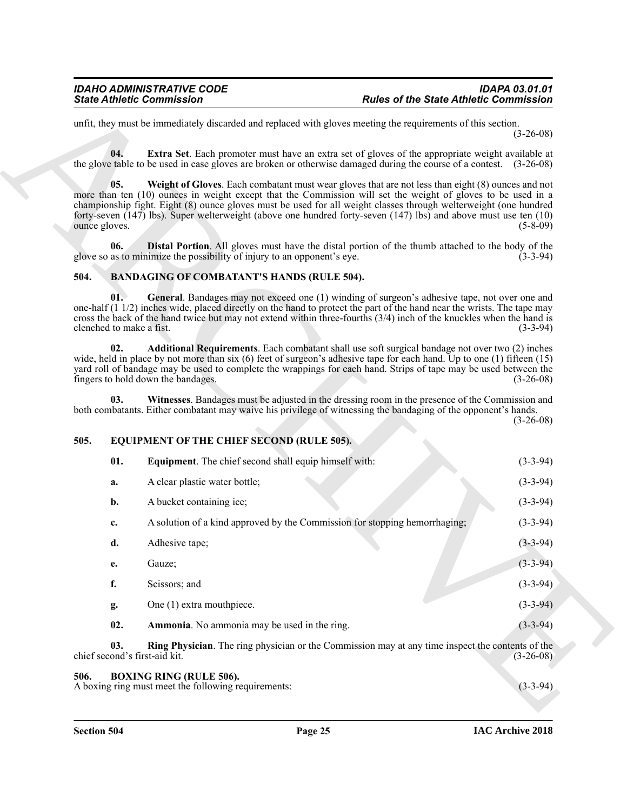#### <span id="page-24-9"></span><span id="page-24-8"></span><span id="page-24-7"></span><span id="page-24-5"></span><span id="page-24-4"></span><span id="page-24-3"></span><span id="page-24-0"></span>**504. BANDAGING OF COMBATANT'S HANDS (RULE 504).**

#### <span id="page-24-13"></span><span id="page-24-11"></span><span id="page-24-6"></span><span id="page-24-1"></span>**505. EQUIPMENT OF THE CHIEF SECOND (RULE 505).**

|                                                                                                                                                                                                                          | <b>State Athletic Commission</b>                                                                                                                                                                                                                                                                                                                                                                                                                                | <b>Rules of the State Athletic Commission</b>         |
|--------------------------------------------------------------------------------------------------------------------------------------------------------------------------------------------------------------------------|-----------------------------------------------------------------------------------------------------------------------------------------------------------------------------------------------------------------------------------------------------------------------------------------------------------------------------------------------------------------------------------------------------------------------------------------------------------------|-------------------------------------------------------|
|                                                                                                                                                                                                                          | unfit, they must be immediately discarded and replaced with gloves meeting the requirements of this section.                                                                                                                                                                                                                                                                                                                                                    | $(3-26-08)$                                           |
| 04.                                                                                                                                                                                                                      | Extra Set. Each promoter must have an extra set of gloves of the appropriate weight available at<br>the glove table to be used in case gloves are broken or otherwise damaged during the course of a contest. (3-26-08)                                                                                                                                                                                                                                         |                                                       |
| 05.<br>ounce gloves.                                                                                                                                                                                                     | Weight of Gloves. Each combatant must wear gloves that are not less than eight (8) ounces and not<br>more than ten (10) ounces in weight except that the Commission will set the weight of gloves to be used in a<br>championship fight. Eight (8) ounce gloves must be used for all weight classes through welterweight (one hundred<br>forty-seven $(147)$ lbs). Super welterweight (above one hundred forty-seven $(147)$ lbs) and above must use ten $(10)$ | $(5-8-09)$                                            |
| 06.                                                                                                                                                                                                                      | <b>Distal Portion.</b> All gloves must have the distal portion of the thumb attached to the body of the<br>glove so as to minimize the possibility of injury to an opponent's eye.                                                                                                                                                                                                                                                                              | $(3-3-94)$                                            |
| 504.                                                                                                                                                                                                                     | <b>BANDAGING OF COMBATANT'S HANDS (RULE 504).</b>                                                                                                                                                                                                                                                                                                                                                                                                               |                                                       |
| 01.<br>clenched to make a fist.                                                                                                                                                                                          | General. Bandages may not exceed one (1) winding of surgeon's adhesive tape, not over one and<br>one-half $(1\ 1/2)$ inches wide, placed directly on the hand to protect the part of the hand near the wrists. The tape may<br>cross the back of the hand twice but may not extend within three-fourths (3/4) inch of the knuckles when the hand is                                                                                                             | $(3-3-94)$                                            |
| 02.                                                                                                                                                                                                                      | Additional Requirements. Each combatant shall use soft surgical bandage not over two (2) inches<br>wide, held in place by not more than six $(6)$ feet of surgeon's adhesive tape for each hand. Up to one $(1)$ fifteen $(15)$<br>yard roll of bandage may be used to complete the wrappings for each hand. Strips of tape may be used between the<br>fingers to hold down the bandages.                                                                       | $(3-26-08)$                                           |
| Witnesses. Bandages must be adjusted in the dressing room in the presence of the Commission and<br>03.<br>both combatants. Either combatant may waive his privilege of witnessing the bandaging of the opponent's hands. |                                                                                                                                                                                                                                                                                                                                                                                                                                                                 |                                                       |
|                                                                                                                                                                                                                          |                                                                                                                                                                                                                                                                                                                                                                                                                                                                 |                                                       |
| 505.                                                                                                                                                                                                                     | EQUIPMENT OF THE CHIEF SECOND (RULE 505).                                                                                                                                                                                                                                                                                                                                                                                                                       |                                                       |
| 01.                                                                                                                                                                                                                      | <b>Equipment</b> . The chief second shall equip himself with:                                                                                                                                                                                                                                                                                                                                                                                                   |                                                       |
| a.                                                                                                                                                                                                                       | A clear plastic water bottle;                                                                                                                                                                                                                                                                                                                                                                                                                                   |                                                       |
| b.                                                                                                                                                                                                                       | A bucket containing ice;                                                                                                                                                                                                                                                                                                                                                                                                                                        | $(3-3-94)$                                            |
| c.                                                                                                                                                                                                                       | A solution of a kind approved by the Commission for stopping hemorrhaging;                                                                                                                                                                                                                                                                                                                                                                                      | $(3-3-94)$                                            |
| d.                                                                                                                                                                                                                       | Adhesive tape;                                                                                                                                                                                                                                                                                                                                                                                                                                                  | $(3-3-94)$                                            |
| e.                                                                                                                                                                                                                       | Gauze;                                                                                                                                                                                                                                                                                                                                                                                                                                                          | $(3-3-94)$                                            |
| f.                                                                                                                                                                                                                       | Scissors; and                                                                                                                                                                                                                                                                                                                                                                                                                                                   | $(3-26-08)$<br>$(3-3-94)$<br>$(3-3-94)$<br>$(3-3-94)$ |
| g.                                                                                                                                                                                                                       | One (1) extra mouthpiece.                                                                                                                                                                                                                                                                                                                                                                                                                                       | $(3-3-94)$                                            |
| 02.                                                                                                                                                                                                                      | Ammonia. No ammonia may be used in the ring.                                                                                                                                                                                                                                                                                                                                                                                                                    | $(3-3-94)$                                            |
| 03.<br>chief second's first-aid kit.                                                                                                                                                                                     | Ring Physician. The ring physician or the Commission may at any time inspect the contents of the                                                                                                                                                                                                                                                                                                                                                                | $(3-26-08)$                                           |

#### <span id="page-24-14"></span><span id="page-24-12"></span><span id="page-24-10"></span><span id="page-24-2"></span>**506. BOXING RING (RULE 506).**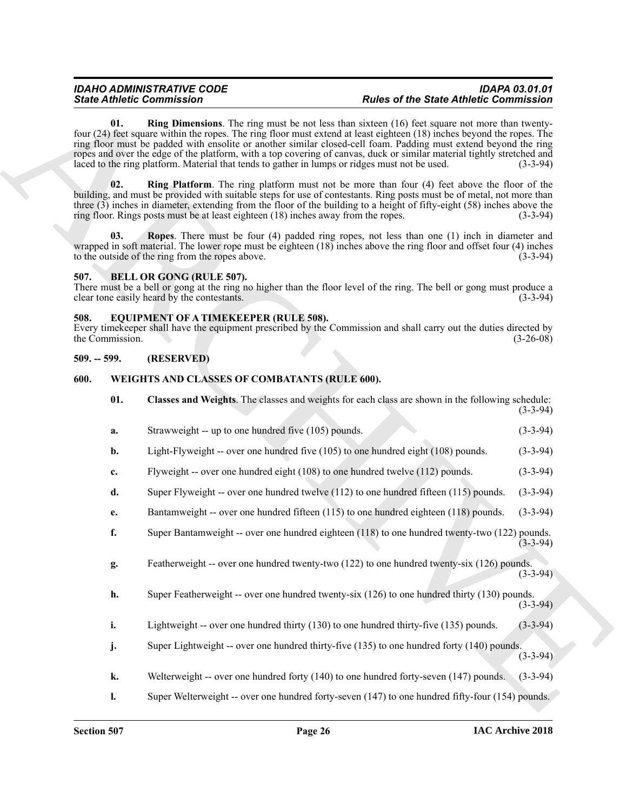#### <span id="page-25-7"></span><span id="page-25-6"></span><span id="page-25-4"></span><span id="page-25-0"></span>**507. BELL OR GONG (RULE 507).**

#### <span id="page-25-8"></span><span id="page-25-1"></span>**508. EQUIPMENT OF A TIMEKEEPER (RULE 508).**

#### <span id="page-25-2"></span>**509. -- 599. (RESERVED)**

#### <span id="page-25-10"></span><span id="page-25-9"></span><span id="page-25-3"></span>**600. WEIGHTS AND CLASSES OF COMBATANTS (RULE 600).**

<span id="page-25-5"></span>

| <b>State Athletic Commission</b> |                 |                                                                                                                                                                                                                                                                                                                                                                                                                                                                                                                                                                                 | <b>Rules of the State Athletic Commission</b> |             |
|----------------------------------|-----------------|---------------------------------------------------------------------------------------------------------------------------------------------------------------------------------------------------------------------------------------------------------------------------------------------------------------------------------------------------------------------------------------------------------------------------------------------------------------------------------------------------------------------------------------------------------------------------------|-----------------------------------------------|-------------|
|                                  | 01.             | <b>Ring Dimensions.</b> The ring must be not less than sixteen (16) feet square not more than twenty-<br>four (24) feet square within the ropes. The ring floor must extend at least eighteen (18) inches beyond the ropes. The<br>ring floor must be padded with ensolite or another similar closed-cell foam. Padding must extend beyond the ring<br>ropes and over the edge of the platform, with a top covering of canvas, duck or similar material tightly stretched and<br>laced to the ring platform. Material that tends to gather in lumps or ridges must not be used. |                                               | $(3-3-94)$  |
|                                  | 02.             | <b>Ring Platform</b> . The ring platform must not be more than four (4) feet above the floor of the<br>building, and must be provided with suitable steps for use of contestants. Ring posts must be of metal, not more than<br>three (3) inches in diameter, extending from the floor of the building to a height of fifty-eight (58) inches above the<br>ring floor. Rings posts must be at least eighteen (18) inches away from the ropes.                                                                                                                                   |                                               | $(3-3-94)$  |
|                                  | 03.             | Ropes. There must be four (4) padded ring ropes, not less than one (1) inch in diameter and<br>wrapped in soft material. The lower rope must be eighteen $(18)$ inches above the ring floor and offset four $(4)$ inches<br>to the outside of the ring from the ropes above.                                                                                                                                                                                                                                                                                                    |                                               | $(3-3-94)$  |
| 507.                             |                 | <b>BELL OR GONG (RULE 507).</b><br>There must be a bell or gong at the ring no higher than the floor level of the ring. The bell or gong must produce a<br>clear tone easily heard by the contestants.                                                                                                                                                                                                                                                                                                                                                                          |                                               | $(3-3-94)$  |
| 508.                             | the Commission. | EQUIPMENT OF A TIMEKEEPER (RULE 508).<br>Every time keeper shall have the equipment prescribed by the Commission and shall carry out the duties directed by                                                                                                                                                                                                                                                                                                                                                                                                                     |                                               | $(3-26-08)$ |
| $509. - 599.$                    |                 | (RESERVED)                                                                                                                                                                                                                                                                                                                                                                                                                                                                                                                                                                      |                                               |             |
| 600.                             |                 | WEIGHTS AND CLASSES OF COMBATANTS (RULE 600).                                                                                                                                                                                                                                                                                                                                                                                                                                                                                                                                   |                                               |             |
|                                  | 01.             | Classes and Weights. The classes and weights for each class are shown in the following schedule:                                                                                                                                                                                                                                                                                                                                                                                                                                                                                |                                               | $(3-3-94)$  |
|                                  | a.              | Strawweight -- up to one hundred five (105) pounds.                                                                                                                                                                                                                                                                                                                                                                                                                                                                                                                             |                                               | $(3-3-94)$  |
|                                  | b.              | Light-Flyweight -- over one hundred five (105) to one hundred eight (108) pounds.                                                                                                                                                                                                                                                                                                                                                                                                                                                                                               |                                               | $(3-3-94)$  |
|                                  | c.              | Flyweight -- over one hundred eight (108) to one hundred twelve (112) pounds.                                                                                                                                                                                                                                                                                                                                                                                                                                                                                                   |                                               | $(3-3-94)$  |
|                                  | d.              | Super Flyweight -- over one hundred twelve $(112)$ to one hundred fifteen $(115)$ pounds.                                                                                                                                                                                                                                                                                                                                                                                                                                                                                       |                                               | $(3-3-94)$  |
|                                  | e.              | Bantamweight -- over one hundred fifteen (115) to one hundred eighteen (118) pounds.                                                                                                                                                                                                                                                                                                                                                                                                                                                                                            |                                               | $(3-3-94)$  |
|                                  | f.              | Super Bantamweight -- over one hundred eighteen (118) to one hundred twenty-two (122) pounds.                                                                                                                                                                                                                                                                                                                                                                                                                                                                                   |                                               | $(3-3-94)$  |
|                                  | g.              | Featherweight -- over one hundred twenty-two (122) to one hundred twenty-six (126) pounds.                                                                                                                                                                                                                                                                                                                                                                                                                                                                                      |                                               | $(3-3-94)$  |
|                                  | h.              | Super Featherweight -- over one hundred twenty-six (126) to one hundred thirty (130) pounds.                                                                                                                                                                                                                                                                                                                                                                                                                                                                                    |                                               | $(3-3-94)$  |
|                                  | i.              | Lightweight -- over one hundred thirty (130) to one hundred thirty-five (135) pounds.                                                                                                                                                                                                                                                                                                                                                                                                                                                                                           |                                               | $(3-3-94)$  |
|                                  | j.              | Super Lightweight -- over one hundred thirty-five (135) to one hundred forty (140) pounds.                                                                                                                                                                                                                                                                                                                                                                                                                                                                                      |                                               | $(3-3-94)$  |
|                                  | k.              | Welterweight -- over one hundred forty (140) to one hundred forty-seven (147) pounds.                                                                                                                                                                                                                                                                                                                                                                                                                                                                                           |                                               | $(3-3-94)$  |
|                                  | $\mathbf{l}$ .  | Super Welterweight -- over one hundred forty-seven (147) to one hundred fifty-four (154) pounds.                                                                                                                                                                                                                                                                                                                                                                                                                                                                                |                                               |             |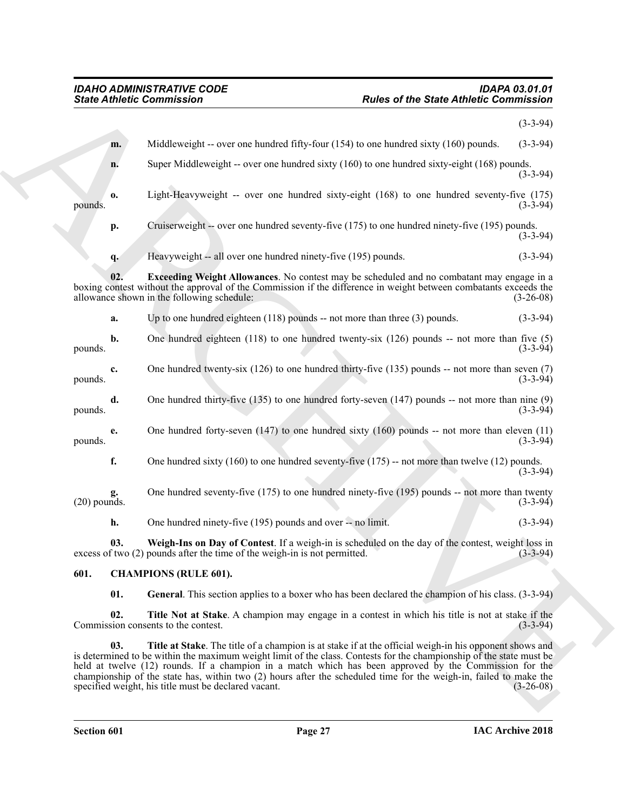<span id="page-26-5"></span>

| Middleweight -- over one hundred fifty-four $(154)$ to one hundred sixty $(160)$ pounds.<br>m.<br>Super Middleweight -- over one hundred sixty (160) to one hundred sixty-eight (168) pounds.<br>n.<br>Light-Heavyweight -- over one hundred sixty-eight (168) to one hundred seventy-five (175)<br>0.<br>pounds.<br>Cruiserweight -- over one hundred seventy-five (175) to one hundred ninety-five (195) pounds.<br>p.<br>Heavyweight -- all over one hundred ninety-five (195) pounds.<br>q.<br><b>Exceeding Weight Allowances</b> . No contest may be scheduled and no combatant may engage in a<br>02.<br>boxing contest without the approval of the Commission if the difference in weight between combatants exceeds the<br>allowance shown in the following schedule:<br>Up to one hundred eighteen $(118)$ pounds -- not more than three $(3)$ pounds.<br>a.<br>b.<br>One hundred eighteen $(118)$ to one hundred twenty-six $(126)$ pounds -- not more than five $(5)$<br>pounds.<br>One hundred twenty-six $(126)$ to one hundred thirty-five $(135)$ pounds -- not more than seven $(7)$<br>c.<br>pounds.<br>One hundred thirty-five $(135)$ to one hundred forty-seven $(147)$ pounds -- not more than nine $(9)$<br>d.<br>pounds.<br>One hundred forty-seven $(147)$ to one hundred sixty $(160)$ pounds -- not more than eleven $(11)$<br>e.<br>pounds.<br>f.<br>One hundred sixty $(160)$ to one hundred seventy-five $(175)$ -- not more than twelve $(12)$ pounds.<br>One hundred seventy-five (175) to one hundred ninety-five (195) pounds -- not more than twenty<br>$(20)$ pounds.<br>h.<br>One hundred ninety-five (195) pounds and over -- no limit.<br>Weigh-Ins on Day of Contest. If a weigh-in is scheduled on the day of the contest, weight loss in<br>03.<br>excess of two (2) pounds after the time of the weigh-in is not permitted.<br>601.<br><b>CHAMPIONS (RULE 601).</b><br>01.<br>General. This section applies to a boxer who has been declared the champion of his class. (3-3-94) | <b>Rules of the State Athletic Commission</b> |  |
|----------------------------------------------------------------------------------------------------------------------------------------------------------------------------------------------------------------------------------------------------------------------------------------------------------------------------------------------------------------------------------------------------------------------------------------------------------------------------------------------------------------------------------------------------------------------------------------------------------------------------------------------------------------------------------------------------------------------------------------------------------------------------------------------------------------------------------------------------------------------------------------------------------------------------------------------------------------------------------------------------------------------------------------------------------------------------------------------------------------------------------------------------------------------------------------------------------------------------------------------------------------------------------------------------------------------------------------------------------------------------------------------------------------------------------------------------------------------------------------------------------------------------------------------------------------------------------------------------------------------------------------------------------------------------------------------------------------------------------------------------------------------------------------------------------------------------------------------------------------------------------------------------------------------------------------------------------------------------------------------------------------------------|-----------------------------------------------|--|
|                                                                                                                                                                                                                                                                                                                                                                                                                                                                                                                                                                                                                                                                                                                                                                                                                                                                                                                                                                                                                                                                                                                                                                                                                                                                                                                                                                                                                                                                                                                                                                                                                                                                                                                                                                                                                                                                                                                                                                                                                            | $(3-3-94)$                                    |  |
|                                                                                                                                                                                                                                                                                                                                                                                                                                                                                                                                                                                                                                                                                                                                                                                                                                                                                                                                                                                                                                                                                                                                                                                                                                                                                                                                                                                                                                                                                                                                                                                                                                                                                                                                                                                                                                                                                                                                                                                                                            | $(3-3-94)$                                    |  |
|                                                                                                                                                                                                                                                                                                                                                                                                                                                                                                                                                                                                                                                                                                                                                                                                                                                                                                                                                                                                                                                                                                                                                                                                                                                                                                                                                                                                                                                                                                                                                                                                                                                                                                                                                                                                                                                                                                                                                                                                                            | $(3-3-94)$                                    |  |
|                                                                                                                                                                                                                                                                                                                                                                                                                                                                                                                                                                                                                                                                                                                                                                                                                                                                                                                                                                                                                                                                                                                                                                                                                                                                                                                                                                                                                                                                                                                                                                                                                                                                                                                                                                                                                                                                                                                                                                                                                            | $(3-3-94)$                                    |  |
|                                                                                                                                                                                                                                                                                                                                                                                                                                                                                                                                                                                                                                                                                                                                                                                                                                                                                                                                                                                                                                                                                                                                                                                                                                                                                                                                                                                                                                                                                                                                                                                                                                                                                                                                                                                                                                                                                                                                                                                                                            | $(3-3-94)$                                    |  |
|                                                                                                                                                                                                                                                                                                                                                                                                                                                                                                                                                                                                                                                                                                                                                                                                                                                                                                                                                                                                                                                                                                                                                                                                                                                                                                                                                                                                                                                                                                                                                                                                                                                                                                                                                                                                                                                                                                                                                                                                                            | $(3-3-94)$                                    |  |
|                                                                                                                                                                                                                                                                                                                                                                                                                                                                                                                                                                                                                                                                                                                                                                                                                                                                                                                                                                                                                                                                                                                                                                                                                                                                                                                                                                                                                                                                                                                                                                                                                                                                                                                                                                                                                                                                                                                                                                                                                            | $(3-26-08)$                                   |  |
|                                                                                                                                                                                                                                                                                                                                                                                                                                                                                                                                                                                                                                                                                                                                                                                                                                                                                                                                                                                                                                                                                                                                                                                                                                                                                                                                                                                                                                                                                                                                                                                                                                                                                                                                                                                                                                                                                                                                                                                                                            | $(3-3-94)$                                    |  |
|                                                                                                                                                                                                                                                                                                                                                                                                                                                                                                                                                                                                                                                                                                                                                                                                                                                                                                                                                                                                                                                                                                                                                                                                                                                                                                                                                                                                                                                                                                                                                                                                                                                                                                                                                                                                                                                                                                                                                                                                                            | $(3-3-94)$                                    |  |
|                                                                                                                                                                                                                                                                                                                                                                                                                                                                                                                                                                                                                                                                                                                                                                                                                                                                                                                                                                                                                                                                                                                                                                                                                                                                                                                                                                                                                                                                                                                                                                                                                                                                                                                                                                                                                                                                                                                                                                                                                            | $(3-3-94)$                                    |  |
|                                                                                                                                                                                                                                                                                                                                                                                                                                                                                                                                                                                                                                                                                                                                                                                                                                                                                                                                                                                                                                                                                                                                                                                                                                                                                                                                                                                                                                                                                                                                                                                                                                                                                                                                                                                                                                                                                                                                                                                                                            | $(3-3-94)$                                    |  |
|                                                                                                                                                                                                                                                                                                                                                                                                                                                                                                                                                                                                                                                                                                                                                                                                                                                                                                                                                                                                                                                                                                                                                                                                                                                                                                                                                                                                                                                                                                                                                                                                                                                                                                                                                                                                                                                                                                                                                                                                                            | $(3-3-94)$                                    |  |
|                                                                                                                                                                                                                                                                                                                                                                                                                                                                                                                                                                                                                                                                                                                                                                                                                                                                                                                                                                                                                                                                                                                                                                                                                                                                                                                                                                                                                                                                                                                                                                                                                                                                                                                                                                                                                                                                                                                                                                                                                            | $(3-3-94)$                                    |  |
|                                                                                                                                                                                                                                                                                                                                                                                                                                                                                                                                                                                                                                                                                                                                                                                                                                                                                                                                                                                                                                                                                                                                                                                                                                                                                                                                                                                                                                                                                                                                                                                                                                                                                                                                                                                                                                                                                                                                                                                                                            | $(3-3-94)$                                    |  |
|                                                                                                                                                                                                                                                                                                                                                                                                                                                                                                                                                                                                                                                                                                                                                                                                                                                                                                                                                                                                                                                                                                                                                                                                                                                                                                                                                                                                                                                                                                                                                                                                                                                                                                                                                                                                                                                                                                                                                                                                                            | $(3-3-94)$                                    |  |
|                                                                                                                                                                                                                                                                                                                                                                                                                                                                                                                                                                                                                                                                                                                                                                                                                                                                                                                                                                                                                                                                                                                                                                                                                                                                                                                                                                                                                                                                                                                                                                                                                                                                                                                                                                                                                                                                                                                                                                                                                            | $(3-3-94)$                                    |  |
|                                                                                                                                                                                                                                                                                                                                                                                                                                                                                                                                                                                                                                                                                                                                                                                                                                                                                                                                                                                                                                                                                                                                                                                                                                                                                                                                                                                                                                                                                                                                                                                                                                                                                                                                                                                                                                                                                                                                                                                                                            |                                               |  |
|                                                                                                                                                                                                                                                                                                                                                                                                                                                                                                                                                                                                                                                                                                                                                                                                                                                                                                                                                                                                                                                                                                                                                                                                                                                                                                                                                                                                                                                                                                                                                                                                                                                                                                                                                                                                                                                                                                                                                                                                                            |                                               |  |
| 02.<br>Title Not at Stake. A champion may engage in a contest in which his title is not at stake if the<br>Commission consents to the contest.                                                                                                                                                                                                                                                                                                                                                                                                                                                                                                                                                                                                                                                                                                                                                                                                                                                                                                                                                                                                                                                                                                                                                                                                                                                                                                                                                                                                                                                                                                                                                                                                                                                                                                                                                                                                                                                                             | $(3-3-94)$                                    |  |
| 03.<br>Title at Stake. The title of a champion is at stake if at the official weigh-in his opponent shows and<br>is determined to be within the maximum weight limit of the class. Contests for the championship of the state must be<br>held at twelve (12) rounds. If a champion in a match which has been approved by the Commission for the<br>championship of the state has, within two (2) hours after the scheduled time for the weigh-in, failed to make the<br>specified weight, his title must be declared vacant.                                                                                                                                                                                                                                                                                                                                                                                                                                                                                                                                                                                                                                                                                                                                                                                                                                                                                                                                                                                                                                                                                                                                                                                                                                                                                                                                                                                                                                                                                               | $(3-26-08)$                                   |  |

#### <span id="page-26-6"></span><span id="page-26-4"></span><span id="page-26-3"></span><span id="page-26-2"></span><span id="page-26-1"></span><span id="page-26-0"></span>**601. CHAMPIONS (RULE 601).**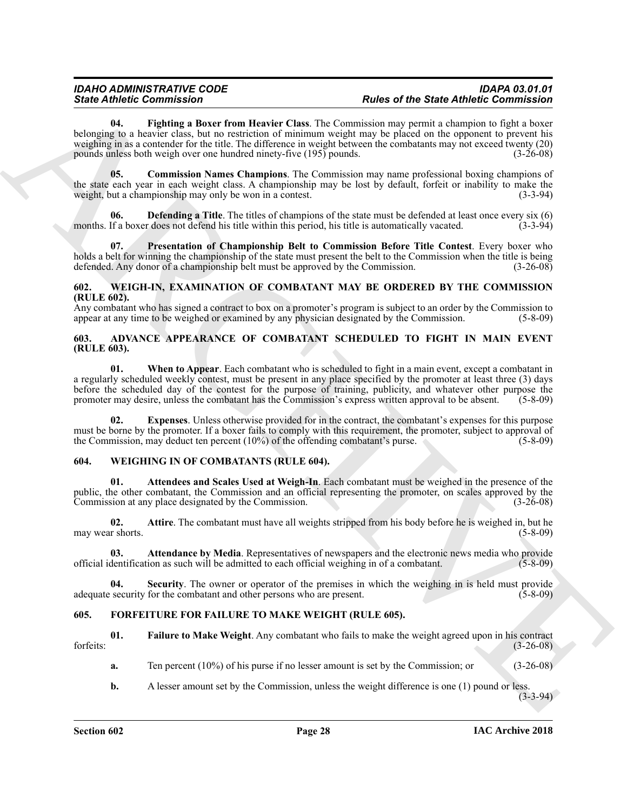Since *Commission* and the commission in the two states of the Since *Commission* and the commission in the commission in the commission of the commission in the commission of the commission of the commission in the commi **04. Fighting a Boxer from Heavier Class**. The Commission may permit a champion to fight a boxer belonging to a heavier class, but no restriction of minimum weight may be placed on the opponent to prevent his weighing in as a contender for the title. The difference in weight between the combatants may not exceed twenty (20) pounds unless both weigh over one hundred ninety-five (195) pounds. (3-26-08)

<span id="page-27-9"></span><span id="page-27-7"></span>**05. Commission Names Champions**. The Commission may name professional boxing champions of the state each year in each weight class. A championship may be lost by default, forfeit or inability to make the weight, but a championship may only be won in a contest. weight, but a championship may only be won in a contest.

<span id="page-27-8"></span>**Defending a Title**. The titles of champions of the state must be defended at least once every six (6) months. If a boxer does not defend his title within this period, his title is automatically vacated. (3-3-94)

<span id="page-27-10"></span>**07. Presentation of Championship Belt to Commission Before Title Contest**. Every boxer who holds a belt for winning the championship of the state must present the belt to the Commission when the title is being defended. Any donor of a championship belt must be approved by the Commission. (3-26-08)

#### <span id="page-27-13"></span><span id="page-27-0"></span>**602. WEIGH-IN, EXAMINATION OF COMBATANT MAY BE ORDERED BY THE COMMISSION (RULE 602).**

Any combatant who has signed a contract to box on a promoter's program is subject to an order by the Commission to appear at any time to be weighed or examined by any physician designated by the Commission. (5-8-09)

#### <span id="page-27-6"></span><span id="page-27-1"></span>**603. ADVANCE APPEARANCE OF COMBATANT SCHEDULED TO FIGHT IN MAIN EVENT (RULE 603).**

<span id="page-27-5"></span>**01. When to Appear**. Each combatant who is scheduled to fight in a main event, except a combatant in a regularly scheduled weekly contest, must be present in any place specified by the promoter at least three (3) days before the scheduled day of the contest for the purpose of training, publicity, and whatever other purpose the promoter may desire, unless the combatant has the Commission's express written approval to be absent. (5-8-09) promoter may desire, unless the combatant has the Commission's express written approval to be absent.

<span id="page-27-4"></span>**Expenses**. Unless otherwise provided for in the contract, the combatant's expenses for this purpose must be borne by the promoter. If a boxer fails to comply with this requirement, the promoter, subject to approval of the Commission, may deduct ten percent  $(10\%)$  of the offending combatant's purse. (5-8-09)

#### <span id="page-27-14"></span><span id="page-27-2"></span>**604. WEIGHING IN OF COMBATANTS (RULE 604).**

<span id="page-27-16"></span>**01. Attendees and Scales Used at Weigh-In**. Each combatant must be weighed in the presence of the public, the other combatant, the Commission and an official representing the promoter, on scales approved by the Commission at any place designated by the Commission. (3-26-08)

<span id="page-27-17"></span>**02. Attire**. The combatant must have all weights stripped from his body before he is weighed in, but he may wear shorts.  $(5-8-09)$ 

<span id="page-27-15"></span>**03. Attendance by Media**. Representatives of newspapers and the electronic news media who provide dentification as such will be admitted to each official weighing in of a combatant. (5-8-09) official identification as such will be admitted to each official weighing in of a combatant.

<span id="page-27-18"></span>**04. Security**. The owner or operator of the premises in which the weighing in is held must provide adequate security for the combatant and other persons who are present. (5-8-09)

#### <span id="page-27-11"></span><span id="page-27-3"></span>**605. FORFEITURE FOR FAILURE TO MAKE WEIGHT (RULE 605).**

**01. Failure to Make Weight**. Any combatant who fails to make the weight agreed upon in his contract forfeits: (3-26-08)

<span id="page-27-12"></span>**a.** Ten percent (10%) of his purse if no lesser amount is set by the Commission; or (3-26-08)

**b.** A lesser amount set by the Commission, unless the weight difference is one (1) pound or less.

 $(3-3-94)$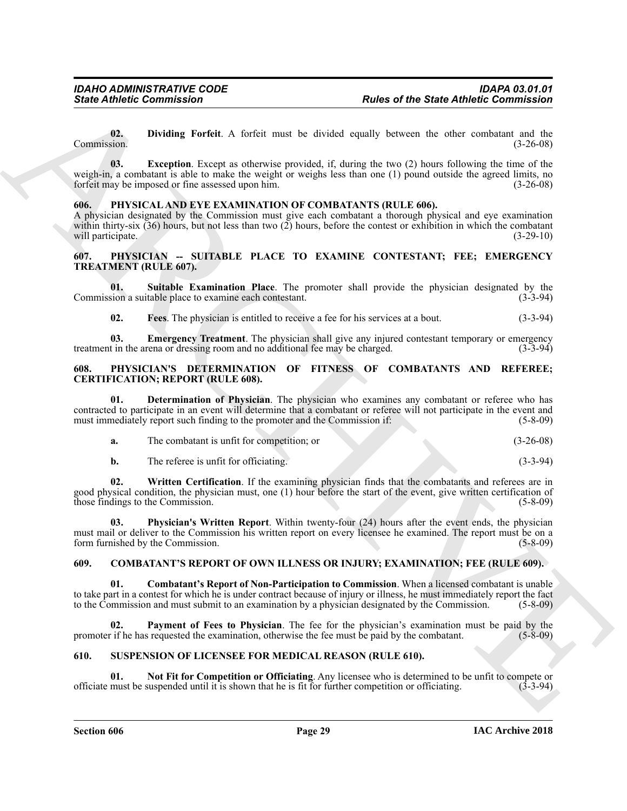<span id="page-28-11"></span><span id="page-28-10"></span>**02. Dividing Forfeit**. A forfeit must be divided equally between the other combatant and the Commission. (3-26-08)

**Since Atthese Commutation**<br> **Rother of the State Attitude of the State Attitude Commutation<br>
(Eq. 1) Dividing Perfuit. A fortal must be disclosed equally between the value ventical and be<br>
resulted by the state of the st 03.** Exception. Except as otherwise provided, if, during the two (2) hours following the time of the weigh-in, a combatant is able to make the weight or weighs less than one (1) pound outside the agreed limits, no<br>forfeit may be imposed or fine assessed upon him. forfeit may be imposed or fine assessed upon him.

#### <span id="page-28-12"></span><span id="page-28-0"></span>**606. PHYSICAL AND EYE EXAMINATION OF COMBATANTS (RULE 606).**

A physician designated by the Commission must give each combatant a thorough physical and eye examination within thirty-six (36) hours, but not less than two (2) hours, before the contest or exhibition in which the combatant will participate. (3-29-10) (3-29-10)

#### <span id="page-28-1"></span>**607. PHYSICIAN -- SUITABLE PLACE TO EXAMINE CONTESTANT; FEE; EMERGENCY TREATMENT (RULE 607).**

**01. Suitable Examination Place**. The promoter shall provide the physician designated by the Commission a suitable place to examine each contestant.

<span id="page-28-8"></span><span id="page-28-7"></span><span id="page-28-6"></span>**02. Fees**. The physician is entitled to receive a fee for his services at a bout. (3-3-94)

**03. Emergency Treatment**. The physician shall give any injured contestant temporary or emergency t in the arena or dressing room and no additional fee may be charged. (3-3-94) treatment in the arena or dressing room and no additional fee may be charged.

#### <span id="page-28-2"></span>**608. PHYSICIAN'S DETERMINATION OF FITNESS OF COMBATANTS AND REFEREE; CERTIFICATION; REPORT (RULE 608).**

**01. Determination of Physician**. The physician who examines any combatant or referee who has contracted to participate in an event will determine that a combatant or referee will not participate in the event and must immediately report such finding to the promoter and the Commission if: (5-8-09)

<span id="page-28-15"></span><span id="page-28-13"></span>

| The combatant is unfit for competition; or |  | $(3-26-08)$ |
|--------------------------------------------|--|-------------|
| The referee is unfit for officiating.      |  | $(3-3-94)$  |

<span id="page-28-14"></span>

**02. Written Certification**. If the examining physician finds that the combatants and referees are in good physical condition, the physician must, one (1) hour before the start of the event, give written certification of those findings to the Commission. (5-8-09)

**03. Physician's Written Report**. Within twenty-four (24) hours after the event ends, the physician must mail or deliver to the Commission his written report on every licensee he examined. The report must be on a form furnished by the Commission. (5-8-09)

#### <span id="page-28-3"></span>**609. COMBATANT'S REPORT OF OWN ILLNESS OR INJURY; EXAMINATION; FEE (RULE 609).**

<span id="page-28-5"></span>**01. Combatant's Report of Non-Participation to Commission**. When a licensed combatant is unable to take part in a contest for which he is under contract because of injury or illness, he must immediately report the fact to the Commission and must submit to an examination by a physician designated by the Commission. (5-8-09)

<span id="page-28-9"></span>Payment of Fees to Physician. The fee for the physician's examination must be paid by the promoter if he has requested the examination, otherwise the fee must be paid by the combatant. (5-8-09)

#### <span id="page-28-16"></span><span id="page-28-4"></span>**610. SUSPENSION OF LICENSEE FOR MEDICAL REASON (RULE 610).**

<span id="page-28-17"></span>**01.** Not Fit for Competition or Officiating. Any licensee who is determined to be unfit to compete or must be suspended until it is shown that he is fit for further competition or officiating. (3-3-94) officiate must be suspended until it is shown that he is fit for further competition or officiating. (3-3-94)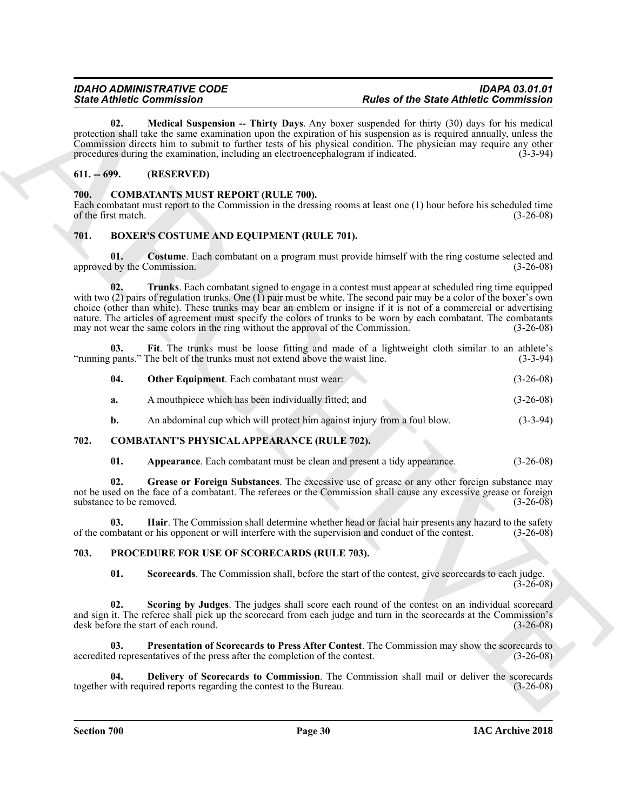<span id="page-29-20"></span>**02.** Medical Suspension -- Thirty Days. Any boxer suspended for thirty (30) days for his medical protection shall take the same examination upon the expiration of his suspension as is required annually, unless the Commission directs him to submit to further tests of his physical condition. The physician may require any other procedures during the examination, including an electroencephalogram if indicated. (3-3-94)

### <span id="page-29-0"></span>**611. -- 699. (RESERVED)**

#### <span id="page-29-14"></span><span id="page-29-1"></span>**700. COMBATANTS MUST REPORT (RULE 700).**

Each combatant must report to the Commission in the dressing rooms at least one (1) hour before his scheduled time of the first match. (3-26-08)

#### <span id="page-29-5"></span><span id="page-29-2"></span>**701. BOXER'S COSTUME AND EQUIPMENT (RULE 701).**

<span id="page-29-9"></span><span id="page-29-6"></span>**01. Costume**. Each combatant on a program must provide himself with the ring costume selected and approved by the Commission. (3-26-08)

Since Contents the Characteristics<br>
20. Model September - Heirt, Den Am best graps the Since Contents of the Since Contents of Contents of the Characteristics<br>
20. Model September - Heirt, Den Am best graps the second of **02. Trunks**. Each combatant signed to engage in a contest must appear at scheduled ring time equipped with two (2) pairs of regulation trunks. One (1) pair must be white. The second pair may be a color of the boxer's own choice (other than white). These trunks may bear an emblem or insigne if it is not of a commercial or advertising nature. The articles of agreement must specify the colors of trunks to be worn by each combatant. The combatants may not wear the same colors in the ring without the approval of the Commission. (3-26-08)

**03. Fit**. The trunks must be loose fitting and made of a lightweight cloth similar to an athlete's "running pants." The belt of the trunks must not extend above the waist line. (3-3-94)

<span id="page-29-8"></span><span id="page-29-7"></span>

| 04. | <b>Other Equipment.</b> Each combatant must wear: | $(3-26-08)$ |
|-----|---------------------------------------------------|-------------|
|-----|---------------------------------------------------|-------------|

- **a.** A mouthpiece which has been individually fitted; and (3-26-08)
- <span id="page-29-10"></span>**b.** An abdominal cup which will protect him against injury from a foul blow. (3-3-94)

#### <span id="page-29-3"></span>**702. COMBATANT'S PHYSICAL APPEARANCE (RULE 702).**

<span id="page-29-13"></span><span id="page-29-12"></span><span id="page-29-11"></span>**01.** Appearance. Each combatant must be clean and present a tidy appearance.  $(3-26-08)$ 

**02. Grease or Foreign Substances**. The excessive use of grease or any other foreign substance may not be used on the face of a combatant. The referees or the Commission shall cause any excessive grease or foreign substance to be removed. (3-26-08)

**03. Hair**. The Commission shall determine whether head or facial hair presents any hazard to the safety of the combatant or his opponent or will interfere with the supervision and conduct of the contest. (3-26-08)

#### <span id="page-29-4"></span>**703. PROCEDURE FOR USE OF SCORECARDS (RULE 703).**

<span id="page-29-19"></span><span id="page-29-18"></span><span id="page-29-17"></span><span id="page-29-15"></span>**01. Scorecards**. The Commission shall, before the start of the contest, give scorecards to each judge.  $(3-26-08)$ 

**Scoring by Judges**. The judges shall score each round of the contest on an individual scorecard and sign it. The referee shall pick up the scorecard from each judge and turn in the scorecards at the Commission's desk before the start of each round. (3-26-08) desk before the start of each round.

**03. Presentation of Scorecards to Press After Contest**. The Commission may show the scorecards to accredited representatives of the press after the completion of the contest. (3-26-08)

<span id="page-29-16"></span>**04. Delivery of Scorecards to Commission**. The Commission shall mail or deliver the scorecards with required reports regarding the contest to the Bureau. (3-26-08) together with required reports regarding the contest to the Bureau.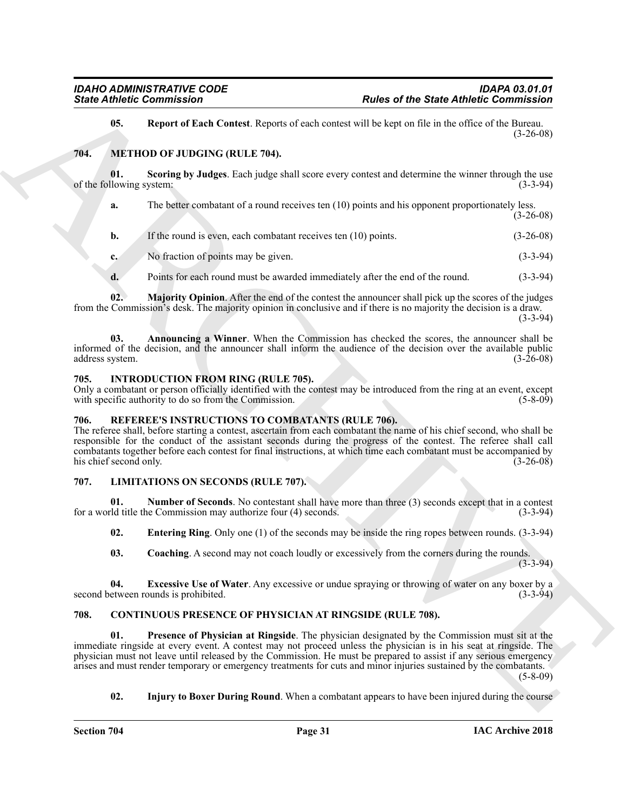#### <span id="page-30-18"></span><span id="page-30-17"></span><span id="page-30-14"></span><span id="page-30-0"></span>**704. METHOD OF JUDGING (RULE 704).**

|                                 | <b>State Athletic Commission</b>                                                                   |                                                                                                                                                                                                                                                                                                                                                                                                                                                              | <b>Rules of the State Athletic Commission</b> |  |
|---------------------------------|----------------------------------------------------------------------------------------------------|--------------------------------------------------------------------------------------------------------------------------------------------------------------------------------------------------------------------------------------------------------------------------------------------------------------------------------------------------------------------------------------------------------------------------------------------------------------|-----------------------------------------------|--|
| 05.                             |                                                                                                    | Report of Each Contest. Reports of each contest will be kept on file in the office of the Bureau.                                                                                                                                                                                                                                                                                                                                                            | $(3-26-08)$                                   |  |
| 704.                            | METHOD OF JUDGING (RULE 704).                                                                      |                                                                                                                                                                                                                                                                                                                                                                                                                                                              |                                               |  |
| 01.<br>of the following system: |                                                                                                    | Scoring by Judges. Each judge shall score every contest and determine the winner through the use                                                                                                                                                                                                                                                                                                                                                             | $(3-3-94)$                                    |  |
| a.                              |                                                                                                    | The better combatant of a round receives ten (10) points and his opponent proportionately less.                                                                                                                                                                                                                                                                                                                                                              | $(3-26-08)$                                   |  |
| b.                              | If the round is even, each combatant receives ten (10) points.                                     |                                                                                                                                                                                                                                                                                                                                                                                                                                                              | $(3-26-08)$                                   |  |
| c.                              | No fraction of points may be given.                                                                |                                                                                                                                                                                                                                                                                                                                                                                                                                                              | $(3-3-94)$                                    |  |
| d.                              |                                                                                                    | Points for each round must be awarded immediately after the end of the round.                                                                                                                                                                                                                                                                                                                                                                                | $(3-3-94)$                                    |  |
| 02.                             |                                                                                                    | Majority Opinion. After the end of the contest the announcer shall pick up the scores of the judges<br>from the Commission's desk. The majority opinion in conclusive and if there is no majority the decision is a draw.                                                                                                                                                                                                                                    | $(3-3-94)$                                    |  |
| 03.<br>address system.          |                                                                                                    | Announcing a Winner. When the Commission has checked the scores, the announcer shall be<br>informed of the decision, and the announcer shall inform the audience of the decision over the available public                                                                                                                                                                                                                                                   | $(3-26-08)$                                   |  |
| 705.                            | <b>INTRODUCTION FROM RING (RULE 705).</b><br>with specific authority to do so from the Commission. | Only a combatant or person officially identified with the contest may be introduced from the ring at an event, except                                                                                                                                                                                                                                                                                                                                        | $(5-8-09)$                                    |  |
| 706.<br>his chief second only.  | REFEREE'S INSTRUCTIONS TO COMBATANTS (RULE 706).                                                   | The referee shall, before starting a contest, ascertain from each combatant the name of his chief second, who shall be<br>responsible for the conduct of the assistant seconds during the progress of the contest. The referee shall call<br>combatants together before each contest for final instructions, at which time each combatant must be accompanied by                                                                                             | $(3-26-08)$                                   |  |
| 707.                            | <b>LIMITATIONS ON SECONDS (RULE 707).</b>                                                          |                                                                                                                                                                                                                                                                                                                                                                                                                                                              |                                               |  |
| 01.                             | for a world title the Commission may authorize four (4) seconds.                                   | <b>Number of Seconds.</b> No contestant shall have more than three (3) seconds except that in a contest                                                                                                                                                                                                                                                                                                                                                      | $(3-3-94)$                                    |  |
| 02.                             |                                                                                                    | <b>Entering Ring</b> . Only one (1) of the seconds may be inside the ring ropes between rounds. (3-3-94)                                                                                                                                                                                                                                                                                                                                                     |                                               |  |
| 03.                             |                                                                                                    | <b>Coaching.</b> A second may not coach loudly or excessively from the corners during the rounds.                                                                                                                                                                                                                                                                                                                                                            | $(3-3-94)$                                    |  |
| 04.                             | second between rounds is prohibited.                                                               | <b>Excessive Use of Water.</b> Any excessive or undue spraying or throwing of water on any boxer by a                                                                                                                                                                                                                                                                                                                                                        | $(3-3-94)$                                    |  |
| 708.                            |                                                                                                    | <b>CONTINUOUS PRESENCE OF PHYSICIAN AT RINGSIDE (RULE 708).</b>                                                                                                                                                                                                                                                                                                                                                                                              |                                               |  |
| 01.                             |                                                                                                    | Presence of Physician at Ringside. The physician designated by the Commission must sit at the<br>immediate ringside at every event. A contest may not proceed unless the physician is in his seat at ringside. The<br>physician must not leave until released by the Commission. He must be prepared to assist if any serious emergency<br>arises and must render temporary or emergency treatments for cuts and minor injuries sustained by the combatants. | $(5-8-09)$                                    |  |
|                                 |                                                                                                    |                                                                                                                                                                                                                                                                                                                                                                                                                                                              |                                               |  |

#### <span id="page-30-16"></span><span id="page-30-15"></span><span id="page-30-8"></span><span id="page-30-1"></span>**705. INTRODUCTION FROM RING (RULE 705).**

#### <span id="page-30-19"></span><span id="page-30-2"></span>**706. REFEREE'S INSTRUCTIONS TO COMBATANTS (RULE 706).**

### <span id="page-30-13"></span><span id="page-30-11"></span><span id="page-30-10"></span><span id="page-30-9"></span><span id="page-30-3"></span>**707. LIMITATIONS ON SECONDS (RULE 707).**

#### <span id="page-30-12"></span><span id="page-30-7"></span><span id="page-30-6"></span><span id="page-30-5"></span><span id="page-30-4"></span>**708. CONTINUOUS PRESENCE OF PHYSICIAN AT RINGSIDE (RULE 708).**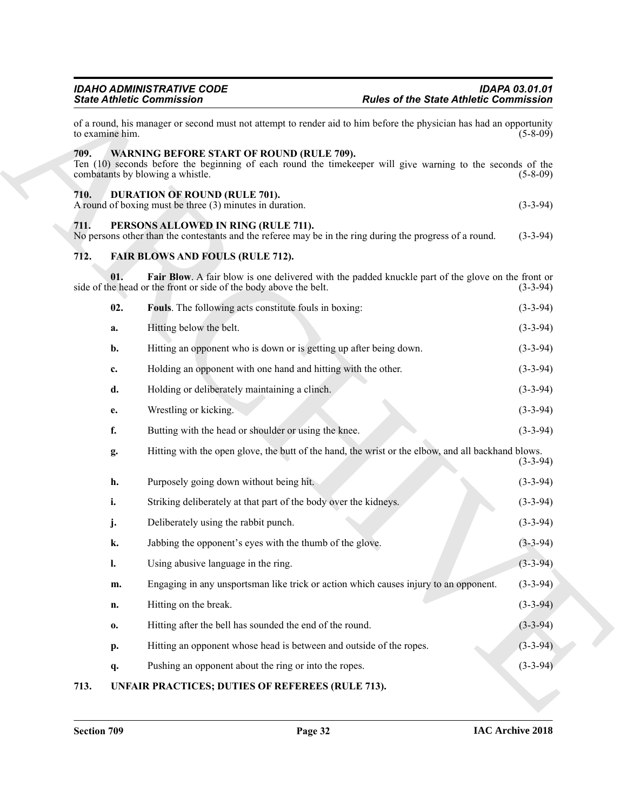<span id="page-31-10"></span><span id="page-31-9"></span><span id="page-31-8"></span><span id="page-31-7"></span><span id="page-31-6"></span><span id="page-31-5"></span><span id="page-31-3"></span><span id="page-31-2"></span><span id="page-31-1"></span><span id="page-31-0"></span>

|                 | <b>IDAHO ADMINISTRATIVE CODE</b><br><b>State Athletic Commission</b>                                                                                                                                | <b>Rules of the State Athletic Commission</b>                                                      | <b>IDAPA 03.01.01</b> |
|-----------------|-----------------------------------------------------------------------------------------------------------------------------------------------------------------------------------------------------|----------------------------------------------------------------------------------------------------|-----------------------|
| to examine him. | of a round, his manager or second must not attempt to render aid to him before the physician has had an opportunity                                                                                 |                                                                                                    | $(5-8-09)$            |
| 709.            | <b>WARNING BEFORE START OF ROUND (RULE 709).</b><br>Ten (10) seconds before the beginning of each round the time keeper will give warning to the seconds of the<br>combatants by blowing a whistle. |                                                                                                    | $(5-8-09)$            |
| 710.            | <b>DURATION OF ROUND (RULE 701).</b><br>A round of boxing must be three (3) minutes in duration.                                                                                                    |                                                                                                    | $(3-3-94)$            |
| 711.            | PERSONS ALLOWED IN RING (RULE 711).<br>No persons other than the contestants and the referee may be in the ring during the progress of a round.                                                     |                                                                                                    | $(3-3-94)$            |
| 712.            | <b>FAIR BLOWS AND FOULS (RULE 712).</b>                                                                                                                                                             |                                                                                                    |                       |
|                 | 01.<br>side of the head or the front or side of the body above the belt.                                                                                                                            | Fair Blow. A fair blow is one delivered with the padded knuckle part of the glove on the front or  | $(3-3-94)$            |
|                 | 02.<br>Fouls. The following acts constitute fouls in boxing:                                                                                                                                        |                                                                                                    | $(3-3-94)$            |
|                 | Hitting below the belt.<br>a.                                                                                                                                                                       |                                                                                                    | $(3-3-94)$            |
|                 | Hitting an opponent who is down or is getting up after being down.<br>b.                                                                                                                            |                                                                                                    | $(3-3-94)$            |
|                 | Holding an opponent with one hand and hitting with the other.<br>c.                                                                                                                                 |                                                                                                    | $(3-3-94)$            |
|                 | d.<br>Holding or deliberately maintaining a clinch.                                                                                                                                                 |                                                                                                    | $(3-3-94)$            |
|                 | Wrestling or kicking.<br>e.                                                                                                                                                                         |                                                                                                    | $(3-3-94)$            |
|                 | f.<br>Butting with the head or shoulder or using the knee.                                                                                                                                          |                                                                                                    | $(3-3-94)$            |
|                 | g.                                                                                                                                                                                                  | Hitting with the open glove, the butt of the hand, the wrist or the elbow, and all backhand blows. | $(3-3-94)$            |
|                 | h.<br>Purposely going down without being hit.                                                                                                                                                       |                                                                                                    | $(3-3-94)$            |
|                 | i.<br>Striking deliberately at that part of the body over the kidneys.                                                                                                                              |                                                                                                    | $(3-3-94)$            |
|                 | Deliberately using the rabbit punch.<br>j.                                                                                                                                                          |                                                                                                    | $(3-3-94)$            |
|                 | k.<br>Jabbing the opponent's eyes with the thumb of the glove.                                                                                                                                      |                                                                                                    | $(3-3-94)$            |
|                 | $\mathbf{l}$ .<br>Using abusive language in the ring.                                                                                                                                               |                                                                                                    | $(3-3-94)$            |
|                 | m.                                                                                                                                                                                                  | Engaging in any unsportsman like trick or action which causes injury to an opponent.               | $(3-3-94)$            |
|                 | Hitting on the break.<br>n.                                                                                                                                                                         |                                                                                                    | $(3-3-94)$            |
|                 | Hitting after the bell has sounded the end of the round.<br>$\mathbf{0}$                                                                                                                            |                                                                                                    | $(3-3-94)$            |
|                 | Hitting an opponent whose head is between and outside of the ropes.<br>p.                                                                                                                           |                                                                                                    | $(3-3-94)$            |
|                 | Pushing an opponent about the ring or into the ropes.<br>q.                                                                                                                                         |                                                                                                    | $(3-3-94)$            |
| 713.            | UNFAIR PRACTICES; DUTIES OF REFEREES (RULE 713).                                                                                                                                                    |                                                                                                    |                       |

## <span id="page-31-4"></span>**713. UNFAIR PRACTICES; DUTIES OF REFEREES (RULE 713).**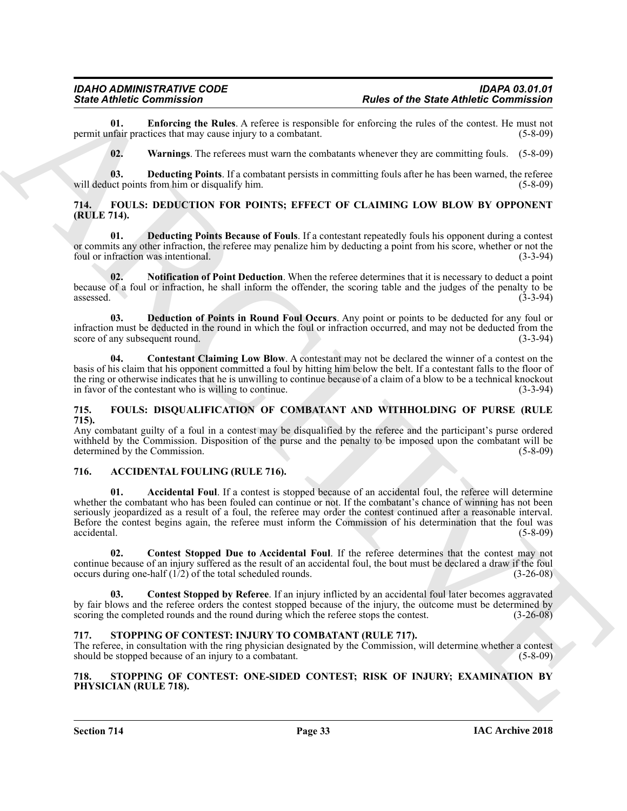**01. Enforcing the Rules**. A referee is responsible for enforcing the rules of the contest. He must not permit unfair practices that may cause injury to a combatant.

<span id="page-32-17"></span><span id="page-32-16"></span><span id="page-32-15"></span>**02. Warnings**. The referees must warn the combatants whenever they are committing fouls. (5-8-09)

**03. Deducting Points**. If a combatant persists in committing fouls after he has been warned, the referee act points from him or disqualify him. (5-8-09) will deduct points from him or disqualify him.

#### <span id="page-32-0"></span>**714. FOULS: DEDUCTION FOR POINTS; EFFECT OF CLAIMING LOW BLOW BY OPPONENT (RULE 714).**

<span id="page-32-10"></span>**01. Deducting Points Because of Fouls**. If a contestant repeatedly fouls his opponent during a contest or commits any other infraction, the referee may penalize him by deducting a point from his score, whether or not the foul or infraction was intentional. (3-3-94)

<span id="page-32-12"></span>**02. Notification of Point Deduction**. When the referee determines that it is necessary to deduct a point because of a foul or infraction, he shall inform the offender, the scoring table and the judges of the penalty to be  $\alpha$ ssessed. (3-3-94)

<span id="page-32-11"></span>**03. Deduction of Points in Round Foul Occurs**. Any point or points to be deducted for any foul or infraction must be deducted in the round in which the foul or infraction occurred, and may not be deducted from the score of any subsequent round.

<span id="page-32-9"></span>**04. Contestant Claiming Low Blow**. A contestant may not be declared the winner of a contest on the basis of his claim that his opponent committed a foul by hitting him below the belt. If a contestant falls to the floor of the ring or otherwise indicates that he is unwilling to continue because of a claim of a blow to be a technical knockout in favor of the contestant who is willing to continue. (3-3-94)

#### <span id="page-32-13"></span><span id="page-32-1"></span>**715. FOULS: DISQUALIFICATION OF COMBATANT AND WITHHOLDING OF PURSE (RULE 715).**

Any combatant guilty of a foul in a contest may be disqualified by the referee and the participant's purse ordered withheld by the Commission. Disposition of the purse and the penalty to be imposed upon the combatant will be determined by the Commission. (5-8-09)

#### <span id="page-32-6"></span><span id="page-32-5"></span><span id="page-32-2"></span>**716. ACCIDENTAL FOULING (RULE 716).**

Since Commission Control is the State Commission of the State Commission of the State Antoine Commission of the State Antoine Commission of the State Commission of the State Commission of the State Commission of the State **01. Accidental Foul**. If a contest is stopped because of an accidental foul, the referee will determine whether the combatant who has been fouled can continue or not. If the combatant's chance of winning has not been seriously jeopardized as a result of a foul, the referee may order the contest continued after a reasonable interval. Before the contest begins again, the referee must inform the Commission of his determination that the foul was accidental. (5-8-09)

<span id="page-32-8"></span>**02. Contest Stopped Due to Accidental Foul**. If the referee determines that the contest may not continue because of an injury suffered as the result of an accidental foul, the bout must be declared a draw if the foul occurs during one-half (1/2) of the total scheduled rounds. (3-26-08)

<span id="page-32-7"></span>**Contest Stopped by Referee.** If an injury inflicted by an accidental foul later becomes aggravated by fair blows and the referee orders the contest stopped because of the injury, the outcome must be determined by scoring the completed rounds and the round during which the referee stops the contest. (3-26-08)

#### <span id="page-32-14"></span><span id="page-32-3"></span>**717. STOPPING OF CONTEST: INJURY TO COMBATANT (RULE 717).**

The referee, in consultation with the ring physician designated by the Commission, will determine whether a contest should be stopped because of an injury to a combatant. (5-8-09)

#### <span id="page-32-4"></span>**718. STOPPING OF CONTEST: ONE-SIDED CONTEST; RISK OF INJURY; EXAMINATION BY PHYSICIAN (RULE 718).**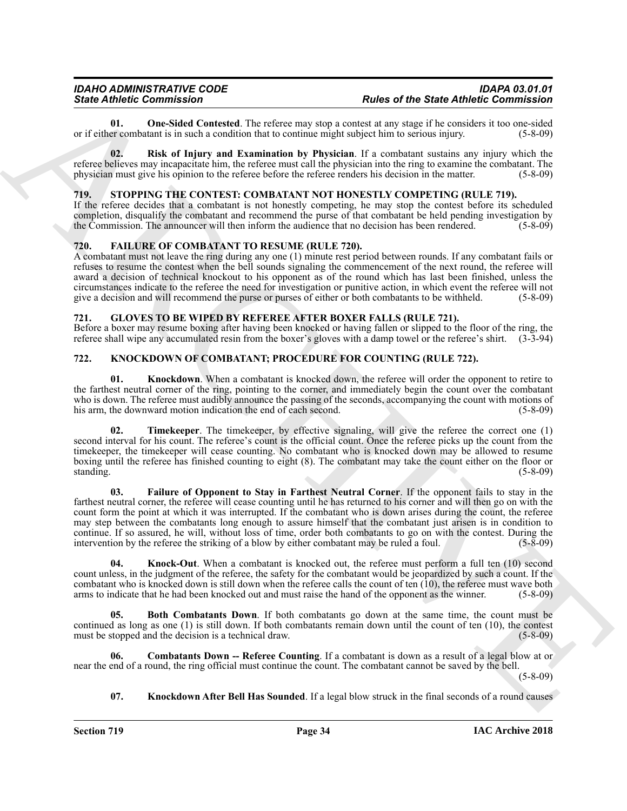<span id="page-33-4"></span>**01.** One-Sided Contested. The referee may stop a contest at any stage if he considers it too one-sided er combatant is in such a condition that to continue might subject him to serious injury. (5-8-09) or if either combatant is in such a condition that to continue might subject him to serious injury.

<span id="page-33-5"></span>**02. Risk of Injury and Examination by Physician**. If a combatant sustains any injury which the referee believes may incapacitate him, the referee must call the physician into the ring to examine the combatant. The physician must give his opinion to the referee before the referee renders his decision in the matter. (5-8-09)

#### <span id="page-33-15"></span><span id="page-33-0"></span>719. STOPPING THE CONTEST: COMBATANT NOT HONESTLY COMPETING (RULE 719).

If the referee decides that a combatant is not honestly competing, he may stop the contest before its scheduled completion, disqualify the combatant and recommend the purse of that combatant be held pending investigation by the Commission. The announcer will then inform the audience that no decision has been rendered.  $(5-8-09)$ 

#### <span id="page-33-6"></span><span id="page-33-1"></span>**720. FAILURE OF COMBATANT TO RESUME (RULE 720).**

A combatant must not leave the ring during any one (1) minute rest period between rounds. If any combatant fails or refuses to resume the contest when the bell sounds signaling the commencement of the next round, the referee will award a decision of technical knockout to his opponent as of the round which has last been finished, unless the circumstances indicate to the referee the need for investigation or punitive action, in which event the referee will not give a decision and will recommend the purse or purses of either or both combatants to be withheld. (5-8-09)

#### <span id="page-33-7"></span><span id="page-33-2"></span>**721. GLOVES TO BE WIPED BY REFEREE AFTER BOXER FALLS (RULE 721).**

Before a boxer may resume boxing after having been knocked or having fallen or slipped to the floor of the ring, the referee shall wipe any accumulated resin from the boxer's gloves with a damp towel or the referee's shirt. (3-3-94)

#### <span id="page-33-3"></span>**722. KNOCKDOWN OF COMBATANT; PROCEDURE FOR COUNTING (RULE 722).**

<span id="page-33-11"></span>**01.** Knockdown. When a combatant is knocked down, the referee will order the opponent to retire to the farthest neutral corner of the ring, pointing to the corner, and immediately begin the count over the combatant who is down. The referee must audibly announce the passing of the seconds, accompanying the count with motions of his arm, the downward motion indication the end of each second. (5-8-09) (5-8-09)

<span id="page-33-14"></span><span id="page-33-10"></span>**Timekeeper**. The timekeeper, by effective signaling, will give the referee the correct one (1) second interval for his count. The referee's count is the official count. Once the referee picks up the count from the timekeeper, the timekeeper will cease counting. No combatant who is knocked down may be allowed to resume boxing until the referee has finished counting to eight (8). The combatant may take the count either on the floor or standing. (5-8-09)

Since Contents and the contents are not the since of the Since Rive Contents and the Contents and the Since Rive Contents are not the Since Rive Contents and the since Contents are not the contents and the contents are no **03. Failure of Opponent to Stay in Farthest Neutral Corner**. If the opponent fails to stay in the farthest neutral corner, the referee will cease counting until he has returned to his corner and will then go on with the count form the point at which it was interrupted. If the combatant who is down arises during the count, the referee may step between the combatants long enough to assure himself that the combatant just arisen is in condition to continue. If so assured, he will, without loss of time, order both combatants to go on with the contest. During the intervention by the referee the striking of a blow by either combatant may be ruled a foul. (5-8-09)

<span id="page-33-13"></span>**04. Knock-Out**. When a combatant is knocked out, the referee must perform a full ten (10) second count unless, in the judgment of the referee, the safety for the combatant would be jeopardized by such a count. If the combatant who is knocked down is still down when the referee calls the count of ten (10), the referee must wave both arms to indicate that he had been knocked out and must raise the hand of the opponent as the winner. (5-8-09)

<span id="page-33-8"></span>**05. Both Combatants Down**. If both combatants go down at the same time, the count must be continued as long as one (1) is still down. If both combatants remain down until the count of ten (10), the contest must be stopped and the decision is a technical draw. (5-8-09)

**06. Combatants Down -- Referee Counting**. If a combatant is down as a result of a legal blow at or near the end of a round, the ring official must continue the count. The combatant cannot be saved by the bell.

(5-8-09)

#### <span id="page-33-12"></span><span id="page-33-9"></span>**07. Knockdown After Bell Has Sounded**. If a legal blow struck in the final seconds of a round causes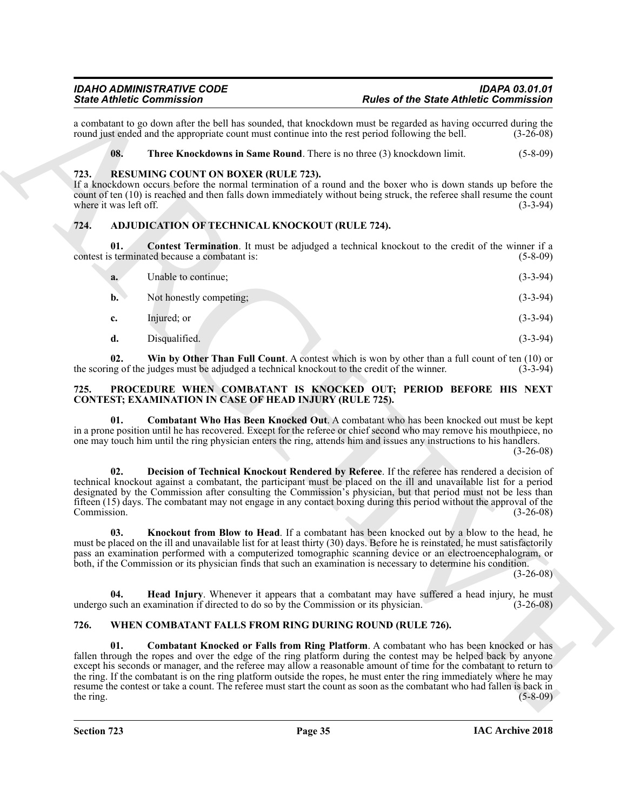#### <span id="page-34-12"></span><span id="page-34-11"></span><span id="page-34-0"></span>**723. RESUMING COUNT ON BOXER (RULE 723).**

#### <span id="page-34-5"></span><span id="page-34-4"></span><span id="page-34-1"></span>**724. ADJUDICATION OF TECHNICAL KNOCKOUT (RULE 724).**

|                                | <b>State Athletic Commission</b>                                                     | <b>Rules of the State Athletic Commission</b>                                                                                                                                                                                                                                                                                                                                                                                                                                                                                                                                        |             |
|--------------------------------|--------------------------------------------------------------------------------------|--------------------------------------------------------------------------------------------------------------------------------------------------------------------------------------------------------------------------------------------------------------------------------------------------------------------------------------------------------------------------------------------------------------------------------------------------------------------------------------------------------------------------------------------------------------------------------------|-------------|
|                                |                                                                                      | a combatant to go down after the bell has sounded, that knockdown must be regarded as having occurred during the<br>round just ended and the appropriate count must continue into the rest period following the bell.                                                                                                                                                                                                                                                                                                                                                                | $(3-26-08)$ |
| 08.                            |                                                                                      | Three Knockdowns in Same Round. There is no three (3) knockdown limit.                                                                                                                                                                                                                                                                                                                                                                                                                                                                                                               | $(5-8-09)$  |
| 723.<br>where it was left off. | <b>RESUMING COUNT ON BOXER (RULE 723).</b>                                           | If a knockdown occurs before the normal termination of a round and the boxer who is down stands up before the<br>count of ten (10) is reached and then falls down immediately without being struck, the referee shall resume the count                                                                                                                                                                                                                                                                                                                                               | $(3-3-94)$  |
| 724.                           | ADJUDICATION OF TECHNICAL KNOCKOUT (RULE 724).                                       |                                                                                                                                                                                                                                                                                                                                                                                                                                                                                                                                                                                      |             |
| 01.                            | contest is terminated because a combatant is:                                        | <b>Contest Termination</b> . It must be adjudged a technical knockout to the credit of the winner if a                                                                                                                                                                                                                                                                                                                                                                                                                                                                               | $(5-8-09)$  |
| a.                             | Unable to continue;                                                                  |                                                                                                                                                                                                                                                                                                                                                                                                                                                                                                                                                                                      | $(3-3-94)$  |
| $\mathbf{b}$ .                 | Not honestly competing;                                                              |                                                                                                                                                                                                                                                                                                                                                                                                                                                                                                                                                                                      | $(3-3-94)$  |
| c.                             | Injured; or                                                                          |                                                                                                                                                                                                                                                                                                                                                                                                                                                                                                                                                                                      | $(3-3-94)$  |
| d.                             | Disqualified.                                                                        |                                                                                                                                                                                                                                                                                                                                                                                                                                                                                                                                                                                      | $(3-3-94)$  |
| 02.                            |                                                                                      | Win by Other Than Full Count. A contest which is won by other than a full count of ten (10) or<br>the scoring of the judges must be adjudged a technical knockout to the credit of the winner.                                                                                                                                                                                                                                                                                                                                                                                       | $(3-3-94)$  |
| 725.                           | <b>CONTEST; EXAMINATION IN CASE OF HEAD INJURY (RULE 725).</b>                       | PROCEDURE WHEN COMBATANT IS KNOCKED OUT; PERIOD BEFORE HIS NEXT                                                                                                                                                                                                                                                                                                                                                                                                                                                                                                                      |             |
| 01.                            |                                                                                      | Combatant Who Has Been Knocked Out. A combatant who has been knocked out must be kept<br>in a prone position until he has recovered. Except for the referee or chief second who may remove his mouthpiece, no<br>one may touch him until the ring physician enters the ring, attends him and issues any instructions to his handlers.                                                                                                                                                                                                                                                | $(3-26-08)$ |
| 02.<br>Commission.             |                                                                                      | Decision of Technical Knockout Rendered by Referee. If the referee has rendered a decision of<br>technical knockout against a combatant, the participant must be placed on the ill and unavailable list for a period<br>designated by the Commission after consulting the Commission's physician, but that period must not be less than<br>fifteen (15) days. The combatant may not engage in any contact boxing during this period without the approval of the                                                                                                                      | $(3-26-08)$ |
| 03.                            |                                                                                      | Knockout from Blow to Head. If a combatant has been knocked out by a blow to the head, he<br>must be placed on the ill and unavailable list for at least thirty (30) days. Before he is reinstated, he must satisfactorily<br>pass an examination performed with a computerized tomographic scanning device or an electroencephalogram, or<br>both, if the Commission or its physician finds that such an examination is necessary to determine his condition.                                                                                                                       | $(3-26-08)$ |
| 04.                            | undergo such an examination if directed to do so by the Commission or its physician. | <b>Head Injury.</b> Whenever it appears that a combatant may have suffered a head injury, he must                                                                                                                                                                                                                                                                                                                                                                                                                                                                                    | $(3-26-08)$ |
| 726.                           |                                                                                      | WHEN COMBATANT FALLS FROM RING DURING ROUND (RULE 726).                                                                                                                                                                                                                                                                                                                                                                                                                                                                                                                              |             |
| 01.<br>the ring.               |                                                                                      | Combatant Knocked or Falls from Ring Platform. A combatant who has been knocked or has<br>fallen through the ropes and over the edge of the ring platform during the contest may be helped back by anyone<br>except his seconds or manager, and the referee may allow a reasonable amount of time for the combatant to return to<br>the ring. If the combatant is on the ring platform outside the ropes, he must enter the ring immediately where he may<br>resume the contest or take a count. The referee must start the count as soon as the combatant who had fallen is back in | $(5-8-09)$  |

#### <span id="page-34-8"></span><span id="page-34-7"></span><span id="page-34-6"></span><span id="page-34-2"></span>**725. PROCEDURE WHEN COMBATANT IS KNOCKED OUT; PERIOD BEFORE HIS NEXT CONTEST; EXAMINATION IN CASE OF HEAD INJURY (RULE 725).**

#### <span id="page-34-14"></span><span id="page-34-13"></span><span id="page-34-10"></span><span id="page-34-9"></span><span id="page-34-3"></span>**726. WHEN COMBATANT FALLS FROM RING DURING ROUND (RULE 726).**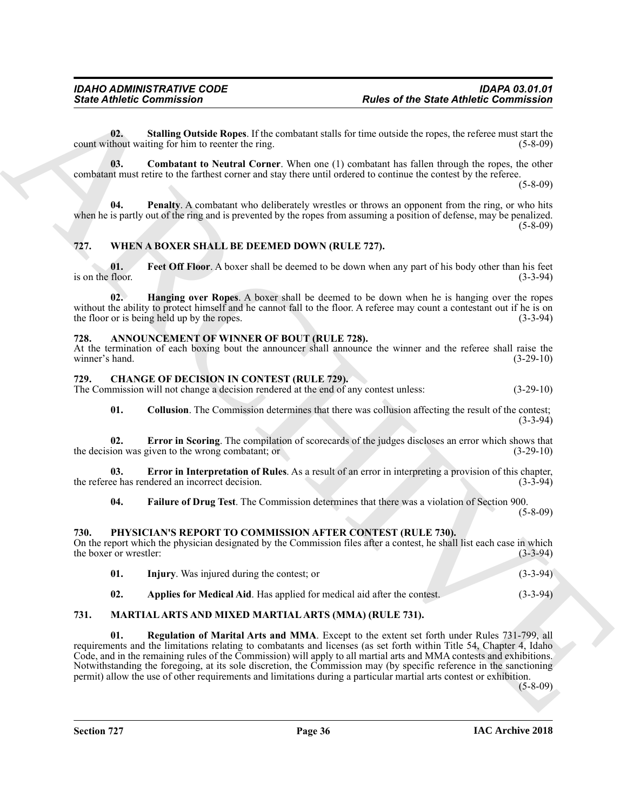<span id="page-35-20"></span>**02. Stalling Outside Ropes**. If the combatant stalls for time outside the ropes, the referee must start the count without waiting for him to reenter the ring. (5-8-09)

<span id="page-35-18"></span>**03. Combatant to Neutral Corner**. When one (1) combatant has fallen through the ropes, the other combatant must retire to the farthest corner and stay there until ordered to continue the contest by the referee.

(5-8-09)

<span id="page-35-19"></span>**04. Penalty**. A combatant who deliberately wrestles or throws an opponent from the ring, or who hits when he is partly out of the ring and is prevented by the ropes from assuming a position of defense, may be penalized.  $(5-8-09)$ 

#### <span id="page-35-15"></span><span id="page-35-0"></span>**727. WHEN A BOXER SHALL BE DEEMED DOWN (RULE 727).**

<span id="page-35-16"></span>**01.** Feet Off Floor. A boxer shall be deemed to be down when any part of his body other than his feet floor. (3-3-94) is on the floor.

<span id="page-35-17"></span>**02. Hanging over Ropes**. A boxer shall be deemed to be down when he is hanging over the ropes without the ability to protect himself and he cannot fall to the floor. A referee may count a contestant out if he is on the floor or is being held up by the ropes. (3-3-94)

#### <span id="page-35-5"></span><span id="page-35-1"></span>**728. ANNOUNCEMENT OF WINNER OF BOUT (RULE 728).**

At the termination of each boxing bout the announcer shall announce the winner and the referee shall raise the winner's hand. (3-29-10)

#### <span id="page-35-10"></span><span id="page-35-2"></span>**729. CHANGE OF DECISION IN CONTEST (RULE 729).**

The Commission will not change a decision rendered at the end of any contest unless: (3-29-10)

<span id="page-35-8"></span><span id="page-35-6"></span>**01.** Collusion. The Commission determines that there was collusion affecting the result of the contest; (3-3-94)

**02. Error in Scoring**. The compilation of scorecards of the judges discloses an error which shows that the decision was given to the wrong combatant; or (3-29-10)

**03. Error in Interpretation of Rules**. As a result of an error in interpreting a provision of this chapter, the referee has rendered an incorrect decision. (3-3-94)

<span id="page-35-9"></span><span id="page-35-7"></span>**04. Failure of Drug Test**. The Commission determines that there was a violation of Section 900.

(5-8-09)

#### <span id="page-35-3"></span>**730. PHYSICIAN'S REPORT TO COMMISSION AFTER CONTEST (RULE 730).**

On the report which the physician designated by the Commission files after a contest, he shall list each case in which the boxer or wrestler: (3-3-94)

<span id="page-35-14"></span><span id="page-35-13"></span><span id="page-35-12"></span><span id="page-35-11"></span>

| 01. | Injury. Was injured during the contest; or                              | $(3-3-94)$ |
|-----|-------------------------------------------------------------------------|------------|
|     | Applies for Medical Aid. Has applied for medical aid after the contest. | $(3-3-94)$ |

#### <span id="page-35-4"></span>**731. MARTIAL ARTS AND MIXED MARTIAL ARTS (MMA) (RULE 731).**

**Sinic Advise Commission**<br>
Units of the State Advise Commission<br>
Units of the State Advise Commission<br>
contrasting the line recent restrict.<br>
Commission of the Registration Commission in the line contrast of the commissio **01. Regulation of Marital Arts and MMA**. Except to the extent set forth under Rules 731-799, all requirements and the limitations relating to combatants and licenses (as set forth within Title 54, Chapter 4, Idaho Code, and in the remaining rules of the Commission) will apply to all martial arts and MMA contests and exhibitions. Notwithstanding the foregoing, at its sole discretion, the Commission may (by specific reference in the sanctioning permit) allow the use of other requirements and limitations during a particular martial arts contest or exhibition.

(5-8-09)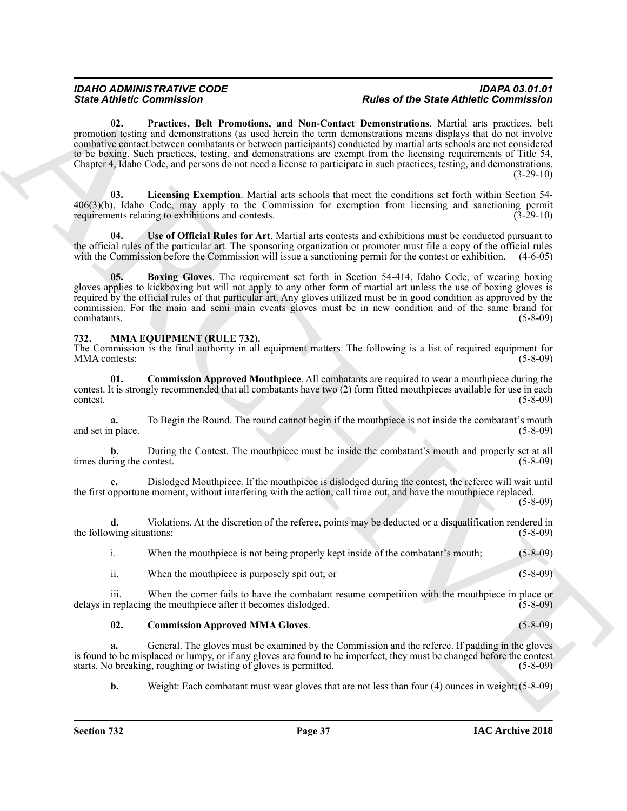Since Zuident Gomministern - The requirement of the state of the Since Energy and Since Commission and New York Commission and New York Commission and New York Commission and New York Commission and New York Commission an **02. Practices, Belt Promotions, and Non-Contact Demonstrations**. Martial arts practices, belt promotion testing and demonstrations (as used herein the term demonstrations means displays that do not involve combative contact between combatants or between participants) conducted by martial arts schools are not considered to be boxing. Such practices, testing, and demonstrations are exempt from the licensing requirements of Title 54, Chapter 4, Idaho Code, and persons do not need a license to participate in such practices, testing, and demonstrations.  $(3-29-10)$ 

<span id="page-36-3"></span><span id="page-36-2"></span>**03. Licensing Exemption**. Martial arts schools that meet the conditions set forth within Section 54- 406(3)(b), Idaho Code, may apply to the Commission for exemption from licensing and sanctioning permit requirements relating to exhibitions and contests. (3-29-10)

<span id="page-36-4"></span>**04. Use of Official Rules for Art**. Martial arts contests and exhibitions must be conducted pursuant to the official rules of the particular art. The sponsoring organization or promoter must file a copy of the official rules with the Commission before the Commission will issue a sanctioning permit for the contest or exhibition. (4-6-05)

<span id="page-36-1"></span>**05. Boxing Gloves**. The requirement set forth in Section 54-414, Idaho Code, of wearing boxing gloves applies to kickboxing but will not apply to any other form of martial art unless the use of boxing gloves is required by the official rules of that particular art. Any gloves utilized must be in good condition as approved by the commission. For the main and semi main events gloves must be in new condition and of the same brand for combatants. (5-8-09)

#### <span id="page-36-5"></span><span id="page-36-0"></span>**732. MMA EQUIPMENT (RULE 732).**

The Commission is the final authority in all equipment matters. The following is a list of required equipment for MMA contests: (5-8-09)

<span id="page-36-7"></span>**01. Commission Approved Mouthpiece**. All combatants are required to wear a mouthpiece during the contest. It is strongly recommended that all combatants have two (2) form fitted mouthpieces available for use in each contest. (5-8-09)

**a.** To Begin the Round. The round cannot begin if the mouthpiece is not inside the combatant's mouth place. (5-8-09) and set in place.

**b.** During the Contest. The mouthpiece must be inside the combatant's mouth and properly set at all times during the contest. (5-8-09)

**c.** Dislodged Mouthpiece. If the mouthpiece is dislodged during the contest, the referee will wait until the first opportune moment, without interfering with the action, call time out, and have the mouthpiece replaced.

(5-8-09)

**d.** Violations. At the discretion of the referee, points may be deducted or a disqualification rendered in the following situations: (5-8-09) (5-8-09)

i. When the mouthpiece is not being properly kept inside of the combatant's mouth; (5-8-09)

<span id="page-36-6"></span>ii. When the mouthpiece is purposely spit out; or (5-8-09)

iii. When the corner fails to have the combatant resume competition with the mouthpiece in place or delays in replacing the mouthpiece after it becomes dislodged. (5-8-09)

**02. Commission Approved MMA Gloves**. (5-8-09)

**a.** General. The gloves must be examined by the Commission and the referee. If padding in the gloves is found to be misplaced or lumpy, or if any gloves are found to be imperfect, they must be changed before the contest starts. No breaking, roughing or twisting of gloves is permitted. (5-8-09)

**b.** Weight: Each combatant must wear gloves that are not less than four (4) ounces in weight; (5-8-09)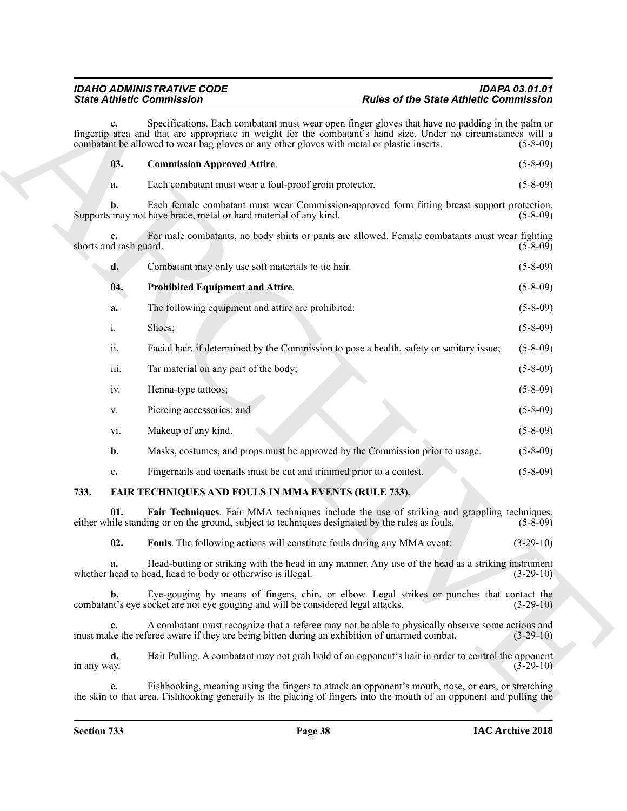<span id="page-37-4"></span>

|                              | <b>State Athletic Commission</b>                                                                                                                                                                                                                                                                                | <b>Rules of the State Athletic Commission</b>                                                                        |
|------------------------------|-----------------------------------------------------------------------------------------------------------------------------------------------------------------------------------------------------------------------------------------------------------------------------------------------------------------|----------------------------------------------------------------------------------------------------------------------|
| c.                           | Specifications. Each combatant must wear open finger gloves that have no padding in the palm or<br>fingertip area and that are appropriate in weight for the combatant's hand size. Under no circumstances will a<br>combatant be allowed to wear bag gloves or any other gloves with metal or plastic inserts. | $(5-8-09)$                                                                                                           |
| 03.                          | <b>Commission Approved Attire.</b>                                                                                                                                                                                                                                                                              | $(5-8-09)$                                                                                                           |
| a.                           | Each combatant must wear a foul-proof groin protector.                                                                                                                                                                                                                                                          | $(5-8-09)$                                                                                                           |
| b.                           | Each female combatant must wear Commission-approved form fitting breast support protection.<br>Supports may not have brace, metal or hard material of any kind.                                                                                                                                                 | $(5-8-09)$                                                                                                           |
| c.<br>shorts and rash guard. | For male combatants, no body shirts or pants are allowed. Female combatants must wear fighting                                                                                                                                                                                                                  | $(5-8-09)$                                                                                                           |
| d.                           | Combatant may only use soft materials to tie hair.                                                                                                                                                                                                                                                              | $(5-8-09)$                                                                                                           |
| 04.                          | <b>Prohibited Equipment and Attire.</b>                                                                                                                                                                                                                                                                         | $(5-8-09)$                                                                                                           |
| a.                           | The following equipment and attire are prohibited:                                                                                                                                                                                                                                                              | $(5-8-09)$                                                                                                           |
| i.                           | Shoes;                                                                                                                                                                                                                                                                                                          | $(5-8-09)$                                                                                                           |
| ii.                          | Facial hair, if determined by the Commission to pose a health, safety or sanitary issue;                                                                                                                                                                                                                        | $(5-8-09)$                                                                                                           |
| iii.                         | Tar material on any part of the body;                                                                                                                                                                                                                                                                           | $(5-8-09)$                                                                                                           |
| iv.                          | Henna-type tattoos;                                                                                                                                                                                                                                                                                             | $(5-8-09)$                                                                                                           |
| V.                           | Piercing accessories; and                                                                                                                                                                                                                                                                                       | $(5-8-09)$                                                                                                           |
| vi.                          | Makeup of any kind.                                                                                                                                                                                                                                                                                             | $(5-8-09)$                                                                                                           |
| b.                           | Masks, costumes, and props must be approved by the Commission prior to usage.                                                                                                                                                                                                                                   | $(5-8-09)$                                                                                                           |
| c.                           | Fingernails and toenails must be cut and trimmed prior to a contest.                                                                                                                                                                                                                                            | $(5-8-09)$                                                                                                           |
| 733.                         | FAIR TECHNIQUES AND FOULS IN MMA EVENTS (RULE 733).                                                                                                                                                                                                                                                             |                                                                                                                      |
| 01.                          | Fair Techniques. Fair MMA techniques include the use of striking and grappling techniques,<br>either while standing or on the ground, subject to techniques designated by the rules as fouls.                                                                                                                   | $(5-8-09)$                                                                                                           |
| 02.                          | Fouls. The following actions will constitute fouls during any MMA event:                                                                                                                                                                                                                                        | $(3-29-10)$                                                                                                          |
| a.                           | Head-butting or striking with the head in any manner. Any use of the head as a striking instrument<br>whether head to head, head to body or otherwise is illegal.                                                                                                                                               | $(3-29-10)$                                                                                                          |
| $\mathbf{b}$ .               | Eye-gouging by means of fingers, chin, or elbow. Legal strikes or punches that contact the<br>combatant's eye socket are not eye gouging and will be considered legal attacks.                                                                                                                                  | $(3-29-10)$                                                                                                          |
| c.                           | A combatant must recognize that a referee may not be able to physically observe some actions and<br>must make the referee aware if they are being bitten during an exhibition of unarmed combat.                                                                                                                | $(3-29-10)$                                                                                                          |
| d.<br>in any way.            | Hair Pulling. A combatant may not grab hold of an opponent's hair in order to control the opponent                                                                                                                                                                                                              | $(3-29-10)$                                                                                                          |
| e.                           | Fishhooking, meaning using the fingers to attack an opponent's mouth, nose, or ears, or stretching                                                                                                                                                                                                              | the skin to that area. Fishhooking generally is the placing of fingers into the mouth of an opponent and pulling the |

### <span id="page-37-5"></span><span id="page-37-3"></span><span id="page-37-2"></span><span id="page-37-1"></span><span id="page-37-0"></span>**733. FAIR TECHNIQUES AND FOULS IN MMA EVENTS (RULE 733).**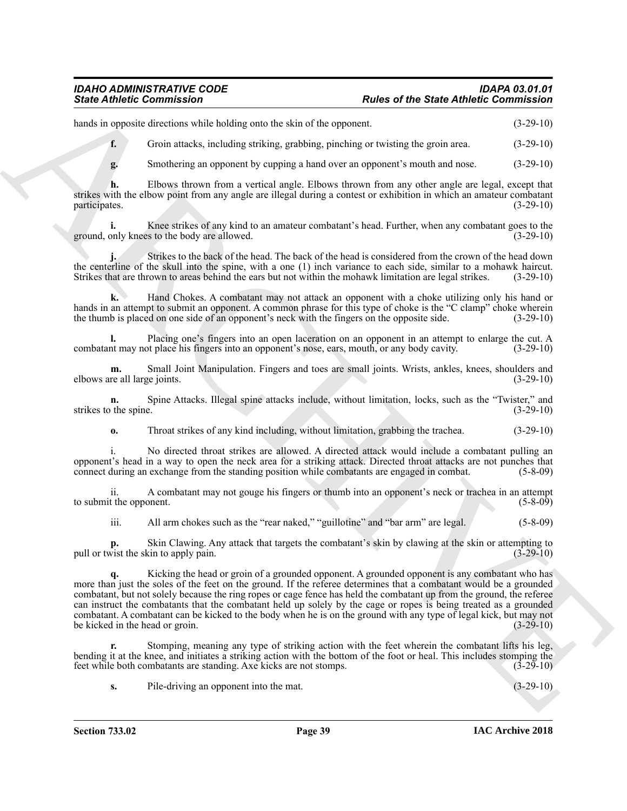#### *IDAHO ADMINISTRATIVE CODE IDAPA 03.01.01 State Athletic Commission Rules of the State Athletic Commission*

hands in opposite directions while holding onto the skin of the opponent. (3-29-10)

**f.** Groin attacks, including striking, grabbing, pinching or twisting the groin area. (3-29-10)

**g.** Smothering an opponent by cupping a hand over an opponent's mouth and nose. (3-29-10)

**h.** Elbows thrown from a vertical angle. Elbows thrown from any other angle are legal, except that strikes with the elbow point from any angle are illegal during a contest or exhibition in which an amateur combatant participates. (3-29-10)

**i.** Knee strikes of any kind to an amateur combatant's head. Further, when any combatant goes to the ground, only knees to the body are allowed. (3-29-10)

**j.** Strikes to the back of the head. The back of the head is considered from the crown of the head down the centerline of the skull into the spine, with a one (1) inch variance to each side, similar to a mohawk haircut. Strikes that are thrown to areas behind the ears but not within the mohawk limitation are legal strikes. (3-29-10)

**k.** Hand Chokes. A combatant may not attack an opponent with a choke utilizing only his hand or hands in an attempt to submit an opponent. A common phrase for this type of choke is the "C clamp" choke wherein the thumb is placed on one side of an opponent's neck with the fingers on the opposite side. (3-29-10)

**l.** Placing one's fingers into an open laceration on an opponent in an attempt to enlarge the cut. A nt may not place his fingers into an opponent's nose, ears, mouth, or any body cavity.  $(3-29-10)$ combatant may not place his fingers into an opponent's nose, ears, mouth, or any body cavity.

**m.** Small Joint Manipulation. Fingers and toes are small joints. Wrists, ankles, knees, shoulders and re all large joints. (3-29-10) elbows are all large joints.

**n.** Spine Attacks. Illegal spine attacks include, without limitation, locks, such as the "Twister," and the spine.  $(3-29-10)$ strikes to the spine.

**o.** Throat strikes of any kind including, without limitation, grabbing the trachea.  $(3-29-10)$ 

i. No directed throat strikes are allowed. A directed attack would include a combatant pulling an opponent's head in a way to open the neck area for a striking attack. Directed throat attacks are not punches that connect during an exchange from the standing position while combatants are engaged in combat. (5-8-09)

ii. A combatant may not gouge his fingers or thumb into an opponent's neck or trachea in an attempt to submit the opponent. (5-8-09)

iii. All arm chokes such as the "rear naked," "guillotine" and "bar arm" are legal. (5-8-09)

**p.** Skin Clawing. Any attack that targets the combatant's skin by clawing at the skin or attempting to pull or twist the skin to apply pain. (3-29-10)

Since Antionic Commutation<br>
Since Anti-Resolution and the same of the State Anti-Resolution (1978)<br>
And the proposition of the same of the same of the same of the same of the State Commutation<br>
4. Since the constraints ar Kicking the head or groin of a grounded opponent. A grounded opponent is any combatant who has more than just the soles of the feet on the ground. If the referee determines that a combatant would be a grounded combatant, but not solely because the ring ropes or cage fence has held the combatant up from the ground, the referee can instruct the combatants that the combatant held up solely by the cage or ropes is being treated as a grounded combatant. A combatant can be kicked to the body when he is on the ground with any type of legal kick, but may not be kicked in the head or groin.

**r.** Stomping, meaning any type of striking action with the feet wherein the combatant lifts his leg, bending it at the knee, and initiates a striking action with the bottom of the foot or heal. This includes stomping the feet while both combatants are standing. Axe kicks are not stomps. (3-29-10)

**s.** Pile-driving an opponent into the mat.  $(3-29-10)$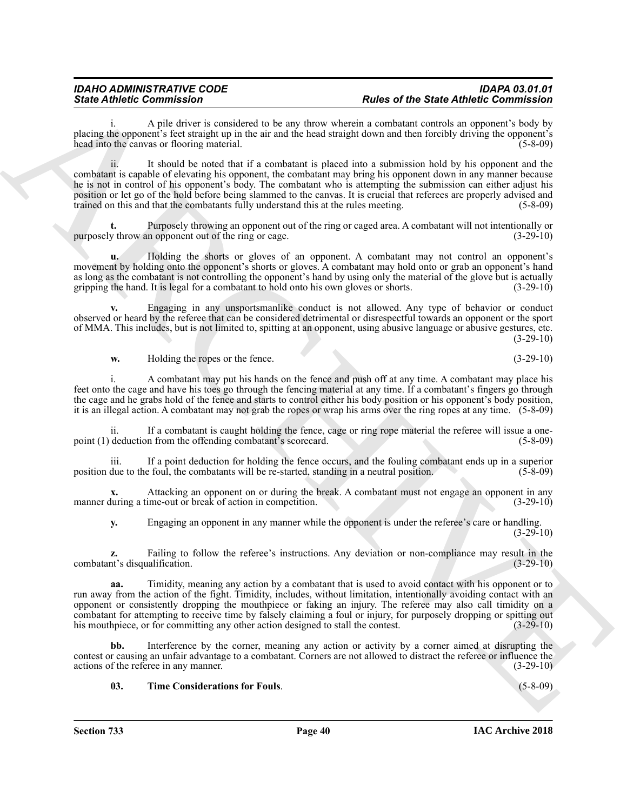A pile driver is considered to be any throw wherein a combatant controls an opponent's body by placing the opponent's feet straight up in the air and the head straight down and then forcibly driving the opponent's head into the canvas or flooring material. (5-8-09)

Since Admission Constraints of the main state of the Since Admission Constraints of the Constraints of the Constraints of the Constraints of the Constraints of the Constraints of the Constraints of the Constraints of the ii. It should be noted that if a combatant is placed into a submission hold by his opponent and the combatant is capable of elevating his opponent, the combatant may bring his opponent down in any manner because he is not in control of his opponent's body. The combatant who is attempting the submission can either adjust his position or let go of the hold before being slammed to the canvas. It is crucial that referees are properly advised and trained on this and that the combatants fully understand this at the rules meeting. (5-8-09)

**t.** Purposely throwing an opponent out of the ring or caged area. A combatant will not intentionally or purposely throw an opponent out of the ring or cage.  $(3-29-10)$ 

**u.** Holding the shorts or gloves of an opponent. A combatant may not control an opponent's movement by holding onto the opponent's shorts or gloves. A combatant may hold onto or grab an opponent's hand as long as the combatant is not controlling the opponent's hand by using only the material of the glove but is actually gripping the hand. It is legal for a combatant to hold onto his own gloves or shorts. (3-29-10) gripping the hand. It is legal for a combatant to hold onto his own gloves or shorts.

**v.** Engaging in any unsportsmanlike conduct is not allowed. Any type of behavior or conduct observed or heard by the referee that can be considered detrimental or disrespectful towards an opponent or the sport of MMA. This includes, but is not limited to, spitting at an opponent, using abusive language or abusive gestures, etc. (3-29-10)

**w.** Holding the ropes or the fence. (3-29-10)

i. A combatant may put his hands on the fence and push off at any time. A combatant may place his feet onto the cage and have his toes go through the fencing material at any time. If a combatant's fingers go through the cage and he grabs hold of the fence and starts to control either his body position or his opponent's body position, it is an illegal action. A combatant may not grab the ropes or wrap his arms over the ring ropes at any time. (5-8-09)

ii. If a combatant is caught holding the fence, cage or ring rope material the referee will issue a onepoint (1) deduction from the offending combatant's scorecard. (5-8-09)

iii. If a point deduction for holding the fence occurs, and the fouling combatant ends up in a superior due to the foul, the combatants will be re-started, standing in a neutral position. (5-8-09) position due to the foul, the combatants will be re-started, standing in a neutral position.

**x.** Attacking an opponent on or during the break. A combatant must not engage an opponent in any manner during a time-out or break of action in competition. (3-29-10)

**y.** Engaging an opponent in any manner while the opponent is under the referee's care or handling.  $(3-29-10)$ 

**z.** Failing to follow the referee's instructions. Any deviation or non-compliance may result in the nt's disqualification. (3-29-10) combatant's disqualification.

**aa.** Timidity, meaning any action by a combatant that is used to avoid contact with his opponent or to run away from the action of the fight. Timidity, includes, without limitation, intentionally avoiding contact with an opponent or consistently dropping the mouthpiece or faking an injury. The referee may also call timidity on a combatant for attempting to receive time by falsely claiming a foul or injury, for purposely dropping or spitting out his mouthpiece, or for committing any other action designed to stall the contest. (3-29-10) his mouthpiece, or for committing any other action designed to stall the contest.

Interference by the corner, meaning any action or activity by a corner aimed at disrupting the contest or causing an unfair advantage to a combatant. Corners are not allowed to distract the referee or influence the actions of the referee in any manner. (3-29-10)

#### <span id="page-39-0"></span>**03. Time Considerations for Fouls**. (5-8-09)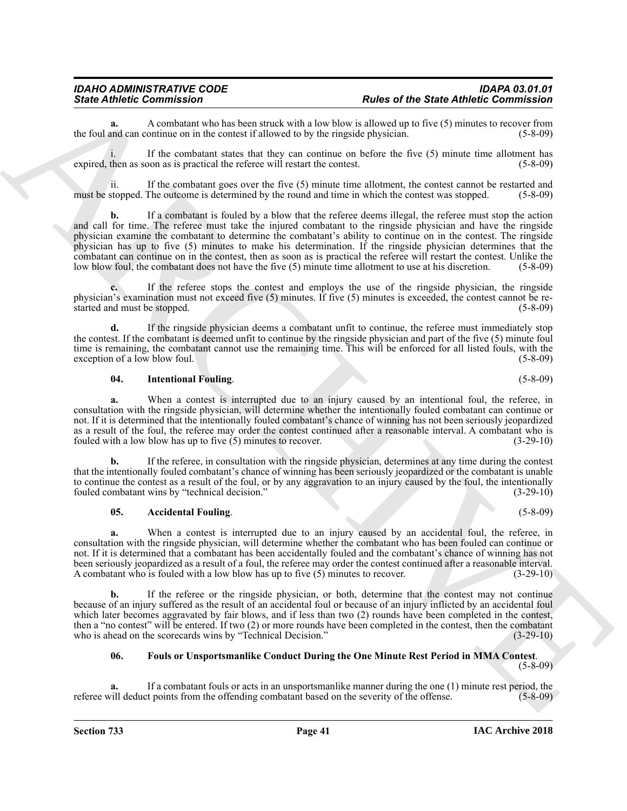**a.** A combatant who has been struck with a low blow is allowed up to five (5) minutes to recover from and can continue on in the contest if allowed to by the ringside physician. (5-8-09) the foul and can continue on in the contest if allowed to by the ringside physician.

i. If the combatant states that they can continue on before the five (5) minute time allotment has expired, then as soon as is practical the referee will restart the contest. (5-8-09)

ii. If the combatant goes over the five (5) minute time allotment, the contest cannot be restarted and must be stopped. The outcome is determined by the round and time in which the contest was stopped. (5-8-09)

Sinte Admission Commission Control and the photon of the first of the first of the first of the sinte of the sinte of the sinte of the sinte of the sinte of the sinte of the sinte of the sinte of the sinte of the sinte of **b.** If a combatant is fouled by a blow that the referee deems illegal, the referee must stop the action and call for time. The referee must take the injured combatant to the ringside physician and have the ringside physician examine the combatant to determine the combatant's ability to continue on in the contest. The ringside physician has up to five (5) minutes to make his determination. If the ringside physician determines that the combatant can continue on in the contest, then as soon as is practical the referee will restart the contest. Unlike the low blow foul, the combatant does not have the five (5) minute time allotment to use at his discretion. (5-8-09)

**c.** If the referee stops the contest and employs the use of the ringside physician, the ringside physician's examination must not exceed five (5) minutes. If five (5) minutes is exceeded, the contest cannot be restarted and must be stopped. (5-8-09)

**d.** If the ringside physician deems a combatant unfit to continue, the referee must immediately stop the contest. If the combatant is deemed unfit to continue by the ringside physician and part of the five (5) minute foul time is remaining, the combatant cannot use the remaining time. This will be enforced for all listed fouls, with the exception of a low blow foul. (5-8-09) (5-8-09)

#### <span id="page-40-2"></span>**04. Intentional Fouling**. (5-8-09)

**a.** When a contest is interrupted due to an injury caused by an intentional foul, the referee, in consultation with the ringside physician, will determine whether the intentionally fouled combatant can continue or not. If it is determined that the intentionally fouled combatant's chance of winning has not been seriously jeopardized as a result of the foul, the referee may order the contest continued after a reasonable interval. A combatant who is fouled with a low blow has up to five (5) minutes to recover. (3-29-10)

**b.** If the referee, in consultation with the ringside physician, determines at any time during the contest that the intentionally fouled combatant's chance of winning has been seriously jeopardized or the combatant is unable to continue the contest as a result of the foul, or by any aggravation to an injury caused by the foul, the intentionally fouled combatant wins by "technical decision." (3-29-10)

#### <span id="page-40-0"></span>**05.** Accidental Fouling. (5-8-09)

**a.** When a contest is interrupted due to an injury caused by an accidental foul, the referee, in consultation with the ringside physician, will determine whether the combatant who has been fouled can continue or not. If it is determined that a combatant has been accidentally fouled and the combatant's chance of winning has not been seriously jeopardized as a result of a foul, the referee may order the contest continued after a reasonable interval. A combatant who is fouled with a low blow has up to five (5) minutes to recover. (3-29-10)

**b.** If the referee or the ringside physician, or both, determine that the contest may not continue because of an injury suffered as the result of an accidental foul or because of an injury inflicted by an accidental foul which later becomes aggravated by fair blows, and if less than two (2) rounds have been completed in the contest, then a "no contest" will be entered. If two (2) or more rounds have been completed in the contest, then the combatant who is ahead on the scorecards wins by "Technical Decision." (3-29-10) who is ahead on the scorecards wins by "Technical Decision."

#### <span id="page-40-1"></span>**06. Fouls or Unsportsmanlike Conduct During the One Minute Rest Period in MMA Contest**.

(5-8-09)

**a.** If a combatant fouls or acts in an unsportsmanlike manner during the one (1) minute rest period, the referee will deduct points from the offending combatant based on the severity of the offense. (5-8-09)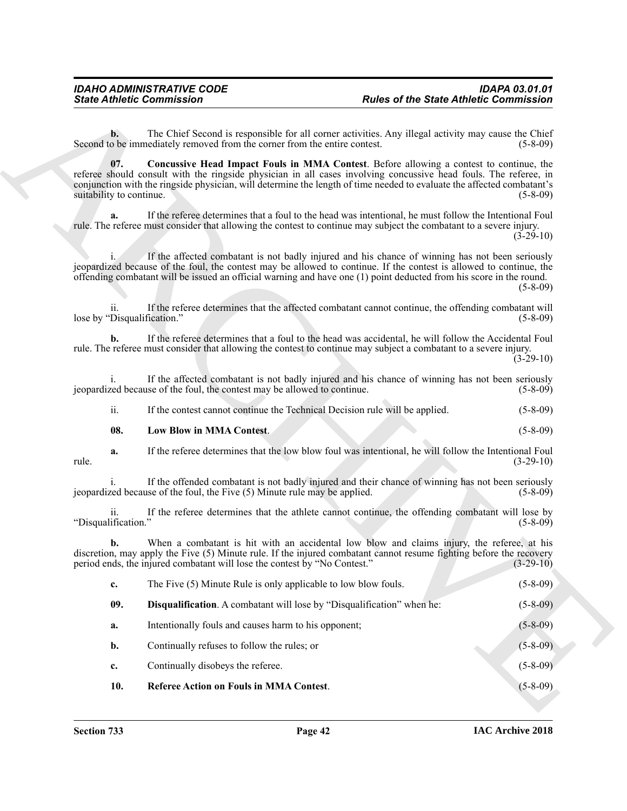<span id="page-41-3"></span><span id="page-41-2"></span><span id="page-41-1"></span><span id="page-41-0"></span>

|                                    | <b>State Athletic Commission</b>                                            | <b>Rules of the State Athletic Commission</b>                                                                                                                                                                                                                                                                                                 |                |
|------------------------------------|-----------------------------------------------------------------------------|-----------------------------------------------------------------------------------------------------------------------------------------------------------------------------------------------------------------------------------------------------------------------------------------------------------------------------------------------|----------------|
| $\mathbf{b}$ .                     | Second to be immediately removed from the corner from the entire contest.   | The Chief Second is responsible for all corner activities. Any illegal activity may cause the Chief                                                                                                                                                                                                                                           | $(5-8-09)$     |
| 07.<br>suitability to continue.    |                                                                             | Concussive Head Impact Fouls in MMA Contest. Before allowing a contest to continue, the<br>referee should consult with the ringside physician in all cases involving concussive head fouls. The referee, in<br>conjunction with the ringside physician, will determine the length of time needed to evaluate the affected combatant's         | $(5-8-09)$     |
| a.                                 |                                                                             | If the referee determines that a foul to the head was intentional, he must follow the Intentional Foul<br>rule. The referee must consider that allowing the contest to continue may subject the combatant to a severe injury.                                                                                                                 | $(3-29-10)$    |
|                                    |                                                                             | If the affected combatant is not badly injured and his chance of winning has not been seriously<br>jeopardized because of the foul, the contest may be allowed to continue. If the contest is allowed to continue, the<br>offending combatant will be issued an official warning and have one (1) point deducted from his score in the round. | $(5-8-09)$     |
| 11.<br>lose by "Disqualification." |                                                                             | If the referee determines that the affected combatant cannot continue, the offending combatant will                                                                                                                                                                                                                                           | $(5-8-09)$     |
| b.                                 |                                                                             | If the referee determines that a foul to the head was accidental, he will follow the Accidental Foul<br>rule. The referee must consider that allowing the contest to continue may subject a combatant to a severe injury.                                                                                                                     | $(3-29-10)$    |
| 1.                                 | jeopardized because of the foul, the contest may be allowed to continue.    | If the affected combatant is not badly injured and his chance of winning has not been seriously                                                                                                                                                                                                                                               | $(5-8-09)$     |
| ii.                                | If the contest cannot continue the Technical Decision rule will be applied. |                                                                                                                                                                                                                                                                                                                                               | $(5-8-09)$     |
| 08.                                | Low Blow in MMA Contest.                                                    |                                                                                                                                                                                                                                                                                                                                               | $(5-8-09)$     |
| a.<br>rule.                        |                                                                             | If the referee determines that the low blow foul was intentional, he will follow the Intentional Foul                                                                                                                                                                                                                                         | $(3-29-10)$    |
|                                    | jeopardized because of the foul, the Five (5) Minute rule may be applied.   | If the offended combatant is not badly injured and their chance of winning has not been seriously                                                                                                                                                                                                                                             | $(5-8-09)$     |
| 11.<br>"Disqualification."         |                                                                             | If the referee determines that the athlete cannot continue, the offending combatant will lose by                                                                                                                                                                                                                                              | $(5-8-09)$     |
| b.                                 | period ends, the injured combatant will lose the contest by "No Contest."   | When a combatant is hit with an accidental low blow and claims injury, the referee, at his<br>discretion, may apply the Five (5) Minute rule. If the injured combatant cannot resume fighting before the recovery                                                                                                                             | $(3-29-10)$    |
| c.                                 | The Five (5) Minute Rule is only applicable to low blow fouls.              |                                                                                                                                                                                                                                                                                                                                               | $(5 - 8 - 09)$ |
| 09.                                | Disqualification. A combatant will lose by "Disqualification" when he:      |                                                                                                                                                                                                                                                                                                                                               | $(5 - 8 - 09)$ |
| a.                                 | Intentionally fouls and causes harm to his opponent;                        |                                                                                                                                                                                                                                                                                                                                               | $(5 - 8 - 09)$ |
| b.                                 | Continually refuses to follow the rules; or                                 |                                                                                                                                                                                                                                                                                                                                               | $(5 - 8 - 09)$ |
| c.                                 | Continually disobeys the referee.                                           |                                                                                                                                                                                                                                                                                                                                               | $(5 - 8 - 09)$ |
| 10.                                | <b>Referee Action on Fouls in MMA Contest.</b>                              |                                                                                                                                                                                                                                                                                                                                               | $(5 - 8 - 09)$ |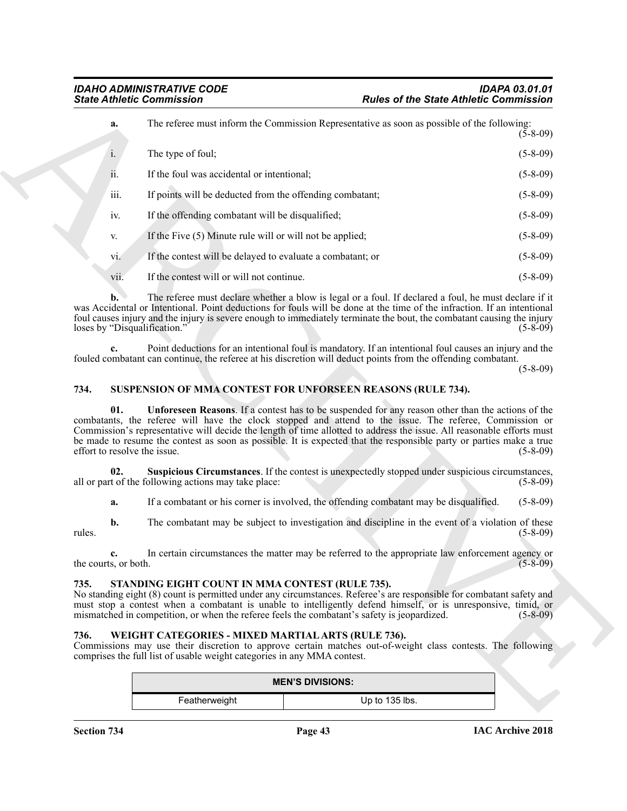|                                     | <b>State Athletic Commission</b>                                                                                              | <b>Rules of the State Athletic Commission</b>                                                                                                                                                                                                                                                                                                                                                                                                                       |                |
|-------------------------------------|-------------------------------------------------------------------------------------------------------------------------------|---------------------------------------------------------------------------------------------------------------------------------------------------------------------------------------------------------------------------------------------------------------------------------------------------------------------------------------------------------------------------------------------------------------------------------------------------------------------|----------------|
| a.                                  |                                                                                                                               | The referee must inform the Commission Representative as soon as possible of the following:                                                                                                                                                                                                                                                                                                                                                                         | $(5-8-09)$     |
| i.                                  | The type of foul;                                                                                                             |                                                                                                                                                                                                                                                                                                                                                                                                                                                                     | $(5-8-09)$     |
| ii.                                 | If the foul was accidental or intentional;                                                                                    |                                                                                                                                                                                                                                                                                                                                                                                                                                                                     | $(5-8-09)$     |
| iii.                                | If points will be deducted from the offending combatant;                                                                      |                                                                                                                                                                                                                                                                                                                                                                                                                                                                     | $(5-8-09)$     |
| iv.                                 | If the offending combatant will be disqualified;                                                                              |                                                                                                                                                                                                                                                                                                                                                                                                                                                                     | $(5-8-09)$     |
| V.                                  | If the Five (5) Minute rule will or will not be applied;                                                                      |                                                                                                                                                                                                                                                                                                                                                                                                                                                                     | $(5-8-09)$     |
| vi.                                 | If the contest will be delayed to evaluate a combatant; or                                                                    |                                                                                                                                                                                                                                                                                                                                                                                                                                                                     | $(5-8-09)$     |
| vii.                                | If the contest will or will not continue.                                                                                     |                                                                                                                                                                                                                                                                                                                                                                                                                                                                     | $(5-8-09)$     |
| b.<br>loses by "Disqualification."  |                                                                                                                               | The referee must declare whether a blow is legal or a foul. If declared a foul, he must declare if it<br>was Accidental or Intentional. Point deductions for fouls will be done at the time of the infraction. If an intentional<br>foul causes injury and the injury is severe enough to immediately terminate the bout, the combatant causing the injury                                                                                                          | $(5-8-09)$     |
|                                     |                                                                                                                               | Point deductions for an intentional foul is mandatory. If an intentional foul causes an injury and the<br>fouled combatant can continue, the referee at his discretion will deduct points from the offending combatant.                                                                                                                                                                                                                                             | $(5-8-09)$     |
| 734.                                |                                                                                                                               | SUSPENSION OF MMA CONTEST FOR UNFORSEEN REASONS (RULE 734).                                                                                                                                                                                                                                                                                                                                                                                                         |                |
| 01.<br>effort to resolve the issue. |                                                                                                                               | <b>Unforeseen Reasons.</b> If a contest has to be suspended for any reason other than the actions of the<br>combatants, the referee will have the clock stopped and attend to the issue. The referee, Commission or<br>Commission's representative will decide the length of time allotted to address the issue. All reasonable efforts must<br>be made to resume the contest as soon as possible. It is expected that the responsible party or parties make a true | $(5-8-09)$     |
| 02.                                 | all or part of the following actions may take place:                                                                          | Suspicious Circumstances. If the contest is unexpectedly stopped under suspicious circumstances,                                                                                                                                                                                                                                                                                                                                                                    | $(5-8-09)$     |
| a.                                  |                                                                                                                               | If a combatant or his corner is involved, the offending combatant may be disqualified.                                                                                                                                                                                                                                                                                                                                                                              | $(5-8-09)$     |
| $\mathbf{b}$ .<br>rules.            |                                                                                                                               | The combatant may be subject to investigation and discipline in the event of a violation of these                                                                                                                                                                                                                                                                                                                                                                   | $(5 - 8 - 09)$ |
| the courts, or both.                |                                                                                                                               | In certain circumstances the matter may be referred to the appropriate law enforcement agency or                                                                                                                                                                                                                                                                                                                                                                    | $(5 - 8 - 09)$ |
| 735.                                | STANDING EIGHT COUNT IN MMA CONTEST (RULE 735).                                                                               | No standing eight (8) count is permitted under any circumstances. Referee's are responsible for combatant safety and<br>must stop a contest when a combatant is unable to intelligently defend himself, or is unresponsive, timid, or<br>mismatched in competition, or when the referee feels the combatant's safety is jeopardized.                                                                                                                                | $(5 - 8 - 09)$ |
| 736.                                | WEIGHT CATEGORIES - MIXED MARTIAL ARTS (RULE 736).<br>comprises the full list of usable weight categories in any MMA contest. | Commissions may use their discretion to approve certain matches out-of-weight class contests. The following                                                                                                                                                                                                                                                                                                                                                         |                |
|                                     |                                                                                                                               | <b>MEN'S DIVISIONS:</b>                                                                                                                                                                                                                                                                                                                                                                                                                                             |                |
|                                     | Featherweight                                                                                                                 | Up to 135 lbs.                                                                                                                                                                                                                                                                                                                                                                                                                                                      |                |

#### <span id="page-42-5"></span><span id="page-42-4"></span><span id="page-42-0"></span>**734. SUSPENSION OF MMA CONTEST FOR UNFORSEEN REASONS (RULE 734).**

#### <span id="page-42-3"></span><span id="page-42-1"></span>**735. STANDING EIGHT COUNT IN MMA CONTEST (RULE 735).**

#### <span id="page-42-6"></span><span id="page-42-2"></span>**736. WEIGHT CATEGORIES - MIXED MARTIAL ARTS (RULE 736).**

| <b>MEN'S DIVISIONS:</b> |                |  |  |
|-------------------------|----------------|--|--|
| Featherweight           | Up to 135 lbs. |  |  |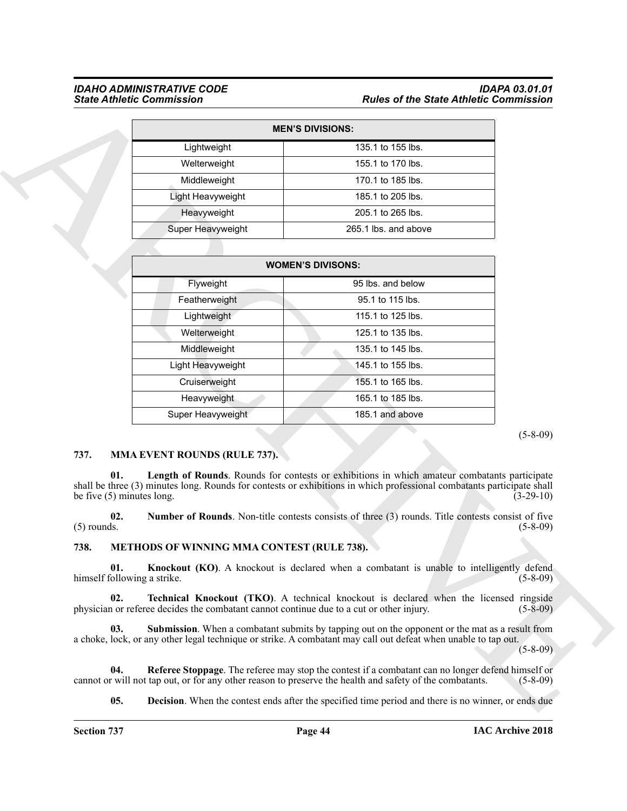#### *IDAHO ADMINISTRATIVE CODE IDAPA 03.01.01 State Athletic Commission Rules of the State Athletic Commission*

| <b>MEN'S DIVISIONS:</b> |                      |  |  |  |
|-------------------------|----------------------|--|--|--|
| Lightweight             | 135.1 to 155 lbs.    |  |  |  |
| Welterweight            | 155.1 to 170 lbs.    |  |  |  |
| Middleweight            | 170.1 to 185 lbs.    |  |  |  |
| Light Heavyweight       | 185.1 to 205 lbs.    |  |  |  |
| Heavyweight             | 205.1 to 265 lbs.    |  |  |  |
| Super Heavyweight       | 265.1 lbs. and above |  |  |  |

|                                            |                                                                                          | <b>MEN'S DIVISIONS:</b>                                                                                                                                                                                                   |             |
|--------------------------------------------|------------------------------------------------------------------------------------------|---------------------------------------------------------------------------------------------------------------------------------------------------------------------------------------------------------------------------|-------------|
|                                            | Lightweight                                                                              | 135.1 to 155 lbs.                                                                                                                                                                                                         |             |
|                                            | Welterweight                                                                             | 155.1 to 170 lbs.                                                                                                                                                                                                         |             |
|                                            | Middleweight                                                                             | 170.1 to 185 lbs.                                                                                                                                                                                                         |             |
|                                            | Light Heavyweight                                                                        | 185.1 to 205 lbs.                                                                                                                                                                                                         |             |
|                                            | Heavyweight                                                                              | 205.1 to 265 lbs.                                                                                                                                                                                                         |             |
|                                            | Super Heavyweight                                                                        | 265.1 lbs. and above                                                                                                                                                                                                      |             |
|                                            |                                                                                          |                                                                                                                                                                                                                           |             |
|                                            |                                                                                          | <b>WOMEN'S DIVISONS:</b>                                                                                                                                                                                                  |             |
|                                            | Flyweight                                                                                | 95 lbs. and below                                                                                                                                                                                                         |             |
|                                            | Featherweight                                                                            | 95.1 to 115 lbs.                                                                                                                                                                                                          |             |
|                                            | Lightweight                                                                              | 115.1 to 125 lbs.                                                                                                                                                                                                         |             |
|                                            | Welterweight                                                                             | 125.1 to 135 lbs.                                                                                                                                                                                                         |             |
|                                            | Middleweight                                                                             | 135.1 to 145 lbs.                                                                                                                                                                                                         |             |
|                                            | Light Heavyweight                                                                        | 145.1 to 155 lbs.                                                                                                                                                                                                         |             |
|                                            | Cruiserweight                                                                            | 155.1 to 165 lbs.                                                                                                                                                                                                         |             |
|                                            | Heavyweight                                                                              | 165.1 to 185 lbs.                                                                                                                                                                                                         |             |
|                                            | Super Heavyweight                                                                        | 185.1 and above                                                                                                                                                                                                           |             |
|                                            |                                                                                          |                                                                                                                                                                                                                           |             |
| 737.<br>01.<br>be five $(5)$ minutes long. | <b>MMA EVENT ROUNDS (RULE 737).</b>                                                      | Length of Rounds. Rounds for contests or exhibitions in which amateur combatants participate<br>shall be three (3) minutes long. Rounds for contests or exhibitions in which professional combatants participate shall    | $(3-29-10)$ |
| 02.<br>$(5)$ rounds.                       |                                                                                          | Number of Rounds. Non-title contests consists of three (3) rounds. Title contests consist of five                                                                                                                         | $(5-8-09)$  |
| 738.                                       | <b>METHODS OF WINNING MMA CONTEST (RULE 738).</b>                                        |                                                                                                                                                                                                                           |             |
| 01.<br>himself following a strike.         |                                                                                          | <b>Knockout (KO).</b> A knockout is declared when a combatant is unable to intelligently defend                                                                                                                           | $(5-8-09)$  |
| 02.                                        | physician or referee decides the combatant cannot continue due to a cut or other injury. | <b>Technical Knockout (TKO).</b> A technical knockout is declared when the licensed ringside                                                                                                                              | $(5-8-09)$  |
| 03.                                        |                                                                                          | <b>Submission</b> . When a combatant submits by tapping out on the opponent or the mat as a result from<br>a choke, lock, or any other legal technique or strike. A combatant may call out defeat when unable to tap out. | $(5-8-09)$  |
| 04.                                        |                                                                                          | Referee Stoppage. The referee may stop the contest if a combatant can no longer defend himself or<br>cannot or will not tap out, or for any other reason to preserve the health and safety of the combatants.             | $(5-8-09)$  |

#### <span id="page-43-7"></span><span id="page-43-0"></span>**737. MMA EVENT ROUNDS (RULE 737).**

#### <span id="page-43-8"></span><span id="page-43-6"></span><span id="page-43-5"></span><span id="page-43-4"></span><span id="page-43-3"></span><span id="page-43-2"></span><span id="page-43-1"></span>**738. METHODS OF WINNING MMA CONTEST (RULE 738).**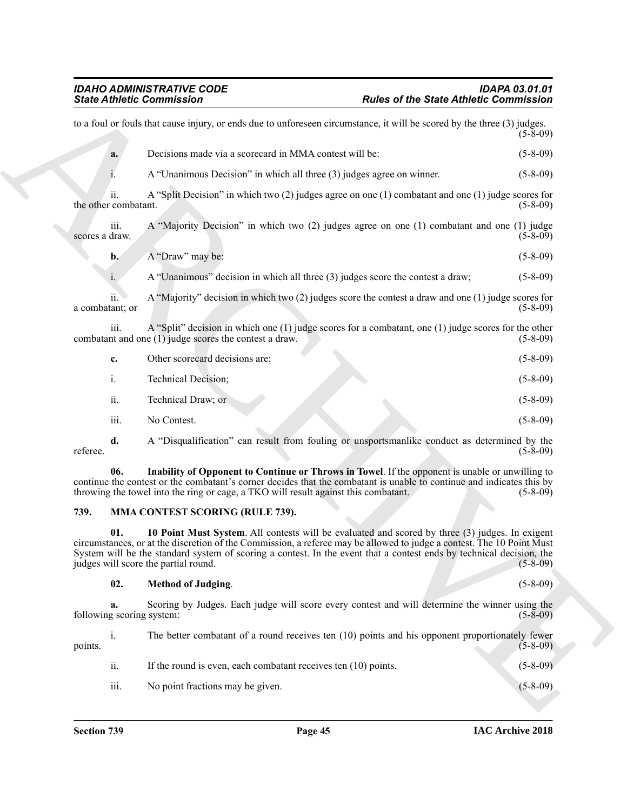| <b>State Athletic Commission</b> |                                                                                                                                                                                                                                                                                                                                                                                          | <b>Rules of the State Athletic Commission</b> |
|----------------------------------|------------------------------------------------------------------------------------------------------------------------------------------------------------------------------------------------------------------------------------------------------------------------------------------------------------------------------------------------------------------------------------------|-----------------------------------------------|
|                                  | to a foul or fouls that cause injury, or ends due to unforeseen circumstance, it will be scored by the three (3) judges.                                                                                                                                                                                                                                                                 | $(5-8-09)$                                    |
| a.                               | Decisions made via a scorecard in MMA contest will be:                                                                                                                                                                                                                                                                                                                                   | $(5 - 8 - 09)$                                |
|                                  | A "Unanimous Decision" in which all three (3) judges agree on winner.                                                                                                                                                                                                                                                                                                                    | $(5-8-09)$                                    |
| 11.<br>the other combatant.      | A "Split Decision" in which two $(2)$ judges agree on one $(1)$ combatant and one $(1)$ judge scores for                                                                                                                                                                                                                                                                                 | $(5-8-09)$                                    |
| iii.<br>scores a draw.           | A "Majority Decision" in which two (2) judges agree on one (1) combatant and one (1) judge                                                                                                                                                                                                                                                                                               | $(5-8-09)$                                    |
| $\mathbf{b}$ .                   | A "Draw" may be:                                                                                                                                                                                                                                                                                                                                                                         | $(5-8-09)$                                    |
| i.                               | A "Unanimous" decision in which all three (3) judges score the contest a draw;                                                                                                                                                                                                                                                                                                           | $(5-8-09)$                                    |
| ii.<br>a combatant; or           | A "Majority" decision in which two $(2)$ judges score the contest a draw and one $(1)$ judge scores for                                                                                                                                                                                                                                                                                  | $(5-8-09)$                                    |
| 111.                             | A "Split" decision in which one (1) judge scores for a combatant, one (1) judge scores for the other<br>combatant and one $(1)$ judge scores the contest a draw.                                                                                                                                                                                                                         | $(5-8-09)$                                    |
| c.                               | Other scorecard decisions are:                                                                                                                                                                                                                                                                                                                                                           | $(5-8-09)$                                    |
| i.                               | Technical Decision;                                                                                                                                                                                                                                                                                                                                                                      | $(5-8-09)$                                    |
| ii.                              | Technical Draw; or                                                                                                                                                                                                                                                                                                                                                                       | $(5-8-09)$                                    |
| iii.                             | No Contest.                                                                                                                                                                                                                                                                                                                                                                              | $(5-8-09)$                                    |
| d.<br>referee.                   | A "Disqualification" can result from fouling or unsportsmanlike conduct as determined by the                                                                                                                                                                                                                                                                                             | $(5-8-09)$                                    |
| 06.                              | Inability of Opponent to Continue or Throws in Towel. If the opponent is unable or unwilling to<br>continue the contest or the combatant's corner decides that the combatant is unable to continue and indicates this by<br>throwing the towel into the ring or cage, a TKO will result against this combatant.                                                                          | $(5-8-09)$                                    |
| 739.                             | <b>MMA CONTEST SCORING (RULE 739).</b>                                                                                                                                                                                                                                                                                                                                                   |                                               |
| 01.                              | 10 Point Must System. All contests will be evaluated and scored by three (3) judges. In exigent<br>circumstances, or at the discretion of the Commission, a referee may be allowed to judge a contest. The 10 Point Must<br>System will be the standard system of scoring a contest. In the event that a contest ends by technical decision, the<br>judges will score the partial round. | $(5-8-09)$                                    |
| 02.                              | <b>Method of Judging.</b>                                                                                                                                                                                                                                                                                                                                                                | $(5 - 8 - 09)$                                |
| a.<br>following scoring system:  | Scoring by Judges. Each judge will score every contest and will determine the winner using the                                                                                                                                                                                                                                                                                           | $(5-8-09)$                                    |
| i.<br>points.                    | The better combatant of a round receives ten (10) points and his opponent proportionately fewer                                                                                                                                                                                                                                                                                          | $(5 - 8 - 09)$                                |
| ii.                              | If the round is even, each combatant receives ten $(10)$ points.                                                                                                                                                                                                                                                                                                                         | $(5-8-09)$                                    |
|                                  |                                                                                                                                                                                                                                                                                                                                                                                          |                                               |

#### <span id="page-44-1"></span><span id="page-44-0"></span>**739. MMA CONTEST SCORING (RULE 739).**

#### <span id="page-44-3"></span><span id="page-44-2"></span>**02. Method of Judging**. (5-8-09)

| points. | 1.               | The better combatant of a round receives ten (10) points and his opponent proportionately fewer | $(5-8-09)$     |
|---------|------------------|-------------------------------------------------------------------------------------------------|----------------|
|         | ii.              | If the round is even, each combatant receives ten (10) points.                                  | $(5 - 8 - 09)$ |
|         | $\cdots$<br>111. | No point fractions may be given.                                                                | $(5 - 8 - 09)$ |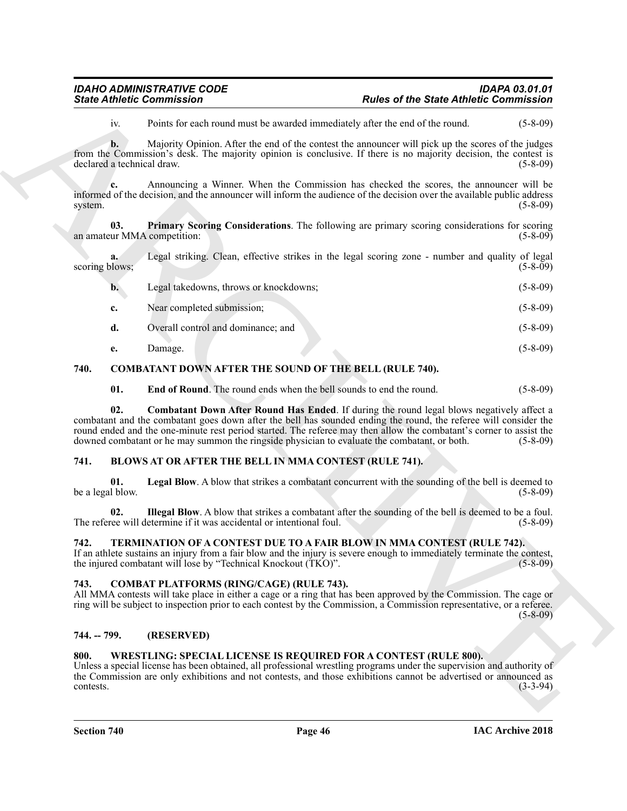|                                     | <b>State Athletic Commission</b>                                                             | <b>Rules of the State Athletic Commission</b>                                                                                                                                                                                                                                                                                               |                |
|-------------------------------------|----------------------------------------------------------------------------------------------|---------------------------------------------------------------------------------------------------------------------------------------------------------------------------------------------------------------------------------------------------------------------------------------------------------------------------------------------|----------------|
| iv.                                 |                                                                                              | Points for each round must be awarded immediately after the end of the round.                                                                                                                                                                                                                                                               | $(5 - 8 - 09)$ |
| $b$ .<br>declared a technical draw. |                                                                                              | Majority Opinion. After the end of the contest the announcer will pick up the scores of the judges<br>from the Commission's desk. The majority opinion is conclusive. If there is no majority decision, the contest is                                                                                                                      | $(5-8-09)$     |
| c.<br>system.                       |                                                                                              | Announcing a Winner. When the Commission has checked the scores, the announcer will be<br>informed of the decision, and the announcer will inform the audience of the decision over the available public address                                                                                                                            | $(5-8-09)$     |
| 03.<br>an amateur MMA competition:  |                                                                                              | Primary Scoring Considerations. The following are primary scoring considerations for scoring                                                                                                                                                                                                                                                | $(5-8-09)$     |
| a.<br>scoring blows;                |                                                                                              | Legal striking. Clean, effective strikes in the legal scoring zone - number and quality of legal                                                                                                                                                                                                                                            | $(5-8-09)$     |
| $\mathbf{b}$ .                      | Legal takedowns, throws or knockdowns;                                                       |                                                                                                                                                                                                                                                                                                                                             | $(5-8-09)$     |
| c.                                  | Near completed submission;                                                                   |                                                                                                                                                                                                                                                                                                                                             | $(5-8-09)$     |
| d.                                  | Overall control and dominance; and                                                           |                                                                                                                                                                                                                                                                                                                                             | $(5-8-09)$     |
| e.                                  | Damage.                                                                                      |                                                                                                                                                                                                                                                                                                                                             | $(5-8-09)$     |
| 740.                                | <b>COMBATANT DOWN AFTER THE SOUND OF THE BELL (RULE 740).</b>                                |                                                                                                                                                                                                                                                                                                                                             |                |
| 01.                                 | <b>End of Round.</b> The round ends when the bell sounds to end the round.                   |                                                                                                                                                                                                                                                                                                                                             | $(5-8-09)$     |
| 02.                                 | downed combatant or he may summon the ringside physician to evaluate the combatant, or both. | <b>Combatant Down After Round Has Ended.</b> If during the round legal blows negatively affect a<br>combatant and the combatant goes down after the bell has sounded ending the round, the referee will consider the<br>round ended and the one-minute rest period started. The referee may then allow the combatant's corner to assist the | $(5 - 8 - 09)$ |
| 741.                                | <b>BLOWS AT OR AFTER THE BELL IN MMA CONTEST (RULE 741).</b>                                 |                                                                                                                                                                                                                                                                                                                                             |                |
| 01.<br>be a legal blow.             |                                                                                              | Legal Blow. A blow that strikes a combatant concurrent with the sounding of the bell is deemed to                                                                                                                                                                                                                                           | $(5-8-09)$     |
| 02.                                 | The referee will determine if it was accidental or intentional foul.                         | Illegal Blow. A blow that strikes a combatant after the sounding of the bell is deemed to be a foul.                                                                                                                                                                                                                                        | $(5-8-09)$     |
| 742.                                | the injured combatant will lose by "Technical Knockout (TKO)".                               | TERMINATION OF A CONTEST DUE TO A FAIR BLOW IN MMA CONTEST (RULE 742).<br>If an athlete sustains an injury from a fair blow and the injury is severe enough to immediately terminate the contest,                                                                                                                                           | $(5-8-09)$     |
| 743.                                | <b>COMBAT PLATFORMS (RING/CAGE) (RULE 743).</b>                                              | All MMA contests will take place in either a cage or a ring that has been approved by the Commission. The cage or<br>ring will be subject to inspection prior to each contest by the Commission, a Commission representative, or a referee.                                                                                                 | $(5-8-09)$     |
| 744. -- 799.                        | (RESERVED)                                                                                   |                                                                                                                                                                                                                                                                                                                                             |                |
| 800.                                |                                                                                              | <b>WRESTLING: SPECIAL LICENSE IS REQUIRED FOR A CONTEST (RULE 800).</b><br>Unless a special license has been obtained, all professional wrestling programs under the supervision and authority of<br>the Commission are only exhibitions and not contests, and those exhibitions cannot be advertised or announced as                       | $(3-3-94)$     |

#### <span id="page-45-13"></span><span id="page-45-12"></span><span id="page-45-11"></span><span id="page-45-10"></span><span id="page-45-0"></span>**740. COMBATANT DOWN AFTER THE SOUND OF THE BELL (RULE 740).**

#### <span id="page-45-8"></span><span id="page-45-6"></span><span id="page-45-1"></span>**741. BLOWS AT OR AFTER THE BELL IN MMA CONTEST (RULE 741).**

#### <span id="page-45-14"></span><span id="page-45-7"></span><span id="page-45-2"></span>**742. TERMINATION OF A CONTEST DUE TO A FAIR BLOW IN MMA CONTEST (RULE 742).**

#### <span id="page-45-9"></span><span id="page-45-3"></span>**743. COMBAT PLATFORMS (RING/CAGE) (RULE 743).**

#### <span id="page-45-4"></span>**744. -- 799. (RESERVED)**

#### <span id="page-45-15"></span><span id="page-45-5"></span>**800. WRESTLING: SPECIAL LICENSE IS REQUIRED FOR A CONTEST (RULE 800).**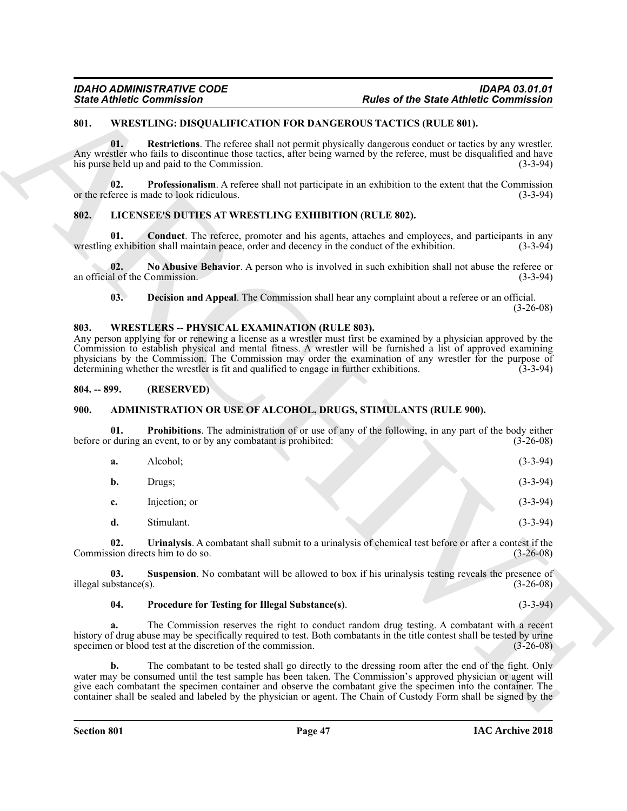#### <span id="page-46-15"></span><span id="page-46-0"></span>**801. WRESTLING: DISQUALIFICATION FOR DANGEROUS TACTICS (RULE 801).**

#### <span id="page-46-14"></span><span id="page-46-12"></span><span id="page-46-10"></span><span id="page-46-1"></span>**802. LICENSEE'S DUTIES AT WRESTLING EXHIBITION (RULE 802).**

#### <span id="page-46-13"></span><span id="page-46-11"></span><span id="page-46-2"></span>**803. WRESTLERS -- PHYSICAL EXAMINATION (RULE 803).**

#### <span id="page-46-3"></span>**804. -- 899. (RESERVED)**

#### <span id="page-46-7"></span><span id="page-46-5"></span><span id="page-46-4"></span>**900. ADMINISTRATION OR USE OF ALCOHOL, DRUGS, STIMULANTS (RULE 900).**

|                              | <b>State Athletic Commission</b>                                                                                                                                                                                                                                                                                                                                                                                                                                                                    |                                                                                                            | <b>Rules of the State Athletic Commission</b> |
|------------------------------|-----------------------------------------------------------------------------------------------------------------------------------------------------------------------------------------------------------------------------------------------------------------------------------------------------------------------------------------------------------------------------------------------------------------------------------------------------------------------------------------------------|------------------------------------------------------------------------------------------------------------|-----------------------------------------------|
| 801.                         | <b>WRESTLING: DISQUALIFICATION FOR DANGEROUS TACTICS (RULE 801).</b>                                                                                                                                                                                                                                                                                                                                                                                                                                |                                                                                                            |                                               |
| 01.                          | Any wrestler who fails to discontinue those tactics, after being warned by the referee, must be disqualified and have<br>his purse held up and paid to the Commission.                                                                                                                                                                                                                                                                                                                              | Restrictions. The referee shall not permit physically dangerous conduct or tactics by any wrestler.        | $(3-3-94)$                                    |
| 02.                          | or the referee is made to look ridiculous.                                                                                                                                                                                                                                                                                                                                                                                                                                                          | <b>Professionalism.</b> A referee shall not participate in an exhibition to the extent that the Commission | $(3-3-94)$                                    |
| 802.                         | LICENSEE'S DUTIES AT WRESTLING EXHIBITION (RULE 802).                                                                                                                                                                                                                                                                                                                                                                                                                                               |                                                                                                            |                                               |
| 01.                          | wrestling exhibition shall maintain peace, order and decency in the conduct of the exhibition.                                                                                                                                                                                                                                                                                                                                                                                                      | <b>Conduct</b> . The referee, promoter and his agents, attaches and employees, and participants in any     | $(3-3-94)$                                    |
| 02.                          | an official of the Commission.                                                                                                                                                                                                                                                                                                                                                                                                                                                                      | No Abusive Behavior. A person who is involved in such exhibition shall not abuse the referee or            | $(3-3-94)$                                    |
| 03.                          |                                                                                                                                                                                                                                                                                                                                                                                                                                                                                                     | Decision and Appeal. The Commission shall hear any complaint about a referee or an official.               | $(3-26-08)$                                   |
| 803.                         | <b>WRESTLERS -- PHYSICAL EXAMINATION (RULE 803).</b><br>Any person applying for or renewing a license as a wrestler must first be examined by a physician approved by the<br>Commission to establish physical and mental fitness. A wrestler will be furnished a list of approved examining<br>physicians by the Commission. The Commission may order the examination of any wrestler for the purpose of<br>determining whether the wrestler is fit and qualified to engage in further exhibitions. |                                                                                                            | $(3-3-94)$                                    |
| $804. - 899.$                | (RESERVED)                                                                                                                                                                                                                                                                                                                                                                                                                                                                                          |                                                                                                            |                                               |
| <b>900.</b>                  | <b>ADMINISTRATION OR USE OF ALCOHOL, DRUGS, STIMULANTS (RULE 900).</b>                                                                                                                                                                                                                                                                                                                                                                                                                              |                                                                                                            |                                               |
| 01.                          | before or during an event, to or by any combatant is prohibited:                                                                                                                                                                                                                                                                                                                                                                                                                                    | Prohibitions. The administration of or use of any of the following, in any part of the body either         | $(3-26-08)$                                   |
| a.                           | Alcohol;                                                                                                                                                                                                                                                                                                                                                                                                                                                                                            |                                                                                                            | $(3-3-94)$                                    |
| b.                           | Drugs;                                                                                                                                                                                                                                                                                                                                                                                                                                                                                              |                                                                                                            | $(3-3-94)$                                    |
| c.                           | Injection; or                                                                                                                                                                                                                                                                                                                                                                                                                                                                                       |                                                                                                            | $(3-3-94)$                                    |
| d.                           | Stimulant.                                                                                                                                                                                                                                                                                                                                                                                                                                                                                          |                                                                                                            | $(3-3-94)$                                    |
| 02.                          | Commission directs him to do so.                                                                                                                                                                                                                                                                                                                                                                                                                                                                    | Urinalysis. A combatant shall submit to a urinalysis of chemical test before or after a contest if the     | $(3-26-08)$                                   |
| 03.<br>illegal substance(s). |                                                                                                                                                                                                                                                                                                                                                                                                                                                                                                     | <b>Suspension</b> . No combatant will be allowed to box if his urinalysis testing reveals the presence of  | $(3-26-08)$                                   |
| 04.                          | Procedure for Testing for Illegal Substance(s).                                                                                                                                                                                                                                                                                                                                                                                                                                                     |                                                                                                            | $(3-3-94)$                                    |
| a.                           | history of drug abuse may be specifically required to test. Both combatants in the title contest shall be tested by urine<br>specimen or blood test at the discretion of the commission.                                                                                                                                                                                                                                                                                                            | The Commission reserves the right to conduct random drug testing. A combatant with a recent                | $(3-26-08)$                                   |
|                              |                                                                                                                                                                                                                                                                                                                                                                                                                                                                                                     |                                                                                                            |                                               |

#### <span id="page-46-9"></span><span id="page-46-8"></span><span id="page-46-6"></span>**04. Procedure for Testing for Illegal Substance(s)**. (3-3-94)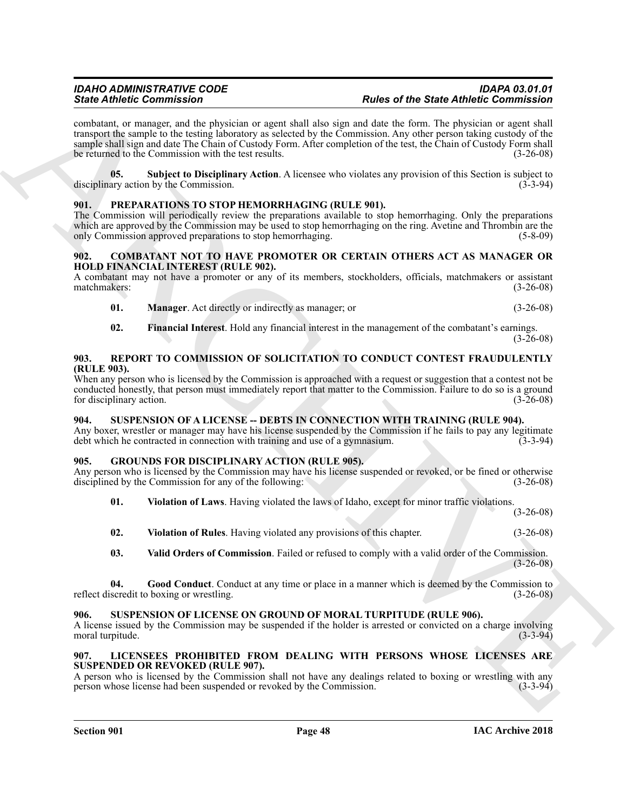Since differentiation<br>
Since different interaction and start and start and the start of the Since differentiation and start and the start and the start of the start and start and start and start and start and start and st combatant, or manager, and the physician or agent shall also sign and date the form. The physician or agent shall transport the sample to the testing laboratory as selected by the Commission. Any other person taking custody of the sample shall sign and date The Chain of Custody Form. After completion of the test, the Chain of Custody Form shall be returned to the Commission with the test results. (3-26-08)

<span id="page-47-7"></span>**05. Subject to Disciplinary Action**. A licensee who violates any provision of this Section is subject to disciplinary action by the Commission.

#### <span id="page-47-16"></span><span id="page-47-0"></span>**901. PREPARATIONS TO STOP HEMORRHAGING (RULE 901).**

The Commission will periodically review the preparations available to stop hemorrhaging. Only the preparations which are approved by the Commission may be used to stop hemorrhaging on the ring. Avetine and Thrombin are the only Commission approved preparations to stop hemorrhaging. (5-8-09)

#### <span id="page-47-8"></span><span id="page-47-1"></span>**902. COMBATANT NOT TO HAVE PROMOTER OR CERTAIN OTHERS ACT AS MANAGER OR HOLD FINANCIAL INTEREST (RULE 902).**

A combatant may not have a promoter or any of its members, stockholders, officials, matchmakers or assistant matchmakers: (3-26-08) matchmakers:

- <span id="page-47-10"></span>**01. Manager**. Act directly or indirectly as manager; or (3-26-08)
- <span id="page-47-17"></span><span id="page-47-9"></span>**02. Financial Interest**. Hold any financial interest in the management of the combatant's earnings.  $(3 - 26 - 08)$

#### <span id="page-47-2"></span>**903. REPORT TO COMMISSION OF SOLICITATION TO CONDUCT CONTEST FRAUDULENTLY (RULE 903).**

When any person who is licensed by the Commission is approached with a request or suggestion that a contest not be conducted honestly, that person must immediately report that matter to the Commission. Failure to do so is a ground for disciplinary action. (3-26-08) for disciplinary action.

#### <span id="page-47-18"></span><span id="page-47-3"></span>**904. SUSPENSION OF A LICENSE -- DEBTS IN CONNECTION WITH TRAINING (RULE 904).**

Any boxer, wrestler or manager may have his license suspended by the Commission if he fails to pay any legitimate debt which he contracted in connection with training and use of a gymnasium. (3-3-94)

#### <span id="page-47-4"></span>**905. GROUNDS FOR DISCIPLINARY ACTION (RULE 905).**

Any person who is licensed by the Commission may have his license suspended or revoked, or be fined or otherwise disciplined by the Commission for any of the following: (3-26-08)

<span id="page-47-13"></span>**01. Violation of Laws**. Having violated the laws of Idaho, except for minor traffic violations.

(3-26-08)

<span id="page-47-14"></span>**02. Violation of Rules**. Having violated any provisions of this chapter. (3-26-08)

<span id="page-47-12"></span><span id="page-47-11"></span>**03. Valid Orders of Commission**. Failed or refused to comply with a valid order of the Commission.  $(3-26-08)$ 

**04. Good Conduct**. Conduct at any time or place in a manner which is deemed by the Commission to reflect discredit to boxing or wrestling. (3-26-08)

#### <span id="page-47-19"></span><span id="page-47-5"></span>**906. SUSPENSION OF LICENSE ON GROUND OF MORAL TURPITUDE (RULE 906).**

A license issued by the Commission may be suspended if the holder is arrested or convicted on a charge involving moral turpitude. (3-3-94)

#### <span id="page-47-15"></span><span id="page-47-6"></span>**907. LICENSEES PROHIBITED FROM DEALING WITH PERSONS WHOSE LICENSES ARE SUSPENDED OR REVOKED (RULE 907).**

A person who is licensed by the Commission shall not have any dealings related to boxing or wrestling with any person whose license had been suspended or revoked by the Commission. (3-3-94) person whose license had been suspended or revoked by the Commission.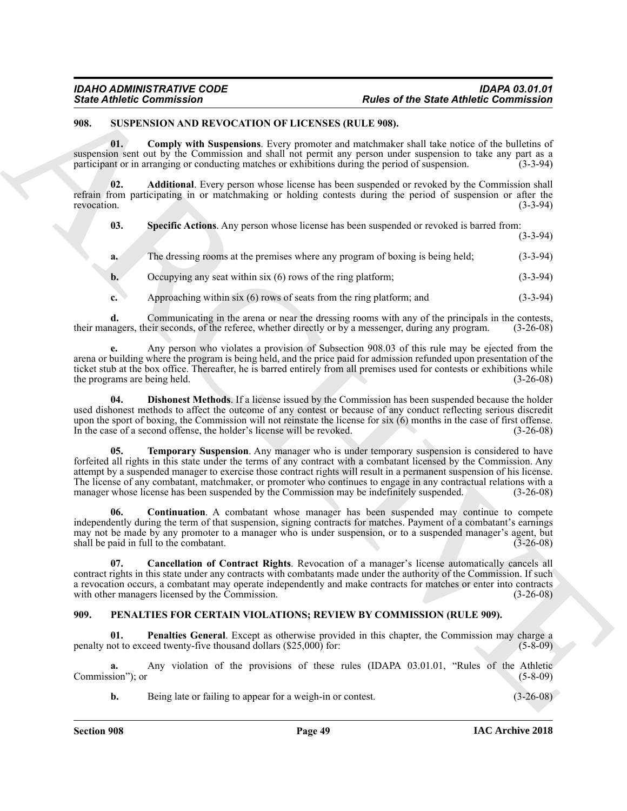#### <span id="page-48-8"></span><span id="page-48-5"></span><span id="page-48-3"></span><span id="page-48-0"></span>**908. SUSPENSION AND REVOCATION OF LICENSES (RULE 908).**

| <b>State Athletic Commission</b> |                                                                        | <b>Rules of the State Athletic Commission</b>                                                                                                                                                                                                                                                                                                                                                                                                                                                                                                                       |             |
|----------------------------------|------------------------------------------------------------------------|---------------------------------------------------------------------------------------------------------------------------------------------------------------------------------------------------------------------------------------------------------------------------------------------------------------------------------------------------------------------------------------------------------------------------------------------------------------------------------------------------------------------------------------------------------------------|-------------|
| 908.                             | SUSPENSION AND REVOCATION OF LICENSES (RULE 908).                      |                                                                                                                                                                                                                                                                                                                                                                                                                                                                                                                                                                     |             |
| 01.                              |                                                                        | Comply with Suspensions. Every promoter and matchmaker shall take notice of the bulletins of<br>suspension sent out by the Commission and shall not permit any person under suspension to take any part as a<br>participant or in arranging or conducting matches or exhibitions during the period of suspension.                                                                                                                                                                                                                                                   | $(3-3-94)$  |
| 02.<br>revocation.               |                                                                        | Additional. Every person whose license has been suspended or revoked by the Commission shall<br>refrain from participating in or matchmaking or holding contests during the period of suspension or after the                                                                                                                                                                                                                                                                                                                                                       | $(3-3-94)$  |
| 03.                              |                                                                        | Specific Actions. Any person whose license has been suspended or revoked is barred from:                                                                                                                                                                                                                                                                                                                                                                                                                                                                            | $(3-3-94)$  |
| a.                               |                                                                        | The dressing rooms at the premises where any program of boxing is being held;                                                                                                                                                                                                                                                                                                                                                                                                                                                                                       | $(3-3-94)$  |
| b.                               | Occupying any seat within $six(6)$ rows of the ring platform;          |                                                                                                                                                                                                                                                                                                                                                                                                                                                                                                                                                                     | $(3-3-94)$  |
| c.                               | Approaching within $six(6)$ rows of seats from the ring platform; and  |                                                                                                                                                                                                                                                                                                                                                                                                                                                                                                                                                                     | $(3-3-94)$  |
| d.                               |                                                                        | Communicating in the arena or near the dressing rooms with any of the principals in the contests,<br>their managers, their seconds, of the referee, whether directly or by a messenger, during any program.                                                                                                                                                                                                                                                                                                                                                         | $(3-26-08)$ |
|                                  | the programs are being held.                                           | Any person who violates a provision of Subsection 908.03 of this rule may be ejected from the<br>arena or building where the program is being held, and the price paid for admission refunded upon presentation of the<br>ticket stub at the box office. Thereafter, he is barred entirely from all premises used for contests or exhibitions while                                                                                                                                                                                                                 | $(3-26-08)$ |
| 04.                              | In the case of a second offense, the holder's license will be revoked. | <b>Dishonest Methods.</b> If a license issued by the Commission has been suspended because the holder<br>used dishonest methods to affect the outcome of any contest or because of any conduct reflecting serious discredit<br>upon the sport of boxing, the Commission will not reinstate the license for six (6) months in the case of first offense.                                                                                                                                                                                                             | $(3-26-08)$ |
| 05.                              |                                                                        | <b>Temporary Suspension.</b> Any manager who is under temporary suspension is considered to have<br>forfeited all rights in this state under the terms of any contract with a combatant licensed by the Commission. Any<br>attempt by a suspended manager to exercise those contract rights will result in a permanent suspension of his license.<br>The license of any combatant, matchmaker, or promoter who continues to engage in any contractual relations with a<br>manager whose license has been suspended by the Commission may be indefinitely suspended. | $(3-26-08)$ |
| 06.                              | shall be paid in full to the combatant.                                | <b>Continuation.</b> A combatant whose manager has been suspended may continue to compete<br>independently during the term of that suspension, signing contracts for matches. Payment of a combatant's earnings<br>may not be made by any promoter to a manager who is under suspension, or to a suspended manager's agent, but                                                                                                                                                                                                                                     | $(3-26-08)$ |
| 07.                              | with other managers licensed by the Commission.                        | Cancellation of Contract Rights. Revocation of a manager's license automatically cancels all<br>contract rights in this state under any contracts with combatants made under the authority of the Commission. If such<br>a revocation occurs, a combatant may operate independently and make contracts for matches or enter into contracts                                                                                                                                                                                                                          | $(3-26-08)$ |
| 909.                             |                                                                        | PENALTIES FOR CERTAIN VIOLATIONS; REVIEW BY COMMISSION (RULE 909).                                                                                                                                                                                                                                                                                                                                                                                                                                                                                                  |             |
| 01.                              | penalty not to exceed twenty-five thousand dollars (\$25,000) for:     | <b>Penalties General.</b> Except as otherwise provided in this chapter, the Commission may charge a                                                                                                                                                                                                                                                                                                                                                                                                                                                                 | $(5-8-09)$  |
| a.<br>Commission"); or           |                                                                        | Any violation of the provisions of these rules (IDAPA 03.01.01, "Rules of the Athletic                                                                                                                                                                                                                                                                                                                                                                                                                                                                              | $(5-8-09)$  |
|                                  | Being late or failing to appear for a weigh-in or contest.             |                                                                                                                                                                                                                                                                                                                                                                                                                                                                                                                                                                     | $(3-26-08)$ |

#### <span id="page-48-9"></span><span id="page-48-7"></span><span id="page-48-6"></span><span id="page-48-4"></span><span id="page-48-2"></span><span id="page-48-1"></span>**909. PENALTIES FOR CERTAIN VIOLATIONS; REVIEW BY COMMISSION (RULE 909).**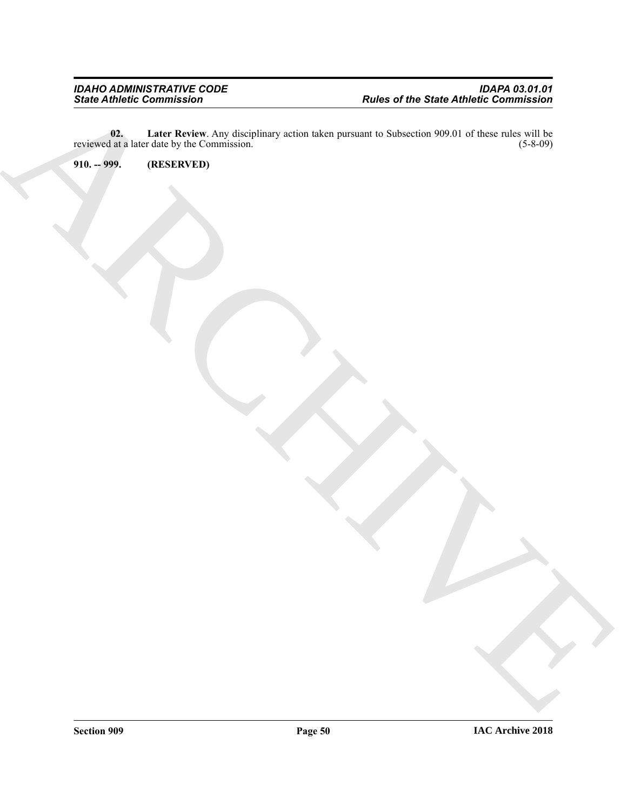ARCHIVE **02. Later Review**. Any disciplinary action taken pursuant to Subsection 909.01 of these rules will be reviewed at a later date by the Commission. (5-8-09)

<span id="page-49-1"></span><span id="page-49-0"></span>**910. -- 999. (RESERVED)**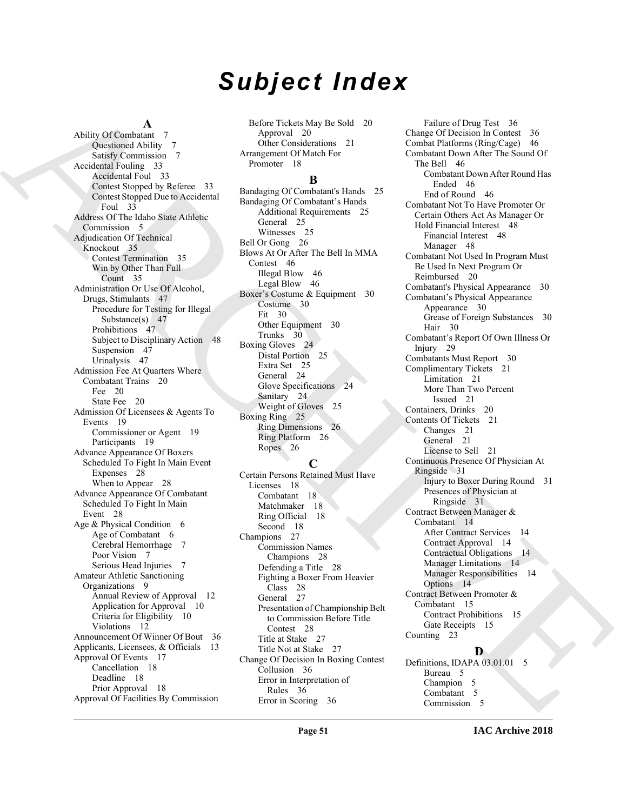# *Subject Index*

#### **A**

And  $\mu$  (and  $\mu$ ) and  $\mu$ ) and  $\mu$ ) and  $\mu$ ) and  $\mu$ ) and  $\mu$  (and  $\mu$ ) and  $\mu$ ) and  $\mu$ ) and  $\mu$ ) and  $\mu$ ) and  $\mu$ ) and  $\mu$ ) and  $\mu$ ) and  $\mu$ ) and  $\mu$ ) and  $\mu$ ) and  $\mu$ ) and  $\mu$ ) and  $\mu$ ) and  $\mu$ ) a Ability Of Combatant 7 Questioned Ability 7 Satisfy Commission 7 Accidental Fouling 33 Accidental Foul 33 Contest Stopped by Referee 33 Contest Stopped Due to Accidental Foul 33 Address Of The Idaho State Athletic Commission 5 Adjudication Of Technical Knockout 35 Contest Termination 35 Win by Other Than Full Count 35 Administration Or Use Of Alcohol, Drugs, Stimulants 47 Procedure for Testing for Illegal Substance(s) 47 Prohibitions 47 Subject to Disciplinary Action 48 Suspension 47 Urinalysis 47 Admission Fee At Quarters Where Combatant Trains 20 Fee 20 State Fee 20 Admission Of Licensees & Agents To Events 19 Commissioner or Agent 19 Participants 19 Advance Appearance Of Boxers Scheduled To Fight In Main Event Expenses 28 When to Appear 28 Advance Appearance Of Combatant Scheduled To Fight In Main Event 28 Age & Physical Condition 6 Age of Combatant 6 Cerebral Hemorrhage 7 Poor Vision 7 Serious Head Injuries 7 Amateur Athletic Sanctioning Organizations 9 Annual Review of Approval 12 Application for Approval 10 Criteria for Eligibility 10 Violations 12 Announcement Of Winner Of Bout 36 Applicants, Licensees, & Officials 13 Approval Of Events 17 Cancellation 18 Deadline 18 Prior Approval 18 Approval Of Facilities By Commission

Before Tickets May Be Sold 20 Approval 20 Other Considerations 21 Arrangement Of Match For Promoter 18

#### **B**

Bandaging Of Combatant's Hands 25 Bandaging Of Combatant's Hands Additional Requirements 25 General 25 Witnesses 25 Bell Or Gong 26 Blows At Or After The Bell In MMA Contest 46 Illegal Blow 46 Legal Blow 46 Boxer's Costume & Equipment 30 Costume 30 Fit 30 Other Equipment 30 Trunks 30 Boxing Gloves 24 Distal Portion 25 Extra Set 25 General 24 Glove Specifications 24 Sanitary 24 Weight of Gloves 25 Boxing Ring 25 Ring Dimensions 26 Ring Platform 26 Ropes 26

#### **C**

Certain Persons Retained Must Have Licenses 18 Combatant 18 Matchmaker 18 Ring Official 18 Second 18 Champions 27 Commission Names Champions 28 Defending a Title 28 Fighting a Boxer From Heavier Class 28 General 27 Presentation of Championship Belt to Commission Before Title Contest 28 Title at Stake 27 Title Not at Stake 27 Change Of Decision In Boxing Contest Collusion 36 Error in Interpretation of Rules 36 Error in Scoring 36

Failure of Drug Test 36 Change Of Decision In Contest 36 Combat Platforms (Ring/Cage) 46 Combatant Down After The Sound Of The Bell 46 Combatant Down After Round Has Ended 46 End of Round 46 Combatant Not To Have Promoter Or Certain Others Act As Manager Or Hold Financial Interest 48 Financial Interest 48 Manager 48 Combatant Not Used In Program Must Be Used In Next Program Or Reimbursed 20 Combatant's Physical Appearance 30 Combatant's Physical Appearance Appearance 30 Grease of Foreign Substances 30 Hair 30 Combatant's Report Of Own Illness Or Injury 29 Combatants Must Report 30 Complimentary Tickets 21 Limitation 21 More Than Two Percent Issued 21 Containers, Drinks 20 Contents Of Tickets 21 Changes 21 General 21 License to Sell 21 Continuous Presence Of Physician At Ringside 31 Injury to Boxer During Round 31 Presences of Physician at Ringside 31 Contract Between Manager & Combatant 14 After Contract Services 14 Contract Approval 14 Contractual Obligations 14 Manager Limitations 14 Manager Responsibilities 14 Options 14 Contract Between Promoter & Combatant 15 Contract Prohibitions 15 Gate Receipts 15 Counting 23 **D**

Definitions, IDAPA 03.01.01 5 Bureau 5 Champion 5 Combatant 5 Commission 5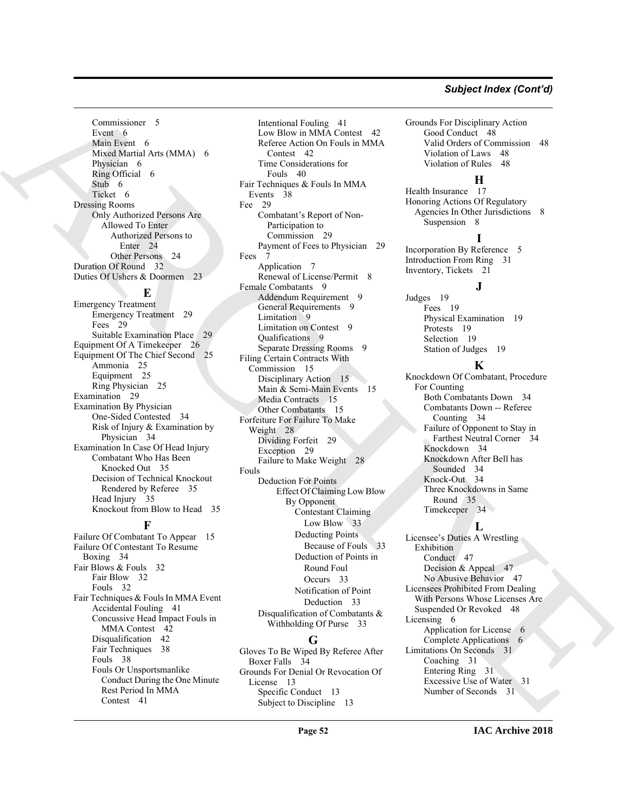#### *Subject Index (Cont'd)*

Commissioner 5 Event 6 Main Event 6 Mixed Martial Arts (MMA) 6 Physician 6 Ring Official 6 Stub 6 Ticket 6 Dressing Rooms Only Authorized Persons Are Allowed To Enter Authorized Persons to Enter 24 Other Persons 24 Duration Of Round 32 Duties Of Ushers & Doormen 23

#### **E**

Emergency Treatment Emergency Treatment 29 Fees 29 Suitable Examination Place Equipment Of A Timekeeper 26 Equipment Of The Chief Second 25 Ammonia 25 Equipment 25 Ring Physician 25 Examination 29 Examination By Physician One-Sided Contested 34 Risk of Injury & Examination by Physician 34 Examination In Case Of Head Injury Combatant Who Has Been Knocked Out 35 Decision of Technical Knockout Rendered by Referee 35 Head Injury 35 Knockout from Blow to Head 35

### **F**

Failure Of Combatant To Appear 15 Failure Of Contestant To Resume Boxing 34 Fair Blows & Fouls 32 Fair Blow 32 Fouls 32 Fair Techniques & Fouls In MMA Event Accidental Fouling 41 Concussive Head Impact Fouls in MMA Contest 42 Disqualification 42 Fair Techniques 38 Fouls 38 Fouls Or Unsportsmanlike Conduct During the One Minute Rest Period In MMA Contest 41

[AR](#page-23-7)[CH](#page-14-9)[I](#page-33-12)[VE](#page-47-15) Intentional Fouling 41 Low Blow in MMA Contest 42 Referee Action On Fouls in MMA Contest 42 Time Considerations for Fouls 40 Fair Techniques & Fouls In MMA Events 38 Fee 29 Combatant's Report of Non-Participation to Commission 29 Payment of Fees to Physician 29 Fees 7 Application 7 Renewal of License/Permit 8 Female Combatants 9 Addendum Requirement 9 General Requirements 9 Limitation 9 Limitation on Contest 9 Qualifications 9 Separate Dressing Rooms 9 Filing Certain Contracts With Commission 15 Disciplinary Action 15 Main & Semi-Main Events 15 Media Contracts 15 Other Combatants 15 Forfeiture For Failure To Make Weight 28 Dividing Forfeit 29 Exception 29 Failure to Make Weight 28 Fouls Deduction For Points Effect Of Claiming Low Blow By Opponent Contestant Claiming Low Blow 33 Deducting Points Because of Fouls 33 Deduction of Points in Round Foul Occurs 33 Notification of Point Deduction 33 Disqualification of Combatants & Withholding Of Purse 33

#### **G**

Gloves To Be Wiped By Referee After Boxer Falls 34 Grounds For Denial Or Revocation Of License 13 Specific Conduct 13 Subject to Discipline 13

Grounds For Disciplinary Action Good Conduct 48 Valid Orders of Commission 48 Violation of Laws 48 Violation of Rules 48

#### **H**

Health Insurance 17 Honoring Actions Of Regulatory Agencies In Other Jurisdictions 8 Suspension 8

#### **I**

**J**

Incorporation By Reference 5 Introduction From Ring 31 Inventory, Tickets 21

Judges 19 Fees 19 Physical Examination 19 Protests 19 Selection 19 Station of Judges 19

#### **K**

Knockdown Of Combatant, Procedure For Counting Both Combatants Down 34 Combatants Down -- Referee Counting 34 Failure of Opponent to Stay in Farthest Neutral Corner 34 Knockdown 34 Knockdown After Bell has Sounded 34 Knock-Out 34 Three Knockdowns in Same Round 35 Timekeeper 34

#### **L**

Licensee's Duties A Wrestling Exhibition Conduct 47 Decision & Appeal 47 No Abusive Behavior 47 Licensees Prohibited From Dealing With Persons Whose Licenses Are Suspended Or Revoked 48 Licensing 6 Application for License 6 Complete Applications 6 Limitations On Seconds 31 Coaching 31 Entering Ring 31 Excessive Use of Water 31 Number of Seconds 31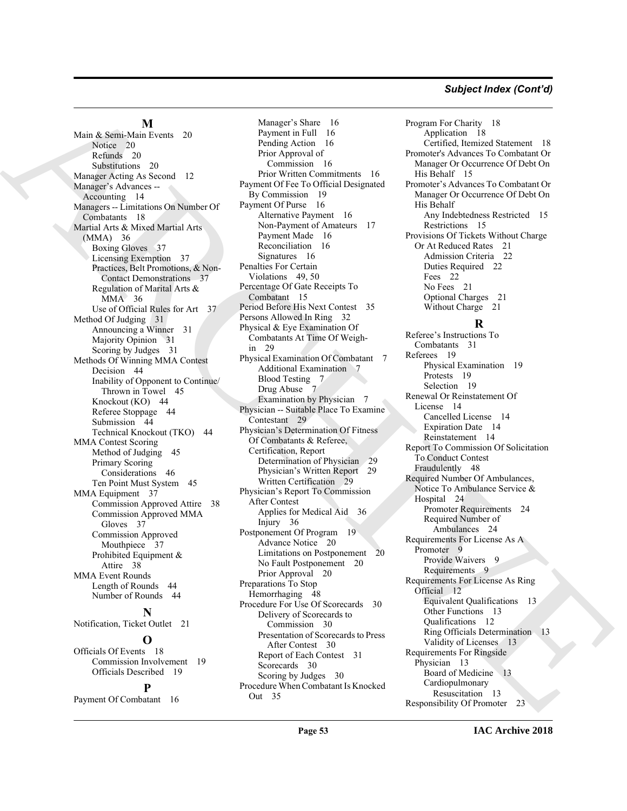#### *Subject Index (Cont'd)*

#### **M**

Main & Semi-Main Events 20 Notice 20 Refunds 20 Substitutions 20 Manager Acting As Second 12 Manager's Advances -- Accounting 14 Managers -- Limitations On Number Of Combatants 18 Martial Arts & Mixed Martial Arts (MMA) 36 Boxing Gloves 37 Licensing Exemption 37 Practices, Belt Promotions, & Non-Contact Demonstrations 37 Regulation of Marital Arts & MMA 36 Use of Official Rules for Art 37 Method Of Judging 31 Announcing a Winner 31 Majority Opinion 31 Scoring by Judges 31 Methods Of Winning MMA Contest Decision 44 Inability of Opponent to Continue/ Thrown in Towel 45 Knockout (KO) 44 Referee Stoppage 44 Submission 44 Technical Knockout (TKO) 44 MMA Contest Scoring Method of Judging 45 Primary Scoring Considerations 46 Ten Point Must System 45 MMA Equipment 37 Commission Approved Attire 38 Commission Approved MMA Gloves 37 Commission Approved Mouthpiece 37 Prohibited Equipment & Attire 38 MMA Event Rounds Length of Rounds 44 Number of Rounds 44 **N** Notification, Ticket Outlet 21 **O** Officials Of Events 18 Commission Involvement 19

Officials Described 19

#### **P**

Payment Of Combatant 16

Main [A](#page-13-12)lgons (Main and the spin of the spin of the spin of the spin of the spin of the spin of the spin of the spin of the spin of the spin of the spin of the spin of the spin of the spin of the spin of the spin of the spi Manager's Share 16 Payment in Full 16 Pending Action 16 Prior Approval of Commission 16 Prior Written Commitments 16 Payment Of Fee To Official Designated By Commission 19 Payment Of Purse 16 Alternative Payment 16 Non-Payment of Amateurs 17 Payment Made 16 Reconciliation 16 Signatures 16 Penalties For Certain Violations 49, 50 Percentage Of Gate Receipts To Combatant 15 Period Before His Next Contest 35 Persons Allowed In Ring 32 Physical & Eye Examination Of Combatants At Time Of Weighin 29 Physical Examination Of Combatant 7 Additional Examination 7 Blood Testing 7 Drug Abuse 7 Examination by Physician 7 Physician -- Suitable Place To Examine Contestant 29 Physician's Determination Of Fitness Of Combatants & Referee, Certification, Report Determination of Physician 29 Physician's Written Report 29 Written Certification 29 Physician's Report To Commission After Contest Applies for Medical Aid 36 Injury 36 Postponement Of Program 19 Advance Notice 20 Limitations on Postponement 20 No Fault Postponement 20 Prior Approval 20 Preparations To Stop Hemorrhaging 48 Procedure For Use Of Scorecards 30 Delivery of Scorecards to Commission 30 Presentation of Scorecards to Press After Contest 30 Report of Each Contest 31 Scorecards 30 Scoring by Judges 30 Procedure When Combatant Is Knocked Out 35

Program For Charity 18 Application 18 Certified, Itemized Statement 18 Promoter's Advances To Combatant Or Manager Or Occurrence Of Debt On His Behalf 15 Promoter's Advances To Combatant Or Manager Or Occurrence Of Debt On His Behalf Any Indebtedness Restricted 15 Restrictions 15 Provisions Of Tickets Without Charge Or At Reduced Rates 21 Admission Criteria 22 Duties Required 22 Fees 22 No Fees 21 Optional Charges 21 Without Charge 21

### **R**

Referee's Instructions To Combatants 31 Referees 19 Physical Examination 19 Protests 19 Selection 19 Renewal Or Reinstatement Of License 14 Cancelled License 14 Expiration Date 14 Reinstatement 14 Report To Commission Of Solicitation To Conduct Contest Fraudulently 48 Required Number Of Ambulances, Notice To Ambulance Service & Hospital 24 Promoter Requirements 24 Required Number of Ambulances 24 Requirements For License As A Promoter 9 Provide Waivers 9 Requirements 9 Requirements For License As Ring Official 12 Equivalent Qualifications 13 Other Functions 13 Qualifications 12 Ring Officials Determination 13 Validity of Licenses 13 Requirements For Ringside Physician 13 Board of Medicine 13 Cardiopulmonary Resuscitation 13 Responsibility Of Promoter 23